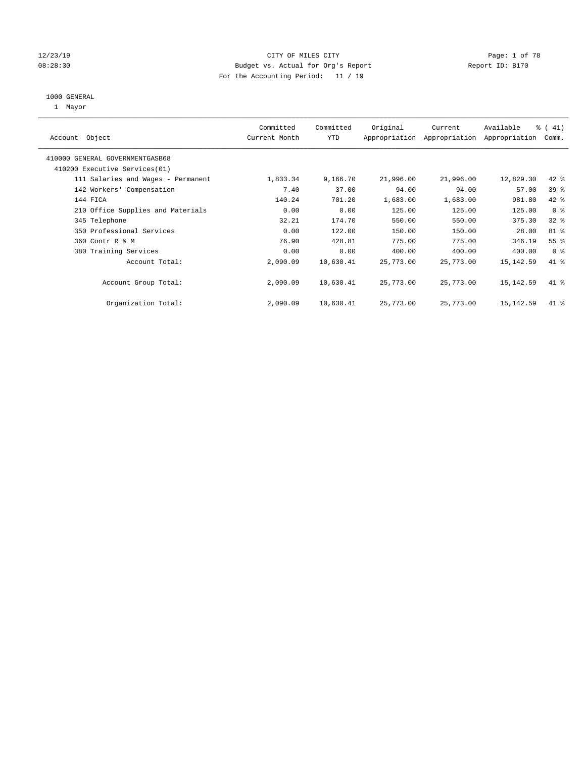#### 12/23/19 CITY OF MILES CITY Page: 1 of 78 08:28:30 Budget vs. Actual for Org's Report Changer Report ID: B170 For the Accounting Period: 11 / 19

#### 1000 GENERAL

1 Mayor

| Object<br>Account                  | Committed<br>Current Month | Committed<br><b>YTD</b> | Original  | Current<br>Appropriation Appropriation | Available<br>Appropriation | % (41)<br>Comm. |
|------------------------------------|----------------------------|-------------------------|-----------|----------------------------------------|----------------------------|-----------------|
| 410000 GENERAL GOVERNMENTGASB68    |                            |                         |           |                                        |                            |                 |
| 410200 Executive Services (01)     |                            |                         |           |                                        |                            |                 |
| 111 Salaries and Wages - Permanent | 1,833.34                   | 9,166.70                | 21,996.00 | 21,996.00                              | 12,829.30                  | 42 %            |
| 142 Workers' Compensation          | 7.40                       | 37.00                   | 94.00     | 94.00                                  | 57.00                      | 39 <sup>8</sup> |
| 144 FICA                           | 140.24                     | 701.20                  | 1,683.00  | 1,683.00                               | 981.80                     | 42 %            |
| 210 Office Supplies and Materials  | 0.00                       | 0.00                    | 125.00    | 125.00                                 | 125.00                     | 0 <sup>8</sup>  |
| 345 Telephone                      | 32.21                      | 174.70                  | 550.00    | 550.00                                 | 375.30                     | 32%             |
| 350 Professional Services          | 0.00                       | 122.00                  | 150.00    | 150.00                                 | 28.00                      | 81 %            |
| 360 Contr R & M                    | 76.90                      | 428.81                  | 775.00    | 775.00                                 | 346.19                     | 55 <sup>8</sup> |
| 380 Training Services              | 0.00                       | 0.00                    | 400.00    | 400.00                                 | 400.00                     | 0 <sup>8</sup>  |
| Account Total:                     | 2,090.09                   | 10,630.41               | 25,773.00 | 25,773.00                              | 15, 142.59                 | 41.8            |
| Account Group Total:               | 2,090.09                   | 10,630.41               | 25,773.00 | 25,773.00                              | 15, 142.59                 | 41 %            |
| Organization Total:                | 2,090.09                   | 10,630.41               | 25,773.00 | 25,773.00                              | 15, 142.59                 | 41 %            |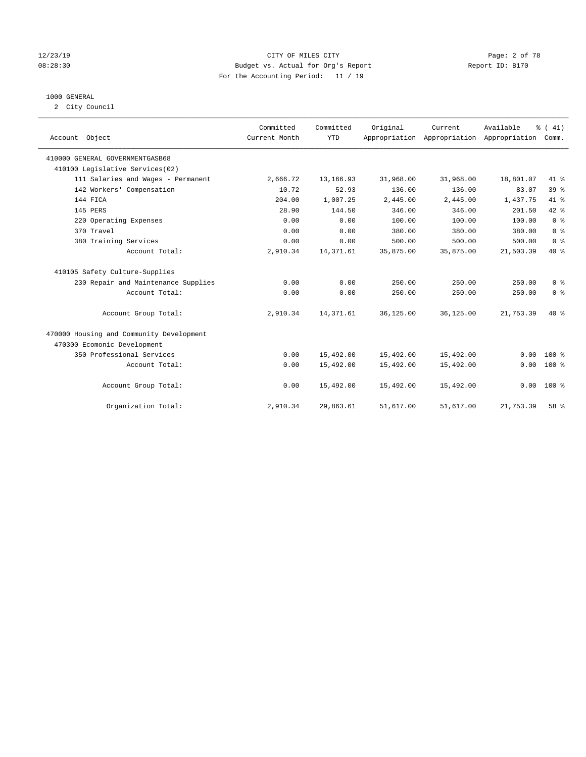#### 12/23/19 CITY OF MILES CITY Page: 2 of 78 08:28:30 Budget vs. Actual for Org's Report Changer Report ID: B170 For the Accounting Period: 11 / 19

### 1000 GENERAL

2 City Council

| Account Object                           | Committed<br>Current Month | Committed<br><b>YTD</b> | Original  | Current<br>Appropriation Appropriation Appropriation | Available | % (41)<br>Comm. |
|------------------------------------------|----------------------------|-------------------------|-----------|------------------------------------------------------|-----------|-----------------|
| 410000 GENERAL GOVERNMENTGASB68          |                            |                         |           |                                                      |           |                 |
| 410100 Legislative Services(02)          |                            |                         |           |                                                      |           |                 |
| 111 Salaries and Wages - Permanent       | 2,666.72                   | 13,166.93               | 31,968.00 | 31,968.00                                            | 18,801.07 | 41 %            |
| 142 Workers' Compensation                | 10.72                      | 52.93                   | 136.00    | 136.00                                               | 83.07     | 39%             |
| 144 FICA                                 | 204.00                     | 1,007.25                | 2,445.00  | 2,445.00                                             | 1,437.75  | 41 %            |
| 145 PERS                                 | 28.90                      | 144.50                  | 346.00    | 346.00                                               | 201.50    | 42 %            |
| 220 Operating Expenses                   | 0.00                       | 0.00                    | 100.00    | 100.00                                               | 100.00    | 0 <sup>8</sup>  |
| 370 Travel                               | 0.00                       | 0.00                    | 380.00    | 380.00                                               | 380.00    | 0 <sup>8</sup>  |
| 380 Training Services                    | 0.00                       | 0.00                    | 500.00    | 500.00                                               | 500.00    | 0 <sup>8</sup>  |
| Account Total:                           | 2,910.34                   | 14, 371.61              | 35,875.00 | 35,875.00                                            | 21,503.39 | 40 %            |
| 410105 Safety Culture-Supplies           |                            |                         |           |                                                      |           |                 |
| 230 Repair and Maintenance Supplies      | 0.00                       | 0.00                    | 250.00    | 250.00                                               | 250.00    | 0 <sup>8</sup>  |
| Account Total:                           | 0.00                       | 0.00                    | 250.00    | 250.00                                               | 250.00    | 0 <sup>8</sup>  |
| Account Group Total:                     | 2,910.34                   | 14, 371.61              | 36,125.00 | 36,125.00                                            | 21,753.39 | $40*$           |
| 470000 Housing and Community Development |                            |                         |           |                                                      |           |                 |
| 470300 Ecomonic Development              |                            |                         |           |                                                      |           |                 |
| 350 Professional Services                | 0.00                       | 15,492.00               | 15,492.00 | 15,492.00                                            | 0.00      | $100*$          |
| Account Total:                           | 0.00                       | 15,492.00               | 15,492.00 | 15,492.00                                            | 0.00      | $100*$          |
| Account Group Total:                     | 0.00                       | 15,492.00               | 15,492.00 | 15,492.00                                            | 0.00      | $100*$          |
| Organization Total:                      | 2,910.34                   | 29,863.61               | 51,617.00 | 51,617.00                                            | 21,753.39 | 58 %            |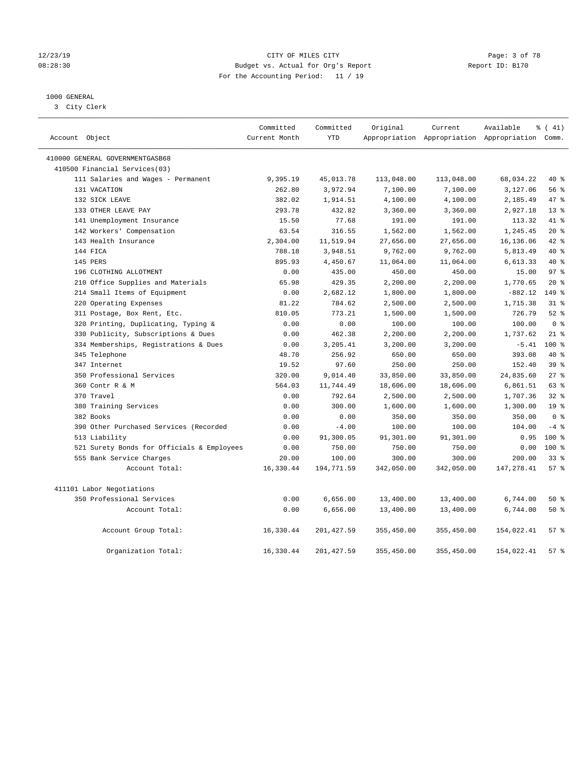#### 12/23/19 CITY OF MILES CITY Page: 3 of 78 08:28:30 Budget vs. Actual for Org's Report Changer Report ID: B170 For the Accounting Period: 11 / 19

### 1000 GENERAL

3 City Clerk

| Account Object                             | Committed<br>Current Month | Committed<br><b>YTD</b> | Original   | Current    | Available<br>Appropriation Appropriation Appropriation Comm. | % (41)          |
|--------------------------------------------|----------------------------|-------------------------|------------|------------|--------------------------------------------------------------|-----------------|
| 410000 GENERAL GOVERNMENTGASB68            |                            |                         |            |            |                                                              |                 |
| 410500 Financial Services(03)              |                            |                         |            |            |                                                              |                 |
| 111 Salaries and Wages - Permanent         | 9,395.19                   | 45,013.78               | 113,048.00 | 113,048.00 | 68,034.22                                                    | $40*$           |
| 131 VACATION                               | 262.80                     | 3,972.94                | 7,100.00   | 7,100.00   | 3,127.06                                                     | 56%             |
| 132 SICK LEAVE                             | 382.02                     | 1,914.51                | 4,100.00   | 4,100.00   | 2,185.49                                                     | 47.8            |
| 133 OTHER LEAVE PAY                        | 293.78                     | 432.82                  | 3,360.00   | 3,360.00   | 2,927.18                                                     | 13 <sup>8</sup> |
| 141 Unemployment Insurance                 | 15.50                      | 77.68                   | 191.00     | 191.00     | 113.32                                                       | 41 %            |
| 142 Workers' Compensation                  | 63.54                      | 316.55                  | 1,562.00   | 1,562.00   | 1,245.45                                                     | $20*$           |
| 143 Health Insurance                       | 2,304.00                   | 11,519.94               | 27,656.00  | 27,656.00  | 16,136.06                                                    | $42$ %          |
| 144 FICA                                   | 788.18                     | 3,948.51                | 9,762.00   | 9,762.00   | 5,813.49                                                     | 40 %            |
| 145 PERS                                   | 895.93                     | 4,450.67                | 11,064.00  | 11,064.00  | 6,613.33                                                     | 40 %            |
| 196 CLOTHING ALLOTMENT                     | 0.00                       | 435.00                  | 450.00     | 450.00     | 15.00                                                        | 97 <sub>8</sub> |
| 210 Office Supplies and Materials          | 65.98                      | 429.35                  | 2,200.00   | 2,200.00   | 1,770.65                                                     | $20*$           |
| 214 Small Items of Equipment               | 0.00                       | 2,682.12                | 1,800.00   | 1,800.00   | $-882.12$                                                    | 149 %           |
| 220 Operating Expenses                     | 81.22                      | 784.62                  | 2,500.00   | 2,500.00   | 1,715.38                                                     | $31$ %          |
| 311 Postage, Box Rent, Etc.                | 810.05                     | 773.21                  | 1,500.00   | 1,500.00   | 726.79                                                       | $52$ $%$        |
| 320 Printing, Duplicating, Typing &        | 0.00                       | 0.00                    | 100.00     | 100.00     | 100.00                                                       | 0 <sup>8</sup>  |
| 330 Publicity, Subscriptions & Dues        | 0.00                       | 462.38                  | 2,200.00   | 2,200.00   | 1,737.62                                                     | $21$ %          |
| 334 Memberships, Registrations & Dues      | 0.00                       | 3,205.41                | 3,200.00   | 3,200.00   | $-5.41$                                                      | $100*$          |
| 345 Telephone                              | 48.70                      | 256.92                  | 650.00     | 650.00     | 393.08                                                       | 40 %            |
| 347 Internet                               | 19.52                      | 97.60                   | 250.00     | 250.00     | 152.40                                                       | 39 <sup>8</sup> |
| 350 Professional Services                  | 320.00                     | 9,014.40                | 33,850.00  | 33,850.00  | 24,835.60                                                    | 27%             |
| 360 Contr R & M                            | 564.03                     | 11,744.49               | 18,606.00  | 18,606.00  | 6,861.51                                                     | 63%             |
| 370 Travel                                 | 0.00                       | 792.64                  | 2,500.00   | 2,500.00   | 1,707.36                                                     | 32%             |
| 380 Training Services                      | 0.00                       | 300.00                  | 1,600.00   | 1,600.00   | 1,300.00                                                     | 19 <sup>°</sup> |
| 382 Books                                  | 0.00                       | 0.00                    | 350.00     | 350.00     | 350.00                                                       | 0 <sup>8</sup>  |
| 390 Other Purchased Services (Recorded     | 0.00                       | $-4.00$                 | 100.00     | 100.00     | 104.00                                                       | $-4$ %          |
| 513 Liability                              | 0.00                       | 91,300.05               | 91,301.00  | 91,301.00  | 0.95                                                         | $100*$          |
| 521 Surety Bonds for Officials & Employees | 0.00                       | 750.00                  | 750.00     | 750.00     | 0.00                                                         | $100*$          |
| 555 Bank Service Charges                   | 20.00                      | 100.00                  | 300.00     | 300.00     | 200.00                                                       | 338             |
| Account Total:                             | 16,330.44                  | 194,771.59              | 342,050.00 | 342,050.00 | 147,278.41                                                   | 57%             |
| 411101 Labor Negotiations                  |                            |                         |            |            |                                                              |                 |
| 350 Professional Services                  | 0.00                       | 6,656.00                | 13,400.00  | 13,400.00  | 6,744.00                                                     | 50 %            |
| Account Total:                             | 0.00                       | 6,656.00                | 13,400.00  | 13,400.00  | 6,744.00                                                     | 50%             |
| Account Group Total:                       | 16,330.44                  | 201, 427.59             | 355,450.00 | 355,450.00 | 154,022.41                                                   | 57%             |
| Organization Total:                        | 16,330.44                  | 201, 427.59             | 355,450.00 | 355,450.00 | 154,022.41                                                   | 57%             |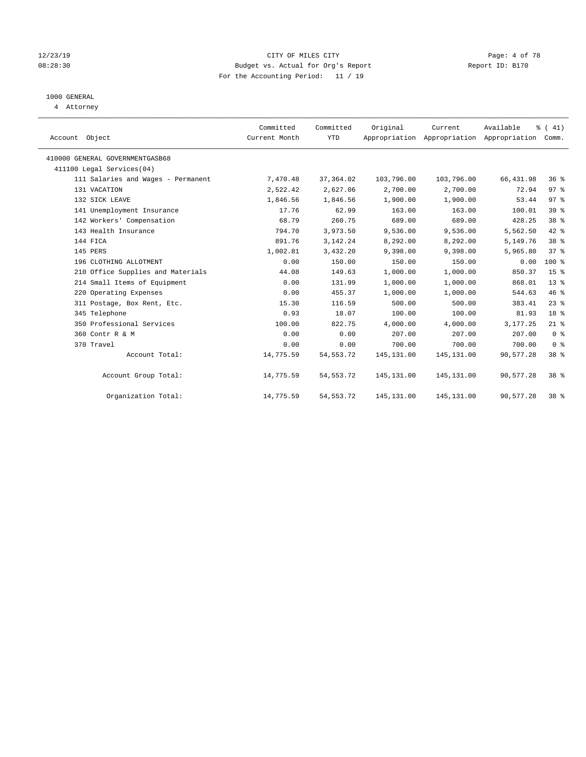#### 12/23/19 CITY OF MILES CITY Page: 4 of 78 08:28:30 Budget vs. Actual for Org's Report Changer Report ID: B170 For the Accounting Period: 11 / 19

## 1000 GENERAL

4 Attorney

| Account Object                     | Committed<br>Current Month | Committed<br><b>YTD</b> | Original    | Current<br>Appropriation Appropriation Appropriation | Available  | $\frac{1}{6}$ ( 41)<br>Comm. |  |
|------------------------------------|----------------------------|-------------------------|-------------|------------------------------------------------------|------------|------------------------------|--|
| 410000 GENERAL GOVERNMENTGASB68    |                            |                         |             |                                                      |            |                              |  |
| 411100 Legal Services(04)          |                            |                         |             |                                                      |            |                              |  |
| 111 Salaries and Wages - Permanent | 7,470.48                   | 37,364.02               | 103,796.00  | 103,796.00                                           | 66,431.98  | 36%                          |  |
| 131 VACATION                       | 2,522.42                   | 2,627.06                | 2,700.00    | 2,700.00                                             | 72.94      | 97%                          |  |
| 132 SICK LEAVE                     | 1,846.56                   | 1,846.56                | 1,900.00    | 1,900.00                                             | 53.44      | 97 <sub>8</sub>              |  |
| 141 Unemployment Insurance         | 17.76                      | 62.99                   | 163.00      | 163.00                                               | 100.01     | 39%                          |  |
| 142 Workers' Compensation          | 68.79                      | 260.75                  | 689.00      | 689.00                                               | 428.25     | 38 <sup>8</sup>              |  |
| 143 Health Insurance               | 794.70                     | 3,973.50                | 9,536.00    | 9,536.00                                             | 5,562.50   | 42 %                         |  |
| 144 FICA                           | 891.76                     | 3, 142. 24              | 8,292.00    | 8,292.00                                             | 5,149.76   | 38 <sup>8</sup>              |  |
| 145 PERS                           | 1,002.81                   | 3,432.20                | 9,398.00    | 9,398.00                                             | 5,965.80   | 37%                          |  |
| 196 CLOTHING ALLOTMENT             | 0.00                       | 150.00                  | 150.00      | 150.00                                               | 0.00       | 100 %                        |  |
| 210 Office Supplies and Materials  | 44.08                      | 149.63                  | 1,000.00    | 1,000.00                                             | 850.37     | 15 <sup>°</sup>              |  |
| 214 Small Items of Equipment       | 0.00                       | 131.99                  | 1,000.00    | 1,000.00                                             | 868.01     | $13*$                        |  |
| 220 Operating Expenses             | 0.00                       | 455.37                  | 1,000.00    | 1,000.00                                             | 544.63     | 46%                          |  |
| 311 Postage, Box Rent, Etc.        | 15.30                      | 116.59                  | 500.00      | 500.00                                               | 383.41     | $23$ $%$                     |  |
| 345 Telephone                      | 0.93                       | 18.07                   | 100.00      | 100.00                                               | 81.93      | 18 %                         |  |
| 350 Professional Services          | 100.00                     | 822.75                  | 4,000.00    | 4,000.00                                             | 3, 177, 25 | $21$ %                       |  |
| 360 Contr R & M                    | 0.00                       | 0.00                    | 207.00      | 207.00                                               | 207.00     | 0 <sup>8</sup>               |  |
| 370 Travel                         | 0.00                       | 0.00                    | 700.00      | 700.00                                               | 700.00     | 0 <sup>8</sup>               |  |
| Account Total:                     | 14,775.59                  | 54, 553. 72             | 145, 131.00 | 145, 131.00                                          | 90,577.28  | 38 %                         |  |
| Account Group Total:               | 14,775.59                  | 54, 553. 72             | 145, 131.00 | 145,131.00                                           | 90,577.28  | 38 <sup>8</sup>              |  |
| Organization Total:                | 14,775.59                  | 54, 553. 72             | 145, 131.00 | 145, 131.00                                          | 90,577.28  | 38 <sup>8</sup>              |  |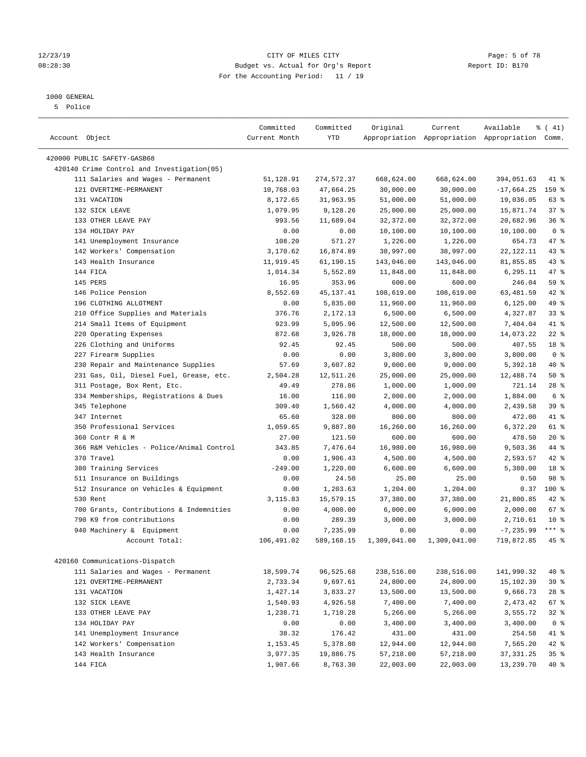#### 1000 GENERAL

5 Police

| Account Object                              | Committed<br>Current Month | Committed<br>YTD | Original     | Current      | Available<br>Appropriation Appropriation Appropriation Comm. | $\frac{1}{6}$ ( 41) |
|---------------------------------------------|----------------------------|------------------|--------------|--------------|--------------------------------------------------------------|---------------------|
|                                             |                            |                  |              |              |                                                              |                     |
| 420000 PUBLIC SAFETY-GASB68                 |                            |                  |              |              |                                                              |                     |
| 420140 Crime Control and Investigation (05) |                            |                  |              |              |                                                              |                     |
| 111 Salaries and Wages - Permanent          | 51,128.91                  | 274, 572.37      | 668,624.00   | 668,624.00   | 394,051.63                                                   | 41 %                |
| 121 OVERTIME-PERMANENT                      | 10,768.03                  | 47,664.25        | 30,000.00    | 30,000.00    | $-17,664.25$                                                 | 159 %               |
| 131 VACATION                                | 8,172.65                   | 31,963.95        | 51,000.00    | 51,000.00    | 19,036.05                                                    | 63 %                |
| 132 SICK LEAVE                              | 1,079.95                   | 9,128.26         | 25,000.00    | 25,000.00    | 15,871.74                                                    | 37%                 |
| 133 OTHER LEAVE PAY                         | 993.56                     | 11,689.04        | 32,372.00    | 32,372.00    | 20,682.96                                                    | 36%                 |
| 134 HOLIDAY PAY                             | 0.00                       | 0.00             | 10,100.00    | 10,100.00    | 10,100.00                                                    | 0 <sup>8</sup>      |
| 141 Unemployment Insurance                  | 108.20                     | 571.27           | 1,226.00     | 1,226.00     | 654.73                                                       | 47 %                |
| 142 Workers' Compensation                   | 3,170.62                   | 16,874.89        | 38,997.00    | 38,997.00    | 22, 122. 11                                                  | 43 %                |
| 143 Health Insurance                        | 11,919.45                  | 61,190.15        | 143,046.00   | 143,046.00   | 81,855.85                                                    | 43 %                |
| 144 FICA                                    | 1,014.34                   | 5,552.89         | 11,848.00    | 11,848.00    | 6,295.11                                                     | 47 %                |
| 145 PERS                                    | 16.95                      | 353.96           | 600.00       | 600.00       | 246.04                                                       | 59 %                |
| 146 Police Pension                          | 8,552.69                   | 45, 137. 41      | 108,619.00   | 108,619.00   | 63,481.59                                                    | 42 %                |
| 196 CLOTHING ALLOTMENT                      | 0.00                       | 5,835.00         | 11,960.00    | 11,960.00    | 6,125.00                                                     | 49 %                |
| 210 Office Supplies and Materials           | 376.76                     | 2,172.13         | 6,500.00     | 6,500.00     | 4,327.87                                                     | 33%                 |
| 214 Small Items of Equipment                | 923.99                     | 5,095.96         | 12,500.00    | 12,500.00    | 7,404.04                                                     | 41 %                |
| 220 Operating Expenses                      | 872.68                     | 3,926.78         | 18,000.00    | 18,000.00    | 14,073.22                                                    | $22$ %              |
| 226 Clothing and Uniforms                   | 92.45                      | 92.45            | 500.00       | 500.00       | 407.55                                                       | 18 %                |
| 227 Firearm Supplies                        | 0.00                       | 0.00             | 3,800.00     | 3,800.00     | 3,800.00                                                     | 0 <sup>8</sup>      |
| 230 Repair and Maintenance Supplies         | 57.69                      | 3,607.82         | 9,000.00     | 9,000.00     | 5,392.18                                                     | 40 %                |
| 231 Gas, Oil, Diesel Fuel, Grease, etc.     | 2,504.28                   | 12,511.26        | 25,000.00    | 25,000.00    | 12,488.74                                                    | 50%                 |
| 311 Postage, Box Rent, Etc.                 | 49.49                      | 278.86           | 1,000.00     | 1,000.00     | 721.14                                                       | $28$ %              |
| 334 Memberships, Registrations & Dues       | 16.00                      | 116.00           | 2,000.00     | 2,000.00     | 1,884.00                                                     | 6 %                 |
| 345 Telephone                               | 309.40                     | 1,560.42         | 4,000.00     | 4,000.00     | 2,439.58                                                     | 39 %                |
| 347 Internet                                | 65.60                      | 328.00           | 800.00       | 800.00       | 472.00                                                       | 41 %                |
| 350 Professional Services                   | 1,059.65                   | 9,887.80         | 16,260.00    | 16,260.00    | 6,372.20                                                     | 61 %                |
| 360 Contr R & M                             | 27.00                      | 121.50           | 600.00       | 600.00       | 478.50                                                       | $20*$               |
| 366 R&M Vehicles - Police/Animal Control    | 343.85                     | 7,476.64         | 16,980.00    | 16,980.00    | 9,503.36                                                     | 44 %                |
| 370 Travel                                  | 0.00                       | 1,906.43         | 4,500.00     | 4,500.00     | 2,593.57                                                     | 42 %                |
| 380 Training Services                       | $-249.00$                  | 1,220.00         | 6,600.00     | 6,600.00     | 5,380.00                                                     | 18 %                |
| 511 Insurance on Buildings                  | 0.00                       | 24.50            | 25.00        | 25.00        | 0.50                                                         | 98 %                |
| 512 Insurance on Vehicles & Equipment       | 0.00                       | 1,203.63         | 1,204.00     | 1,204.00     | 0.37                                                         | 100 %               |
| 530 Rent                                    | 3,115.83                   | 15,579.15        | 37,380.00    | 37,380.00    | 21,800.85                                                    | 42 %                |
| 700 Grants, Contributions & Indemnities     | 0.00                       | 4,000.00         | 6,000.00     | 6,000.00     | 2,000.00                                                     | 67 %                |
| 790 K9 from contributions                   | 0.00                       | 289.39           | 3,000.00     | 3,000.00     | 2,710.61                                                     | $10*$               |
| 940 Machinery & Equipment                   | 0.00                       | 7,235.99         | 0.00         | 0.00         | $-7, 235.99$                                                 | $***$ $-$           |
| Account Total:                              | 106,491.02                 | 589,168.15       | 1,309,041.00 | 1,309,041.00 | 719,872.85                                                   | 45 %                |
| 420160 Communications-Dispatch              |                            |                  |              |              |                                                              |                     |
| 111 Salaries and Wages - Permanent          | 18,599.74                  | 96,525.68        | 238,516.00   | 238,516.00   | 141,990.32                                                   | 40 %                |
| 121 OVERTIME-PERMANENT                      | 2,733.34                   | 9,697.61         | 24,800.00    | 24,800.00    | 15,102.39                                                    | 39 %                |
| 131 VACATION                                | 1,427.14                   | 3,833.27         | 13,500.00    | 13,500.00    | 9,666.73                                                     | $28$ %              |
| 132 SICK LEAVE                              | 1,540.93                   | 4,926.58         | 7,400.00     | 7,400.00     | 2,473.42                                                     | 67 %                |
| 133 OTHER LEAVE PAY                         | 1,238.71                   | 1,710.28         | 5,266.00     | 5,266.00     | 3,555.72                                                     | $32$ $%$            |
| 134 HOLIDAY PAY                             | 0.00                       | 0.00             | 3,400.00     | 3,400.00     | 3,400.00                                                     | 0 <sup>8</sup>      |
| 141 Unemployment Insurance                  | 38.32                      | 176.42           | 431.00       | 431.00       | 254.58                                                       | 41 %                |
| 142 Workers' Compensation                   | 1,153.45                   | 5,378.80         | 12,944.00    | 12,944.00    | 7,565.20                                                     | $42$ %              |
| 143 Health Insurance                        | 3,977.35                   | 19,886.75        | 57,218.00    | 57,218.00    | 37, 331.25                                                   | 35%                 |
| 144 FICA                                    | 1,907.66                   | 8,763.30         | 22,003.00    | 22,003.00    | 13,239.70                                                    | 40%                 |

#### 12/23/19 CITY OF MILES CITY Page: 5 of 78 08:28:30 Budget vs. Actual for Org's Report Changer Report ID: B170 For the Accounting Period: 11 / 19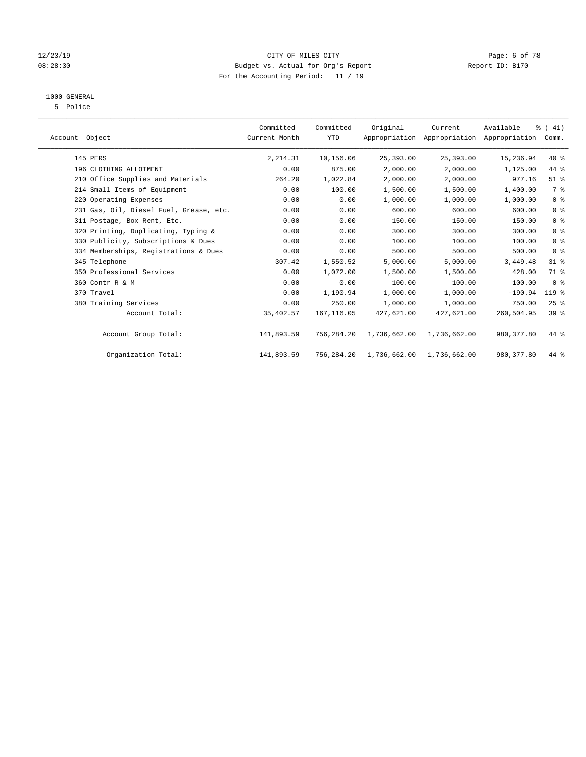#### 12/23/19 CITY OF MILES CITY Page: 6 of 78 08:28:30 Budget vs. Actual for Org's Report Changer Report ID: B170 For the Accounting Period: 11 / 19

## 1000 GENERAL

5 Police

| Account Object                          | Committed<br>Current Month | Committed<br><b>YTD</b> | Original     | Current      | Available<br>Appropriation Appropriation Appropriation | $\frac{1}{6}$ (41)<br>Comm. |  |
|-----------------------------------------|----------------------------|-------------------------|--------------|--------------|--------------------------------------------------------|-----------------------------|--|
| 145 PERS                                | 2,214.31                   | 10,156.06               | 25,393.00    | 25,393.00    | 15,236.94                                              | $40*$                       |  |
| 196 CLOTHING ALLOTMENT                  | 0.00                       | 875.00                  | 2,000.00     | 2,000.00     | 1,125.00                                               | 44 %                        |  |
| 210 Office Supplies and Materials       | 264.20                     | 1,022.84                | 2,000.00     | 2,000.00     | 977.16                                                 | $51$ %                      |  |
| 214 Small Items of Equipment            | 0.00                       | 100.00                  | 1,500.00     | 1,500.00     | 1,400.00                                               | 7 %                         |  |
| 220 Operating Expenses                  | 0.00                       | 0.00                    | 1,000.00     | 1,000.00     | 1,000.00                                               | 0 <sup>8</sup>              |  |
| 231 Gas, Oil, Diesel Fuel, Grease, etc. | 0.00                       | 0.00                    | 600.00       | 600.00       | 600.00                                                 | 0 <sup>8</sup>              |  |
| 311 Postage, Box Rent, Etc.             | 0.00                       | 0.00                    | 150.00       | 150.00       | 150.00                                                 | 0 <sup>8</sup>              |  |
| 320 Printing, Duplicating, Typing &     | 0.00                       | 0.00                    | 300.00       | 300.00       | 300.00                                                 | 0 <sup>8</sup>              |  |
| 330 Publicity, Subscriptions & Dues     | 0.00                       | 0.00                    | 100.00       | 100.00       | 100.00                                                 | 0 <sup>8</sup>              |  |
| 334 Memberships, Registrations & Dues   | 0.00                       | 0.00                    | 500.00       | 500.00       | 500.00                                                 | 0 <sup>8</sup>              |  |
| 345 Telephone                           | 307.42                     | 1,550.52                | 5,000.00     | 5,000.00     | 3,449.48                                               | $31$ %                      |  |
| 350 Professional Services               | 0.00                       | 1,072.00                | 1,500.00     | 1,500.00     | 428.00                                                 | 71 %                        |  |
| 360 Contr R & M                         | 0.00                       | 0.00                    | 100.00       | 100.00       | 100.00                                                 | 0 <sup>8</sup>              |  |
| 370 Travel                              | 0.00                       | 1,190.94                | 1,000.00     | 1,000.00     | $-190.94$                                              | 119 %                       |  |
| 380 Training Services                   | 0.00                       | 250.00                  | 1,000.00     | 1,000.00     | 750.00                                                 | 25%                         |  |
| Account Total:                          | 35,402.57                  | 167, 116.05             | 427,621.00   | 427,621.00   | 260,504.95                                             | $39*$                       |  |
| Account Group Total:                    | 141,893.59                 | 756,284.20              | 1,736,662.00 | 1,736,662.00 | 980, 377.80                                            | 44 %                        |  |
| Organization Total:                     | 141,893.59                 | 756,284.20              | 1,736,662.00 | 1,736,662.00 | 980, 377.80                                            | 44 %                        |  |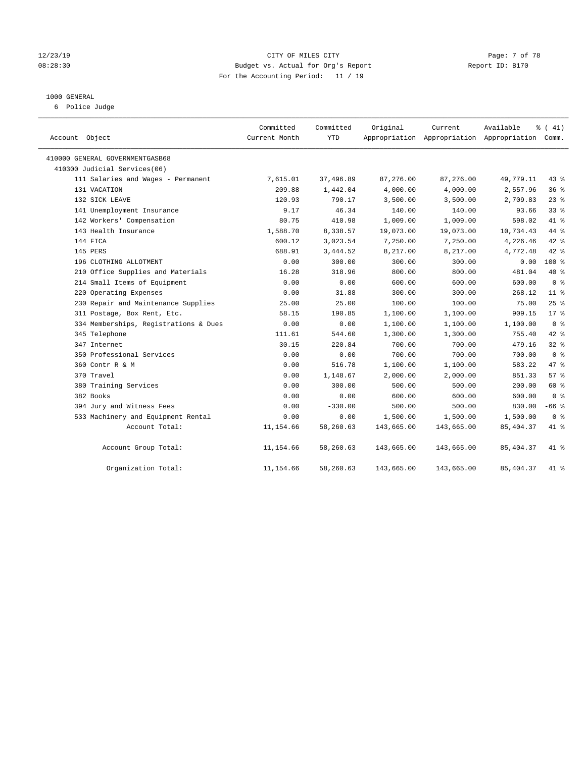#### 12/23/19 CITY OF MILES CITY Page: 7 of 78 08:28:30 Budget vs. Actual for Org's Report Report ID: B170 For the Accounting Period: 11 / 19

#### 1000 GENERAL

6 Police Judge

| Account Object                        | Committed<br>Current Month | Committed<br><b>YTD</b> | Original   | Current    | Available<br>Appropriation Appropriation Appropriation Comm. | % (41)          |
|---------------------------------------|----------------------------|-------------------------|------------|------------|--------------------------------------------------------------|-----------------|
| 410000 GENERAL GOVERNMENTGASB68       |                            |                         |            |            |                                                              |                 |
| 410300 Judicial Services(06)          |                            |                         |            |            |                                                              |                 |
| 111 Salaries and Wages - Permanent    | 7,615.01                   | 37,496.89               | 87,276.00  | 87,276.00  | 49,779.11                                                    | $43$ %          |
| 131 VACATION                          | 209.88                     | 1,442.04                | 4,000.00   | 4,000.00   | 2,557.96                                                     | 36%             |
| 132 SICK LEAVE                        | 120.93                     | 790.17                  | 3,500.00   | 3,500.00   | 2,709.83                                                     | $23$ %          |
| 141 Unemployment Insurance            | 9.17                       | 46.34                   | 140.00     | 140.00     | 93.66                                                        | $33$ $%$        |
| 142 Workers' Compensation             | 80.75                      | 410.98                  | 1,009.00   | 1,009.00   | 598.02                                                       | 41.8            |
| 143 Health Insurance                  | 1,588.70                   | 8,338.57                | 19,073.00  | 19,073.00  | 10,734.43                                                    | 44 %            |
| 144 FICA                              | 600.12                     | 3,023.54                | 7,250.00   | 7,250.00   | 4,226.46                                                     | 42.8            |
| 145 PERS                              | 688.91                     | 3,444.52                | 8,217.00   | 8,217.00   | 4,772.48                                                     | 42 %            |
| 196 CLOTHING ALLOTMENT                | 0.00                       | 300.00                  | 300.00     | 300.00     | 0.00                                                         | $100*$          |
| 210 Office Supplies and Materials     | 16.28                      | 318.96                  | 800.00     | 800.00     | 481.04                                                       | 40 %            |
| 214 Small Items of Equipment          | 0.00                       | 0.00                    | 600.00     | 600.00     | 600.00                                                       | 0 <sup>8</sup>  |
| 220 Operating Expenses                | 0.00                       | 31.88                   | 300.00     | 300.00     | 268.12                                                       | 11 <sup>°</sup> |
| 230 Repair and Maintenance Supplies   | 25.00                      | 25.00                   | 100.00     | 100.00     | 75.00                                                        | 25%             |
| 311 Postage, Box Rent, Etc.           | 58.15                      | 190.85                  | 1,100.00   | 1,100.00   | 909.15                                                       | $17*$           |
| 334 Memberships, Registrations & Dues | 0.00                       | 0.00                    | 1,100.00   | 1,100.00   | 1,100.00                                                     | 0 <sup>8</sup>  |
| 345 Telephone                         | 111.61                     | 544.60                  | 1,300.00   | 1,300.00   | 755.40                                                       | 42 %            |
| 347 Internet                          | 30.15                      | 220.84                  | 700.00     | 700.00     | 479.16                                                       | 32%             |
| 350 Professional Services             | 0.00                       | 0.00                    | 700.00     | 700.00     | 700.00                                                       | 0 <sup>8</sup>  |
| 360 Contr R & M                       | 0.00                       | 516.78                  | 1,100.00   | 1,100.00   | 583.22                                                       | 47.8            |
| 370 Travel                            | 0.00                       | 1,148.67                | 2,000.00   | 2,000.00   | 851.33                                                       | 57%             |
| 380 Training Services                 | 0.00                       | 300.00                  | 500.00     | 500.00     | 200.00                                                       | 60 %            |
| 382 Books                             | 0.00                       | 0.00                    | 600.00     | 600.00     | 600.00                                                       | 0 <sup>8</sup>  |
| 394 Jury and Witness Fees             | 0.00                       | $-330.00$               | 500.00     | 500.00     | 830.00                                                       | $-66$ %         |
| 533 Machinery and Equipment Rental    | 0.00                       | 0.00                    | 1,500.00   | 1,500.00   | 1,500.00                                                     | 0 <sup>8</sup>  |
| Account Total:                        | 11,154.66                  | 58,260.63               | 143,665.00 | 143,665.00 | 85, 404.37                                                   | 41.8            |
| Account Group Total:                  | 11,154.66                  | 58,260.63               | 143,665.00 | 143,665.00 | 85, 404.37                                                   | 41 %            |
| Organization Total:                   | 11,154.66                  | 58,260.63               | 143,665.00 | 143,665.00 | 85, 404.37                                                   | 41 %            |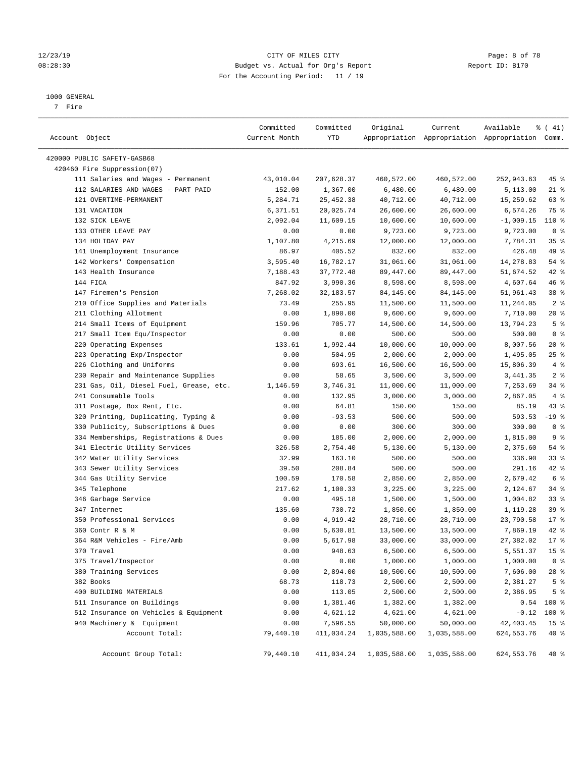#### 12/23/19 CITY OF MILES CITY Page: 8 of 78 08:28:30 Budget vs. Actual for Org's Report Changer Report ID: B170 For the Accounting Period: 11 / 19

#### 1000 GENERAL

7 Fire

| Account Object                          | Committed<br>Current Month | Committed<br>YTD | Original     | Current      | Available<br>Appropriation Appropriation Appropriation Comm. | $\frac{1}{6}$ ( 41) |
|-----------------------------------------|----------------------------|------------------|--------------|--------------|--------------------------------------------------------------|---------------------|
| 420000 PUBLIC SAFETY-GASB68             |                            |                  |              |              |                                                              |                     |
| 420460 Fire Suppression(07)             |                            |                  |              |              |                                                              |                     |
| 111 Salaries and Wages - Permanent      | 43,010.04                  | 207,628.37       | 460,572.00   | 460,572.00   | 252,943.63                                                   | 45 %                |
| 112 SALARIES AND WAGES - PART PAID      | 152.00                     | 1,367.00         | 6,480.00     | 6,480.00     | 5,113.00                                                     | $21$ %              |
| 121 OVERTIME-PERMANENT                  | 5,284.71                   | 25, 452.38       | 40,712.00    | 40,712.00    | 15,259.62                                                    | 63 %                |
| 131 VACATION                            | 6,371.51                   | 20,025.74        | 26,600.00    | 26,600.00    | 6,574.26                                                     | 75 %                |
| 132 SICK LEAVE                          | 2,092.04                   | 11,609.15        | 10,600.00    | 10,600.00    | $-1,009.15$                                                  | $110*$              |
| 133 OTHER LEAVE PAY                     | 0.00                       | 0.00             | 9,723.00     | 9,723.00     | 9,723.00                                                     | 0 <sup>8</sup>      |
| 134 HOLIDAY PAY                         | 1,107.80                   | 4,215.69         | 12,000.00    | 12,000.00    | 7,784.31                                                     | 35%                 |
| 141 Unemployment Insurance              | 86.97                      | 405.52           | 832.00       | 832.00       | 426.48                                                       | 49 %                |
| 142 Workers' Compensation               | 3,595.40                   | 16,782.17        | 31,061.00    | 31,061.00    | 14,278.83                                                    | $54$ %              |
| 143 Health Insurance                    | 7,188.43                   | 37,772.48        | 89,447.00    | 89,447.00    | 51,674.52                                                    | 42 %                |
| 144 FICA                                | 847.92                     | 3,990.36         | 8,598.00     | 8,598.00     | 4,607.64                                                     | 46 %                |
| 147 Firemen's Pension                   | 7,268.02                   | 32, 183.57       | 84,145.00    | 84,145.00    | 51,961.43                                                    | 38 %                |
| 210 Office Supplies and Materials       | 73.49                      | 255.95           | 11,500.00    | 11,500.00    | 11,244.05                                                    | 2 <sup>°</sup>      |
| 211 Clothing Allotment                  | 0.00                       | 1,890.00         | 9,600.00     | 9,600.00     | 7,710.00                                                     | $20*$               |
| 214 Small Items of Equipment            | 159.96                     | 705.77           | 14,500.00    | 14,500.00    | 13,794.23                                                    | 5 <sup>°</sup>      |
| 217 Small Item Equ/Inspector            | 0.00                       | 0.00             | 500.00       | 500.00       | 500.00                                                       | 0 <sup>8</sup>      |
| 220 Operating Expenses                  | 133.61                     | 1,992.44         | 10,000.00    | 10,000.00    | 8,007.56                                                     | $20*$               |
| 223 Operating Exp/Inspector             | 0.00                       | 504.95           | 2,000.00     | 2,000.00     | 1,495.05                                                     | $25$ %              |
| 226 Clothing and Uniforms               | 0.00                       | 693.61           | 16,500.00    | 16,500.00    | 15,806.39                                                    | 4%                  |
| 230 Repair and Maintenance Supplies     | 0.00                       | 58.65            | 3,500.00     | 3,500.00     | 3,441.35                                                     | 2 <sup>°</sup>      |
| 231 Gas, Oil, Diesel Fuel, Grease, etc. | 1,146.59                   | 3,746.31         | 11,000.00    | 11,000.00    | 7,253.69                                                     | 34%                 |
| 241 Consumable Tools                    | 0.00                       | 132.95           | 3,000.00     | 3,000.00     | 2,867.05                                                     | 4%                  |
| 311 Postage, Box Rent, Etc.             | 0.00                       | 64.81            | 150.00       | 150.00       | 85.19                                                        | 43 %                |
| 320 Printing, Duplicating, Typing &     | 0.00                       | $-93.53$         | 500.00       | 500.00       | 593.53                                                       | $-19$ %             |
| 330 Publicity, Subscriptions & Dues     | 0.00                       | 0.00             | 300.00       | 300.00       | 300.00                                                       | 0 <sup>8</sup>      |
| 334 Memberships, Registrations & Dues   | 0.00                       | 185.00           | 2,000.00     | 2,000.00     | 1,815.00                                                     | 9 <sup>°</sup>      |
| 341 Electric Utility Services           | 326.58                     | 2,754.40         | 5,130.00     | 5,130.00     | 2,375.60                                                     | $54$ %              |
| 342 Water Utility Services              | 32.99                      | 163.10           | 500.00       | 500.00       | 336.90                                                       | $33$ $%$            |
| 343 Sewer Utility Services              | 39.50                      | 208.84           | 500.00       | 500.00       | 291.16                                                       | $42$ %              |
| 344 Gas Utility Service                 | 100.59                     | 170.58           | 2,850.00     | 2,850.00     | 2,679.42                                                     | 6 <sup>°</sup>      |
| 345 Telephone                           | 217.62                     | 1,100.33         | 3,225.00     | 3,225.00     | 2,124.67                                                     | $34$ $%$            |
| 346 Garbage Service                     | 0.00                       | 495.18           | 1,500.00     | 1,500.00     | 1,004.82                                                     | 33%                 |
| 347 Internet                            | 135.60                     | 730.72           | 1,850.00     | 1,850.00     | 1,119.28                                                     | 39 <sup>8</sup>     |
| 350 Professional Services               | 0.00                       | 4,919.42         | 28,710.00    | 28,710.00    | 23,790.58                                                    | $17*$               |
| 360 Contr R & M                         | 0.00                       | 5,630.81         | 13,500.00    | 13,500.00    | 7,869.19                                                     | 42 %                |
| 364 R&M Vehicles - Fire/Amb             | 0.00                       | 5,617.98         | 33,000.00    | 33,000.00    | 27,382.02                                                    | 17.8                |
| 370 Travel                              | 0.00                       | 948.63           | 6,500.00     | 6,500.00     | 5,551.37                                                     | 15 <sup>°</sup>     |
| 375 Travel/Inspector                    | 0.00                       | 0.00             | 1,000.00     | 1,000.00     | 1,000.00                                                     | 0 <sup>8</sup>      |
| 380 Training Services                   | 0.00                       | 2,894.00         | 10,500.00    | 10,500.00    | 7,606.00                                                     | 28 %                |
| 382 Books                               | 68.73                      | 118.73           | 2,500.00     | 2,500.00     | 2,381.27                                                     | 5 <sup>°</sup>      |
| 400 BUILDING MATERIALS                  | 0.00                       | 113.05           | 2,500.00     | 2,500.00     | 2,386.95                                                     | 5 <sup>°</sup>      |
| 511 Insurance on Buildings              | 0.00                       | 1,381.46         | 1,382.00     | 1,382.00     |                                                              | $0.54$ 100 %        |
| 512 Insurance on Vehicles & Equipment   | 0.00                       | 4,621.12         | 4,621.00     | 4,621.00     | $-0.12$                                                      | 100 %               |
| 940 Machinery & Equipment               | 0.00                       | 7,596.55         | 50,000.00    | 50,000.00    | 42, 403.45                                                   | 15 <sup>°</sup>     |
| Account Total:                          | 79,440.10                  | 411,034.24       | 1,035,588.00 | 1,035,588.00 | 624, 553. 76                                                 | 40 %                |
| Account Group Total:                    | 79,440.10                  | 411,034.24       | 1,035,588.00 | 1,035,588.00 | 624, 553. 76                                                 | $40*$               |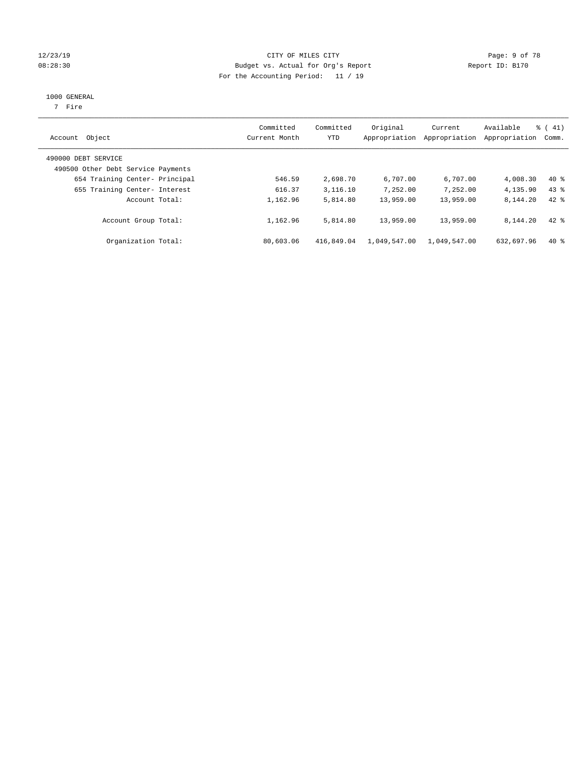#### 12/23/19 CITY OF MILES CITY Page: 9 of 78 08:28:30 Budget vs. Actual for Org's Report Changer Report ID: B170 For the Accounting Period: 11 / 19

#### 1000 GENERAL

7 Fire

| Account Object                                            | Committed<br>Current Month | Committed<br><b>YTD</b> | Original<br>Appropriation | Current<br>Appropriation | Available<br>Appropriation | $\frac{1}{6}$ ( 41)<br>Comm. |
|-----------------------------------------------------------|----------------------------|-------------------------|---------------------------|--------------------------|----------------------------|------------------------------|
| 490000 DEBT SERVICE<br>490500 Other Debt Service Payments |                            |                         |                           |                          |                            |                              |
| 654 Training Center- Principal                            | 546.59                     | 2,698.70                | 6,707.00                  | 6,707.00                 | 4,008.30                   | $40*$                        |
| 655 Training Center- Interest                             | 616.37                     | 3,116.10                | 7,252.00                  | 7,252.00                 | 4,135.90                   | $43*$                        |
| Account Total:                                            | 1,162.96                   | 5,814.80                | 13,959.00                 | 13,959.00                | 8,144.20                   | $42$ $%$                     |
| Account Group Total:                                      | 1,162.96                   | 5,814.80                | 13,959.00                 | 13,959.00                | 8,144.20                   | $42$ $%$                     |
| Organization Total:                                       | 80,603.06                  | 416,849.04              | 1,049,547.00              | 1,049,547.00             | 632,697.96                 | $40*$                        |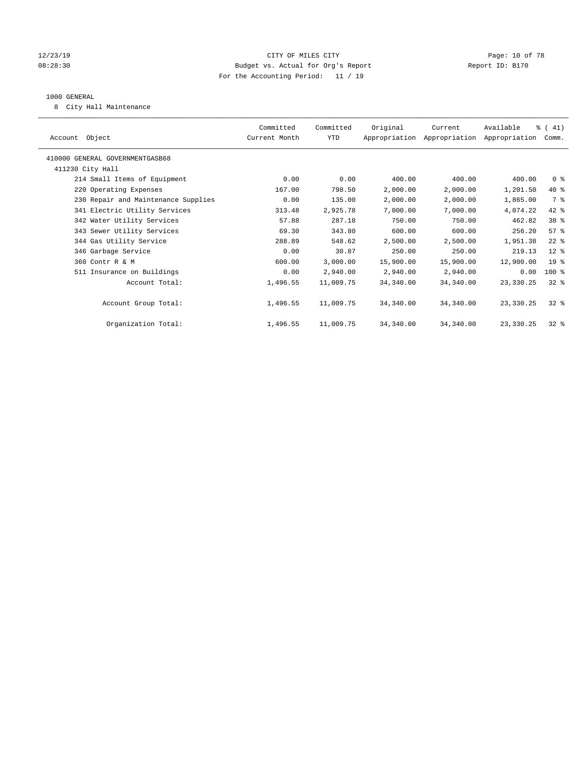#### 12/23/19 Page: 10 of 78 CITY OF MILES CITY CHANGES OF THE PAGE: 10 of 78 08:28:30 Budget vs. Actual for Org's Report Changer Report ID: B170 For the Accounting Period: 11 / 19

#### 1000 GENERAL

8 City Hall Maintenance

| Account Object                      | Committed<br>Current Month | Committed<br>YTD | Original  | Current<br>Appropriation Appropriation Appropriation | Available   | % (41)<br>Comm. |  |
|-------------------------------------|----------------------------|------------------|-----------|------------------------------------------------------|-------------|-----------------|--|
| 410000 GENERAL GOVERNMENTGASB68     |                            |                  |           |                                                      |             |                 |  |
| 411230 City Hall                    |                            |                  |           |                                                      |             |                 |  |
| 214 Small Items of Equipment        | 0.00                       | 0.00             | 400.00    | 400.00                                               | 400.00      | 0 <sup>8</sup>  |  |
| 220 Operating Expenses              | 167.00                     | 798.50           | 2,000.00  | 2,000.00                                             | 1,201.50    | 40 %            |  |
| 230 Repair and Maintenance Supplies | 0.00                       | 135.00           | 2,000.00  | 2,000.00                                             | 1,865.00    | 7 %             |  |
| 341 Electric Utility Services       | 313.48                     | 2,925.78         | 7,000.00  | 7,000.00                                             | 4,074.22    | 42 %            |  |
| 342 Water Utility Services          | 57.88                      | 287.18           | 750.00    | 750.00                                               | 462.82      | 38 %            |  |
| 343 Sewer Utility Services          | 69.30                      | 343.80           | 600.00    | 600.00                                               | 256.20      | 57%             |  |
| 344 Gas Utility Service             | 288.89                     | 548.62           | 2,500.00  | 2,500.00                                             | 1,951.38    | $22$ %          |  |
| 346 Garbage Service                 | 0.00                       | 30.87            | 250.00    | 250.00                                               | 219.13      | $12$ %          |  |
| 360 Contr R & M                     | 600.00                     | 3,000.00         | 15,900.00 | 15,900.00                                            | 12,900.00   | 19 <sup>°</sup> |  |
| 511 Insurance on Buildings          | 0.00                       | 2,940.00         | 2,940.00  | 2,940.00                                             | 0.00        | 100 %           |  |
| Account Total:                      | 1,496.55                   | 11,009.75        | 34,340.00 | 34,340.00                                            | 23,330.25   | $32*$           |  |
|                                     |                            |                  |           |                                                      |             |                 |  |
| Account Group Total:                | 1,496.55                   | 11,009.75        | 34,340.00 | 34,340.00                                            | 23,330.25   | $32*$           |  |
|                                     |                            |                  |           |                                                      |             |                 |  |
| Organization Total:                 | 1,496.55                   | 11,009.75        | 34,340.00 | 34,340.00                                            | 23, 330, 25 | $32*$           |  |
|                                     |                            |                  |           |                                                      |             |                 |  |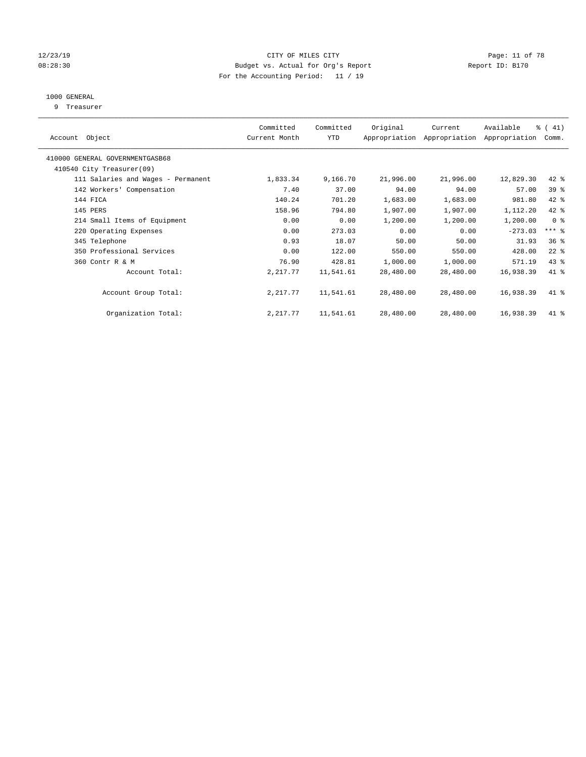#### 12/23/19 Page: 11 of 78 CITY OF MILES CITY CHANGES OF THE PAGE: 11 of 78 08:28:30 Budget vs. Actual for Org's Report Changer Report ID: B170 For the Accounting Period: 11 / 19

## 1000 GENERAL

9 Treasurer

| Object<br>Account                  | Committed<br>Current Month | Committed<br>YTD | Original  | Current<br>Appropriation Appropriation | Available<br>Appropriation | % (41)<br>Comm. |  |
|------------------------------------|----------------------------|------------------|-----------|----------------------------------------|----------------------------|-----------------|--|
| 410000 GENERAL GOVERNMENTGASB68    |                            |                  |           |                                        |                            |                 |  |
| 410540 City Treasurer(09)          |                            |                  |           |                                        |                            |                 |  |
| 111 Salaries and Wages - Permanent | 1,833.34                   | 9,166.70         | 21,996.00 | 21,996.00                              | 12,829.30                  | $42$ %          |  |
| 142 Workers' Compensation          | 7.40                       | 37.00            | 94.00     | 94.00                                  | 57.00                      | 39 %            |  |
| 144 FICA                           | 140.24                     | 701.20           | 1,683.00  | 1,683.00                               | 981.80                     | 42 %            |  |
| 145 PERS                           | 158.96                     | 794.80           | 1,907.00  | 1,907.00                               | 1,112.20                   | 42 %            |  |
| 214 Small Items of Equipment       | 0.00                       | 0.00             | 1,200.00  | 1,200.00                               | 1,200.00                   | 0 <sup>8</sup>  |  |
| 220 Operating Expenses             | 0.00                       | 273.03           | 0.00      | 0.00                                   | $-273.03$                  | $***$ $-$       |  |
| 345 Telephone                      | 0.93                       | 18.07            | 50.00     | 50.00                                  | 31.93                      | 36 <sup>8</sup> |  |
| 350 Professional Services          | 0.00                       | 122.00           | 550.00    | 550.00                                 | 428.00                     | $22$ %          |  |
| 360 Contr R & M                    | 76.90                      | 428.81           | 1,000.00  | 1,000.00                               | 571.19                     | $43$ %          |  |
| Account Total:                     | 2,217.77                   | 11,541.61        | 28,480.00 | 28,480.00                              | 16,938.39                  | 41 %            |  |
| Account Group Total:               | 2, 217.77                  | 11,541.61        | 28,480.00 | 28,480.00                              | 16,938.39                  | 41 %            |  |
| Organization Total:                | 2, 217.77                  | 11,541.61        | 28,480.00 | 28,480.00                              | 16,938.39                  | 41 %            |  |
|                                    |                            |                  |           |                                        |                            |                 |  |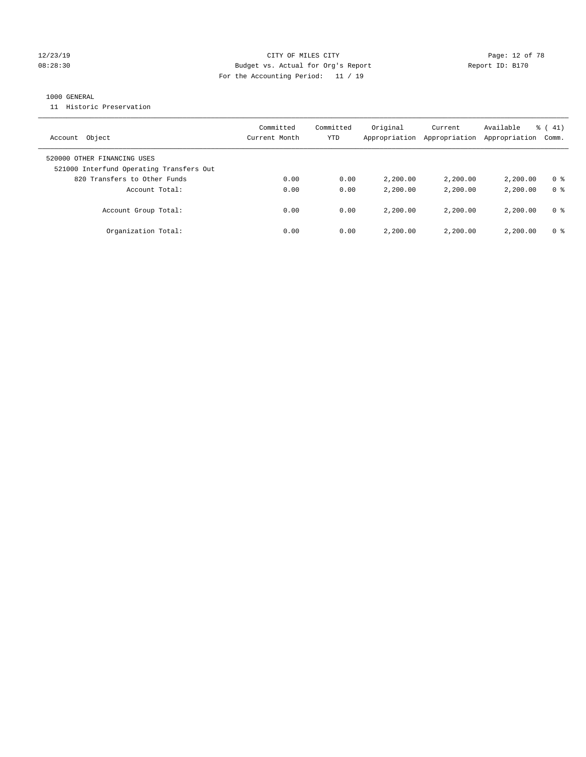#### 12/23/19 Page: 12 of 78 CITY OF MILES CITY CHANGES CONTROL PAGE: 12 of 78 08:28:30 Budget vs. Actual for Org's Report Report ID: B170 For the Accounting Period: 11 / 19

### 1000 GENERAL

11 Historic Preservation

| Object<br>Account                                                       | Committed<br>Current Month | Committed<br>YTD | Original<br>Appropriation | Current<br>Appropriation | Available<br>Appropriation | $\frac{1}{6}$ ( 41)<br>Comm. |
|-------------------------------------------------------------------------|----------------------------|------------------|---------------------------|--------------------------|----------------------------|------------------------------|
| 520000 OTHER FINANCING USES<br>521000 Interfund Operating Transfers Out |                            |                  |                           |                          |                            |                              |
| 820 Transfers to Other Funds                                            | 0.00                       | 0.00             | 2,200.00                  | 2,200,00                 | 2,200.00                   | 0 %                          |
| Account Total:                                                          | 0.00                       | 0.00             | 2,200.00                  | 2,200,00                 | 2,200.00                   | 0 <sup>8</sup>               |
| Account Group Total:                                                    | 0.00                       | 0.00             | 2,200.00                  | 2,200,00                 | 2,200.00                   | 0 %                          |
| Organization Total:                                                     | 0.00                       | 0.00             | 2,200.00                  | 2,200.00                 | 2,200.00                   | 0 %                          |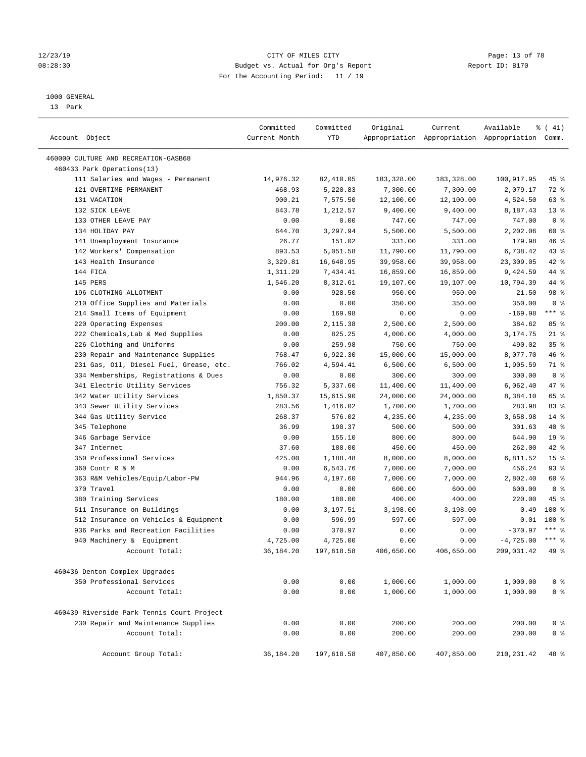#### 12/23/19 **Page: 13 of 78** CITY OF MILES CITY **Page: 13 of 78** 08:28:30 Budget vs. Actual for Org's Report Changer Report ID: B170 For the Accounting Period: 11 / 19

————————————————————————————————————————————————————————————————————————————————————————————————————————————————————————————————————

#### 1000 GENERAL

13 Park

|                                            | Committed     | Committed  | Original   | Current    | Available                                       | $\frac{1}{6}$ ( 41) |
|--------------------------------------------|---------------|------------|------------|------------|-------------------------------------------------|---------------------|
| Account Object                             | Current Month | YTD        |            |            | Appropriation Appropriation Appropriation Comm. |                     |
| 460000 CULTURE AND RECREATION-GASB68       |               |            |            |            |                                                 |                     |
| 460433 Park Operations(13)                 |               |            |            |            |                                                 |                     |
| 111 Salaries and Wages - Permanent         | 14,976.32     | 82,410.05  | 183,328.00 | 183,328.00 | 100,917.95                                      | 45 %                |
| 121 OVERTIME-PERMANENT                     | 468.93        | 5,220.83   | 7,300.00   | 7,300.00   | 2,079.17                                        | $72$ $%$            |
| 131 VACATION                               | 900.21        | 7,575.50   | 12,100.00  | 12,100.00  | 4,524.50                                        | 63 %                |
| 132 SICK LEAVE                             | 843.78        | 1,212.57   | 9,400.00   | 9,400.00   | 8,187.43                                        | $13*$               |
| 133 OTHER LEAVE PAY                        | 0.00          | 0.00       | 747.00     | 747.00     | 747.00                                          | 0 <sup>8</sup>      |
| 134 HOLIDAY PAY                            | 644.70        | 3,297.94   | 5,500.00   | 5,500.00   | 2,202.06                                        | 60 %                |
| 141 Unemployment Insurance                 | 26.77         | 151.02     | 331.00     | 331.00     | 179.98                                          | 46 %                |
| 142 Workers' Compensation                  | 893.53        | 5,051.58   | 11,790.00  | 11,790.00  | 6,738.42                                        | 43 %                |
| 143 Health Insurance                       | 3,329.81      | 16,648.95  | 39,958.00  | 39,958.00  | 23,309.05                                       | 42 %                |
| 144 FICA                                   | 1,311.29      | 7,434.41   | 16,859.00  | 16,859.00  | 9,424.59                                        | 44 %                |
| 145 PERS                                   | 1,546.20      | 8,312.61   | 19,107.00  | 19,107.00  | 10,794.39                                       | 44 %                |
| 196 CLOTHING ALLOTMENT                     | 0.00          | 928.50     | 950.00     | 950.00     | 21.50                                           | 98 %                |
| 210 Office Supplies and Materials          | 0.00          | 0.00       | 350.00     | 350.00     | 350.00                                          | 0 <sup>8</sup>      |
| 214 Small Items of Equipment               | 0.00          | 169.98     | 0.00       | 0.00       | $-169.98$                                       | $***$ $-$           |
| 220 Operating Expenses                     | 200.00        | 2,115.38   | 2,500.00   | 2,500.00   | 384.62                                          | 85%                 |
| 222 Chemicals, Lab & Med Supplies          | 0.00          | 825.25     | 4,000.00   | 4,000.00   | 3,174.75                                        | $21$ %              |
| 226 Clothing and Uniforms                  | 0.00          | 259.98     | 750.00     | 750.00     | 490.02                                          | 35%                 |
| 230 Repair and Maintenance Supplies        | 768.47        | 6,922.30   | 15,000.00  | 15,000.00  | 8,077.70                                        | 46 %                |
| 231 Gas, Oil, Diesel Fuel, Grease, etc.    | 766.02        | 4,594.41   | 6,500.00   | 6,500.00   | 1,905.59                                        | 71 %                |
| 334 Memberships, Registrations & Dues      | 0.00          | 0.00       | 300.00     | 300.00     | 300.00                                          | 0 <sup>8</sup>      |
| 341 Electric Utility Services              | 756.32        | 5,337.60   | 11,400.00  | 11,400.00  | 6,062.40                                        | 47 %                |
| 342 Water Utility Services                 | 1,850.37      | 15,615.90  | 24,000.00  | 24,000.00  | 8,384.10                                        | 65 %                |
| 343 Sewer Utility Services                 | 283.56        | 1,416.02   | 1,700.00   | 1,700.00   | 283.98                                          | 83%                 |
| 344 Gas Utility Service                    | 268.37        | 576.02     | 4,235.00   | 4,235.00   | 3,658.98                                        | $14*$               |
| 345 Telephone                              | 36.99         | 198.37     | 500.00     | 500.00     | 301.63                                          | 40 %                |
| 346 Garbage Service                        | 0.00          | 155.10     | 800.00     | 800.00     | 644.90                                          | 19 <sup>°</sup>     |
| 347 Internet                               | 37.60         | 188.00     | 450.00     | 450.00     | 262.00                                          | 42 %                |
| 350 Professional Services                  | 425.00        | 1,188.48   | 8,000.00   | 8,000.00   | 6,811.52                                        | 15 <sup>°</sup>     |
| 360 Contr R & M                            | 0.00          | 6,543.76   | 7,000.00   | 7,000.00   | 456.24                                          | $93$ $%$            |
| 363 R&M Vehicles/Equip/Labor-PW            | 944.96        | 4,197.60   | 7,000.00   | 7,000.00   | 2,802.40                                        | 60 %                |
| 370 Travel                                 | 0.00          | 0.00       | 600.00     | 600.00     | 600.00                                          | 0 <sup>8</sup>      |
| 380 Training Services                      | 180.00        | 180.00     | 400.00     | 400.00     | 220.00                                          | 45 %                |
| 511 Insurance on Buildings                 | 0.00          | 3,197.51   | 3,198.00   | 3,198.00   | 0.49                                            | $100$ %             |
| 512 Insurance on Vehicles & Equipment      | 0.00          | 596.99     | 597.00     | 597.00     | 0.01                                            | 100 %               |
| 936 Parks and Recreation Facilities        | 0.00          | 370.97     | 0.00       | 0.00       | $-370.97$                                       | $***$ $%$           |
| 940 Machinery & Equipment                  | 4,725.00      | 4,725.00   | 0.00       | 0.00       | $-4,725.00$ *** \$                              |                     |
| Account Total:                             | 36,184.20     | 197,618.58 | 406,650.00 | 406,650.00 | 209,031.42                                      | $49*$               |
| 460436 Denton Complex Upgrades             |               |            |            |            |                                                 |                     |
| 350 Professional Services                  | 0.00          | 0.00       | 1,000.00   | 1,000.00   | 1,000.00                                        | 0 <sup>8</sup>      |
| Account Total:                             | 0.00          | 0.00       | 1,000.00   | 1,000.00   | 1,000.00                                        | 0 <sup>°</sup>      |
| 460439 Riverside Park Tennis Court Project |               |            |            |            |                                                 |                     |
| 230 Repair and Maintenance Supplies        | 0.00          | 0.00       | 200.00     | 200.00     | 200.00                                          | 0 <sup>8</sup>      |
| Account Total:                             | 0.00          | 0.00       | 200.00     | 200.00     | 200.00                                          | 0 <sup>°</sup>      |
| Account Group Total:                       | 36,184.20     | 197,618.58 | 407,850.00 | 407,850.00 | 210, 231.42                                     | 48 %                |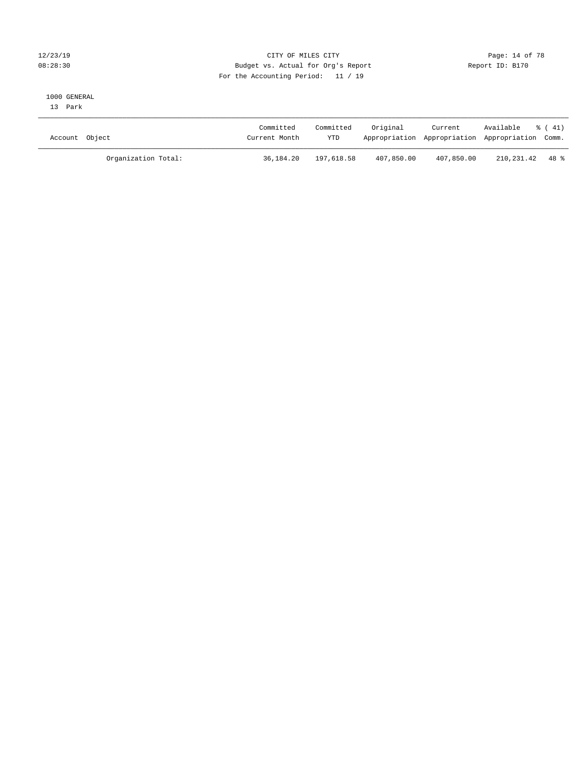### 12/23/19 Page: 14 of 78 08:28:30 Budget vs. Actual for Org's Report Changer Report ID: B170 For the Accounting Period: 11 / 19

#### 1000 GENERAL

13 Park

| Account Object      | Committed<br>Current Month | Committed<br><b>YTD</b> | Original   | Current<br>Appropriation Appropriation Appropriation Comm. | Available       | 8 ( 41) |
|---------------------|----------------------------|-------------------------|------------|------------------------------------------------------------|-----------------|---------|
| Organization Total: | 36,184.20                  | 197,618.58              | 407,850.00 | 407,850.00                                                 | 210,231.42 48 % |         |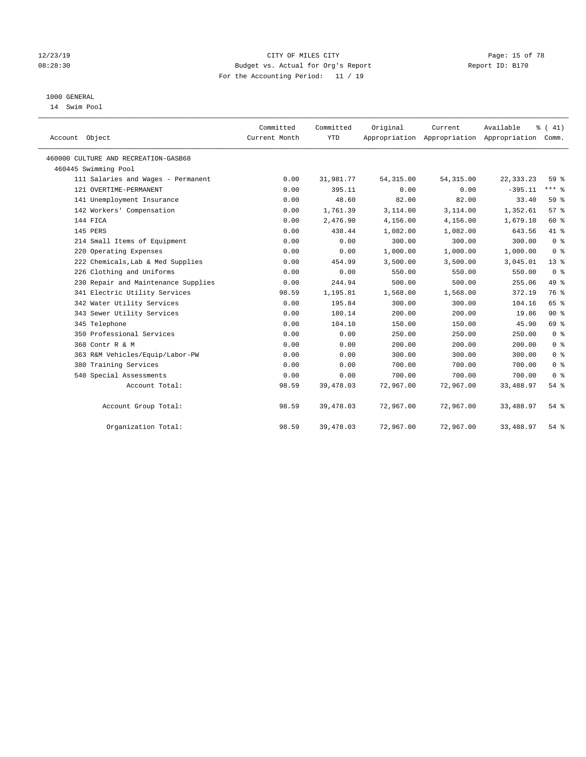#### 12/23/19 Page: 15 of 78 08:28:30 Budget vs. Actual for Org's Report Report ID: B170 For the Accounting Period: 11 / 19

## 1000 GENERAL

14 Swim Pool

| Account Object                       | Committed<br>Current Month | Committed<br><b>YTD</b> | Original   | Current    | Available<br>Appropriation Appropriation Appropriation | % (41)<br>Comm. |
|--------------------------------------|----------------------------|-------------------------|------------|------------|--------------------------------------------------------|-----------------|
| 460000 CULTURE AND RECREATION-GASB68 |                            |                         |            |            |                                                        |                 |
| 460445 Swimming Pool                 |                            |                         |            |            |                                                        |                 |
| 111 Salaries and Wages - Permanent   | 0.00                       | 31,981.77               | 54, 315.00 | 54, 315.00 | 22, 333. 23                                            | 59 %            |
| 121 OVERTIME-PERMANENT               | 0.00                       | 395.11                  | 0.00       | 0.00       | $-395.11$                                              | $***$ $%$       |
| 141 Unemployment Insurance           | 0.00                       | 48.60                   | 82.00      | 82.00      | 33.40                                                  | 59 %            |
| 142 Workers' Compensation            | 0.00                       | 1,761.39                | 3,114.00   | 3,114.00   | 1,352.61                                               | 57%             |
| 144 FICA                             | 0.00                       | 2,476.90                | 4,156.00   | 4,156.00   | 1,679.10                                               | 60 %            |
| 145 PERS                             | 0.00                       | 438.44                  | 1,082.00   | 1,082.00   | 643.56                                                 | 41 %            |
| 214 Small Items of Equipment         | 0.00                       | 0.00                    | 300.00     | 300.00     | 300.00                                                 | 0 <sup>8</sup>  |
| 220 Operating Expenses               | 0.00                       | 0.00                    | 1,000.00   | 1,000.00   | 1,000.00                                               | 0 <sup>8</sup>  |
| 222 Chemicals, Lab & Med Supplies    | 0.00                       | 454.99                  | 3,500.00   | 3,500.00   | 3,045.01                                               | $13*$           |
| 226 Clothing and Uniforms            | 0.00                       | 0.00                    | 550.00     | 550.00     | 550.00                                                 | 0 <sup>8</sup>  |
| 230 Repair and Maintenance Supplies  | 0.00                       | 244.94                  | 500.00     | 500.00     | 255.06                                                 | 49 %            |
| 341 Electric Utility Services        | 98.59                      | 1,195.81                | 1,568.00   | 1,568.00   | 372.19                                                 | 76 %            |
| 342 Water Utility Services           | 0.00                       | 195.84                  | 300.00     | 300.00     | 104.16                                                 | 65 %            |
| 343 Sewer Utility Services           | 0.00                       | 180.14                  | 200.00     | 200.00     | 19.86                                                  | 90%             |
| 345 Telephone                        | 0.00                       | 104.10                  | 150.00     | 150.00     | 45.90                                                  | 69 %            |
| 350 Professional Services            | 0.00                       | 0.00                    | 250.00     | 250.00     | 250.00                                                 | 0 <sup>8</sup>  |
| 360 Contr R & M                      | 0.00                       | 0.00                    | 200.00     | 200.00     | 200.00                                                 | 0 <sup>8</sup>  |
| 363 R&M Vehicles/Equip/Labor-PW      | 0.00                       | 0.00                    | 300.00     | 300.00     | 300.00                                                 | 0 <sup>8</sup>  |
| 380 Training Services                | 0.00                       | 0.00                    | 700.00     | 700.00     | 700.00                                                 | 0 <sup>8</sup>  |
| 540 Special Assessments              | 0.00                       | 0.00                    | 700.00     | 700.00     | 700.00                                                 | 0 <sup>8</sup>  |
| Account Total:                       | 98.59                      | 39,478.03               | 72,967.00  | 72,967.00  | 33,488.97                                              | 54%             |
| Account Group Total:                 | 98.59                      | 39,478.03               | 72,967.00  | 72,967.00  | 33,488.97                                              | 54%             |
| Organization Total:                  | 98.59                      | 39,478.03               | 72,967.00  | 72,967.00  | 33,488.97                                              | 54%             |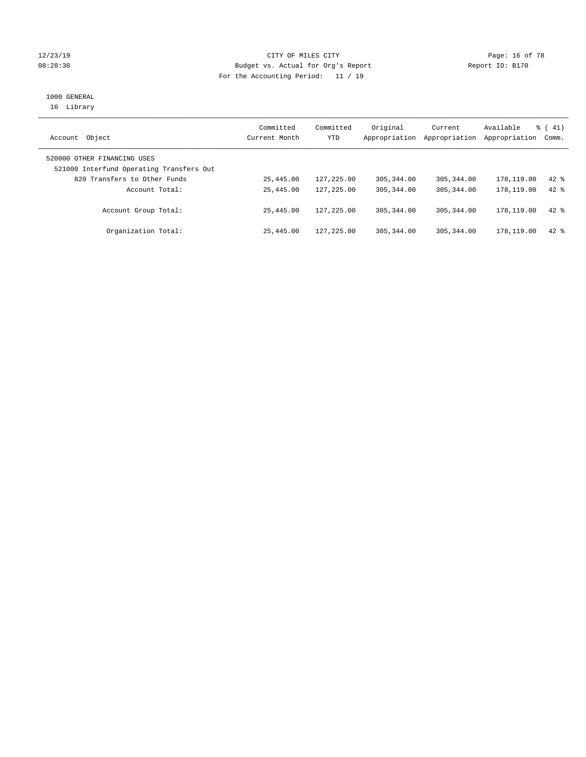#### 12/23/19 Page: 16 of 78 CITY OF MILES CITY CHANGES OF THE PAGE: 16 of 78 08:28:30 Budget vs. Actual for Org's Report Changer Report ID: B170 For the Accounting Period: 11 / 19

## 1000 GENERAL

16 Library

| Object<br>Account                                                       | Committed<br>Current Month | Committed<br>YTD | Original<br>Appropriation | Current<br>Appropriation | Available<br>Appropriation | $\frac{1}{6}$ ( 41)<br>Comm. |
|-------------------------------------------------------------------------|----------------------------|------------------|---------------------------|--------------------------|----------------------------|------------------------------|
| 520000 OTHER FINANCING USES<br>521000 Interfund Operating Transfers Out |                            |                  |                           |                          |                            |                              |
| 820 Transfers to Other Funds                                            | 25,445.00                  | 127,225.00       | 305, 344, 00              | 305, 344, 00             | 178,119.00                 | $42$ $%$                     |
| Account Total:                                                          | 25,445.00                  | 127,225.00       | 305, 344, 00              | 305, 344, 00             | 178,119.00                 | $42*$                        |
| Account Group Total:                                                    | 25,445.00                  | 127, 225, 00     | 305, 344, 00              | 305, 344, 00             | 178, 119.00                | $42$ $%$                     |
| Organization Total:                                                     | 25,445.00                  | 127,225.00       | 305, 344, 00              | 305, 344, 00             | 178,119.00                 | $42*$                        |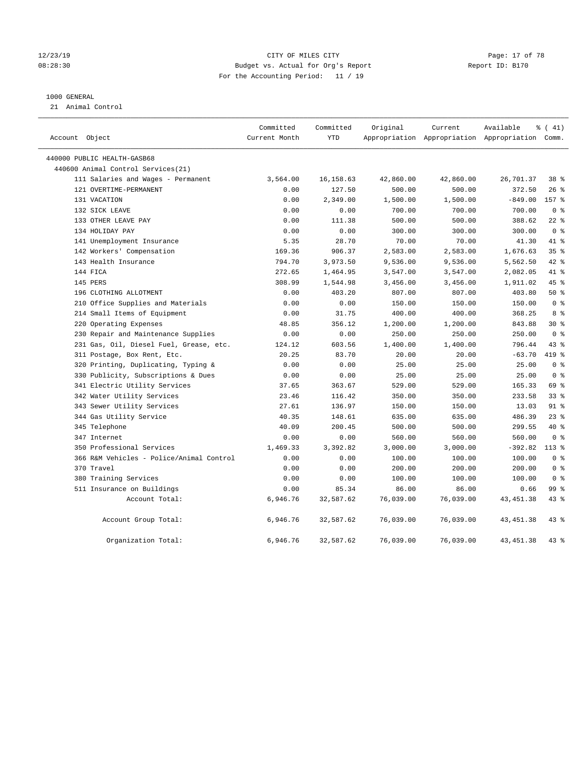#### 12/23/19 Page: 17 of 78 08:28:30 Budget vs. Actual for Org's Report Report ID: B170 For the Accounting Period: 11 / 19

#### 1000 GENERAL

21 Animal Control

| Account Object                           | Committed<br>Current Month | Committed<br><b>YTD</b> | Original  | Current   | Available<br>Appropriation Appropriation Appropriation Comm. | % (41)         |
|------------------------------------------|----------------------------|-------------------------|-----------|-----------|--------------------------------------------------------------|----------------|
| 440000 PUBLIC HEALTH-GASB68              |                            |                         |           |           |                                                              |                |
| 440600 Animal Control Services (21)      |                            |                         |           |           |                                                              |                |
| 111 Salaries and Wages - Permanent       | 3,564.00                   | 16, 158.63              | 42,860.00 | 42,860.00 | 26,701.37                                                    | 38 %           |
| 121 OVERTIME-PERMANENT                   | 0.00                       | 127.50                  | 500.00    | 500.00    | 372.50                                                       | 26%            |
| 131 VACATION                             | 0.00                       | 2,349.00                | 1,500.00  | 1,500.00  | $-849.00$                                                    | 157 %          |
| 132 SICK LEAVE                           | 0.00                       | 0.00                    | 700.00    | 700.00    | 700.00                                                       | 0 <sup>8</sup> |
| 133 OTHER LEAVE PAY                      | 0.00                       | 111.38                  | 500.00    | 500.00    | 388.62                                                       | $22$ %         |
| 134 HOLIDAY PAY                          | 0.00                       | 0.00                    | 300.00    | 300.00    | 300.00                                                       | 0 <sup>8</sup> |
| 141 Unemployment Insurance               | 5.35                       | 28.70                   | 70.00     | 70.00     | 41.30                                                        | 41 %           |
| 142 Workers' Compensation                | 169.36                     | 906.37                  | 2,583.00  | 2,583.00  | 1,676.63                                                     | 35%            |
| 143 Health Insurance                     | 794.70                     | 3,973.50                | 9,536.00  | 9,536.00  | 5,562.50                                                     | $42$ %         |
| 144 FICA                                 | 272.65                     | 1,464.95                | 3,547.00  | 3,547.00  | 2,082.05                                                     | 41.8           |
| 145 PERS                                 | 308.99                     | 1,544.98                | 3,456.00  | 3,456.00  | 1,911.02                                                     | 45%            |
| 196 CLOTHING ALLOTMENT                   | 0.00                       | 403.20                  | 807.00    | 807.00    | 403.80                                                       | 50%            |
| 210 Office Supplies and Materials        | 0.00                       | 0.00                    | 150.00    | 150.00    | 150.00                                                       | 0 <sup>8</sup> |
| 214 Small Items of Equipment             | 0.00                       | 31.75                   | 400.00    | 400.00    | 368.25                                                       | 8 %            |
| 220 Operating Expenses                   | 48.85                      | 356.12                  | 1,200.00  | 1,200.00  | 843.88                                                       | $30*$          |
| 230 Repair and Maintenance Supplies      | 0.00                       | 0.00                    | 250.00    | 250.00    | 250.00                                                       | 0 <sup>8</sup> |
| 231 Gas, Oil, Diesel Fuel, Grease, etc.  | 124.12                     | 603.56                  | 1,400.00  | 1,400.00  | 796.44                                                       | 43.8           |
| 311 Postage, Box Rent, Etc.              | 20.25                      | 83.70                   | 20.00     | 20.00     | $-63.70$                                                     | $419$ %        |
| 320 Printing, Duplicating, Typing &      | 0.00                       | 0.00                    | 25.00     | 25.00     | 25.00                                                        | 0 <sup>8</sup> |
| 330 Publicity, Subscriptions & Dues      | 0.00                       | 0.00                    | 25.00     | 25.00     | 25.00                                                        | 0 <sup>8</sup> |
| 341 Electric Utility Services            | 37.65                      | 363.67                  | 529.00    | 529.00    | 165.33                                                       | 69 %           |
| 342 Water Utility Services               | 23.46                      | 116.42                  | 350.00    | 350.00    | 233.58                                                       | 33%            |
| 343 Sewer Utility Services               | 27.61                      | 136.97                  | 150.00    | 150.00    | 13.03                                                        | $91$ %         |
| 344 Gas Utility Service                  | 40.35                      | 148.61                  | 635.00    | 635.00    | 486.39                                                       | $23$ $%$       |
| 345 Telephone                            | 40.09                      | 200.45                  | 500.00    | 500.00    | 299.55                                                       | 40 %           |
| 347 Internet                             | 0.00                       | 0.00                    | 560.00    | 560.00    | 560.00                                                       | 0 <sup>8</sup> |
| 350 Professional Services                | 1,469.33                   | 3,392.82                | 3,000.00  | 3,000.00  | $-392.82$                                                    | $113*$         |
| 366 R&M Vehicles - Police/Animal Control | 0.00                       | 0.00                    | 100.00    | 100.00    | 100.00                                                       | 0 <sup>8</sup> |
| 370 Travel                               | 0.00                       | 0.00                    | 200.00    | 200.00    | 200.00                                                       | 0 <sup>8</sup> |
| 380 Training Services                    | 0.00                       | 0.00                    | 100.00    | 100.00    | 100.00                                                       | 0 <sup>8</sup> |
| 511 Insurance on Buildings               | 0.00                       | 85.34                   | 86.00     | 86.00     | 0.66                                                         | 99 %           |
| Account Total:                           | 6,946.76                   | 32,587.62               | 76,039.00 | 76,039.00 | 43, 451.38                                                   | $43$ %         |
| Account Group Total:                     | 6,946.76                   | 32,587.62               | 76,039.00 | 76,039.00 | 43, 451.38                                                   | 43.8           |
| Organization Total:                      | 6,946.76                   | 32,587.62               | 76,039.00 | 76,039.00 | 43, 451.38                                                   | 43.8           |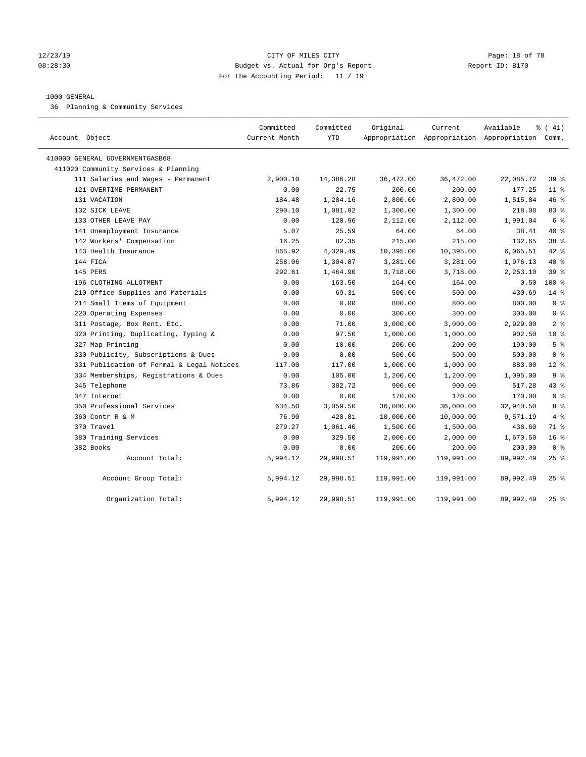#### 12/23/19 Page: 18 of 78 08:28:30 Budget vs. Actual for Org's Report Changer Report ID: B170 For the Accounting Period: 11 / 19

#### 1000 GENERAL

36 Planning & Community Services

| Account Object                            | Committed<br>Current Month | Committed<br><b>YTD</b> | Original   | Current    | Available<br>Appropriation Appropriation Appropriation Comm. | % (41)          |
|-------------------------------------------|----------------------------|-------------------------|------------|------------|--------------------------------------------------------------|-----------------|
| 410000 GENERAL GOVERNMENTGASB68           |                            |                         |            |            |                                                              |                 |
| 411020 Community Services & Planning      |                            |                         |            |            |                                                              |                 |
| 111 Salaries and Wages - Permanent        | 2,900.10                   | 14,386.28               | 36,472.00  | 36,472.00  | 22,085.72                                                    | 39%             |
| 121 OVERTIME-PERMANENT                    | 0.00                       | 22.75                   | 200.00     | 200.00     | 177.25                                                       | $11$ %          |
| 131 VACATION                              | 184.48                     | 1,284.16                | 2,800.00   | 2,800.00   | 1,515.84                                                     | 46 %            |
| 132 SICK LEAVE                            | 290.10                     | 1,081.92                | 1,300.00   | 1,300.00   | 218.08                                                       | 83 %            |
| 133 OTHER LEAVE PAY                       | 0.00                       | 120.96                  | 2,112.00   | 2,112.00   | 1,991.04                                                     | 6 %             |
| 141 Unemployment Insurance                | 5.07                       | 25.59                   | 64.00      | 64.00      | 38.41                                                        | 40 %            |
| 142 Workers' Compensation                 | 16.25                      | 82.35                   | 215.00     | 215.00     | 132.65                                                       | 38 %            |
| 143 Health Insurance                      | 865.92                     | 4,329.49                | 10,395.00  | 10,395.00  | 6,065.51                                                     | 42 %            |
| 144 FICA                                  | 258.06                     | 1,304.87                | 3,281.00   | 3,281.00   | 1,976.13                                                     | 40 %            |
| 145 PERS                                  | 292.61                     | 1,464.90                | 3,718.00   | 3,718.00   | 2,253.10                                                     | 39 <sup>8</sup> |
| 196 CLOTHING ALLOTMENT                    | 0.00                       | 163.50                  | 164.00     | 164.00     | 0.50                                                         | $100*$          |
| 210 Office Supplies and Materials         | 0.00                       | 69.31                   | 500.00     | 500.00     | 430.69                                                       | $14*$           |
| 214 Small Items of Equipment              | 0.00                       | 0.00                    | 800.00     | 800.00     | 800.00                                                       | 0 <sup>8</sup>  |
| 220 Operating Expenses                    | 0.00                       | 0.00                    | 300.00     | 300.00     | 300.00                                                       | 0 <sup>8</sup>  |
| 311 Postage, Box Rent, Etc.               | 0.00                       | 71.00                   | 3,000.00   | 3,000.00   | 2,929.00                                                     | 2 <sup>8</sup>  |
| 320 Printing, Duplicating, Typing &       | 0.00                       | 97.50                   | 1,000.00   | 1,000.00   | 902.50                                                       | $10*$           |
| 327 Map Printing                          | 0.00                       | 10.00                   | 200.00     | 200.00     | 190.00                                                       | 5 <sup>8</sup>  |
| 330 Publicity, Subscriptions & Dues       | 0.00                       | 0.00                    | 500.00     | 500.00     | 500.00                                                       | 0 <sup>8</sup>  |
| 331 Publication of Formal & Legal Notices | 117.00                     | 117.00                  | 1,000.00   | 1,000.00   | 883.00                                                       | $12*$           |
| 334 Memberships, Registrations & Dues     | 0.00                       | 105.00                  | 1,200.00   | 1,200.00   | 1,095.00                                                     | 9 <sup>°</sup>  |
| 345 Telephone                             | 73.86                      | 382.72                  | 900.00     | 900.00     | 517.28                                                       | 43.8            |
| 347 Internet                              | 0.00                       | 0.00                    | 170.00     | 170.00     | 170.00                                                       | 0 <sup>8</sup>  |
| 350 Professional Services                 | 634.50                     | 3,059.50                | 36,000.00  | 36,000.00  | 32,940.50                                                    | 8 %             |
| 360 Contr R & M                           | 76.90                      | 428.81                  | 10,000.00  | 10,000.00  | 9,571.19                                                     | 4%              |
| 370 Travel                                | 279.27                     | 1,061.40                | 1,500.00   | 1,500.00   | 438.60                                                       | 71 %            |
| 380 Training Services                     | 0.00                       | 329.50                  | 2,000.00   | 2,000.00   | 1,670.50                                                     | 16 <sup>°</sup> |
| 382 Books                                 | 0.00                       | 0.00                    | 200.00     | 200.00     | 200.00                                                       | 0 <sup>8</sup>  |
| Account Total:                            | 5,994.12                   | 29,998.51               | 119,991.00 | 119,991.00 | 89,992.49                                                    | 25%             |
| Account Group Total:                      | 5,994.12                   | 29,998.51               | 119,991.00 | 119,991.00 | 89,992.49                                                    | $25$ %          |
| Organization Total:                       | 5,994.12                   | 29,998.51               | 119,991.00 | 119,991.00 | 89,992.49                                                    | 25%             |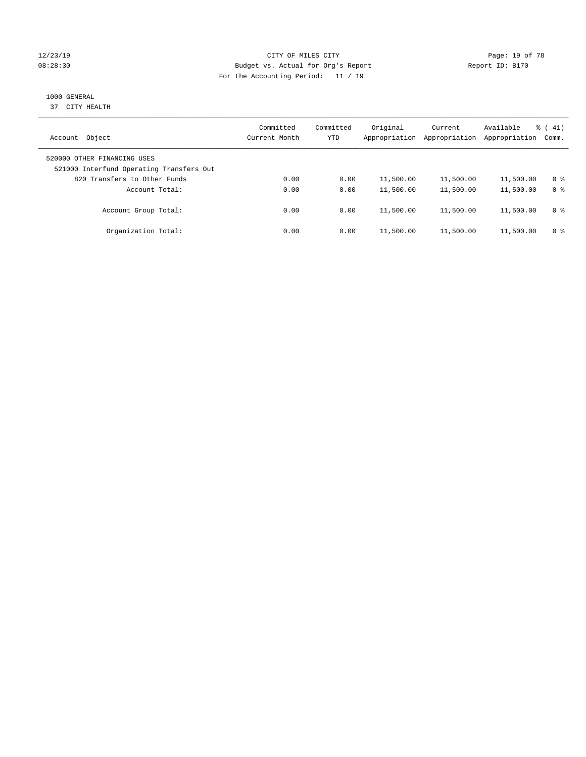#### 12/23/19 Page: 19 of 78 08:28:30 Budget vs. Actual for Org's Report Changer Report ID: B170 For the Accounting Period: 11 / 19

## 1000 GENERAL

37 CITY HEALTH

| Object<br>Account                                                       | Committed<br>Current Month | Committed<br>YTD | Original<br>Appropriation | Current<br>Appropriation | Available<br>Appropriation | $\frac{1}{6}$ ( 41)<br>Comm. |
|-------------------------------------------------------------------------|----------------------------|------------------|---------------------------|--------------------------|----------------------------|------------------------------|
| 520000 OTHER FINANCING USES<br>521000 Interfund Operating Transfers Out |                            |                  |                           |                          |                            |                              |
| 820 Transfers to Other Funds                                            | 0.00                       | 0.00             | 11,500.00                 | 11,500.00                | 11,500.00                  | 0 %                          |
| Account Total:                                                          | 0.00                       | 0.00             | 11,500.00                 | 11,500.00                | 11,500.00                  | 0 <sup>8</sup>               |
| Account Group Total:                                                    | 0.00                       | 0.00             | 11,500.00                 | 11,500.00                | 11,500.00                  | 0 %                          |
| Organization Total:                                                     | 0.00                       | 0.00             | 11,500.00                 | 11,500.00                | 11,500.00                  | 0 %                          |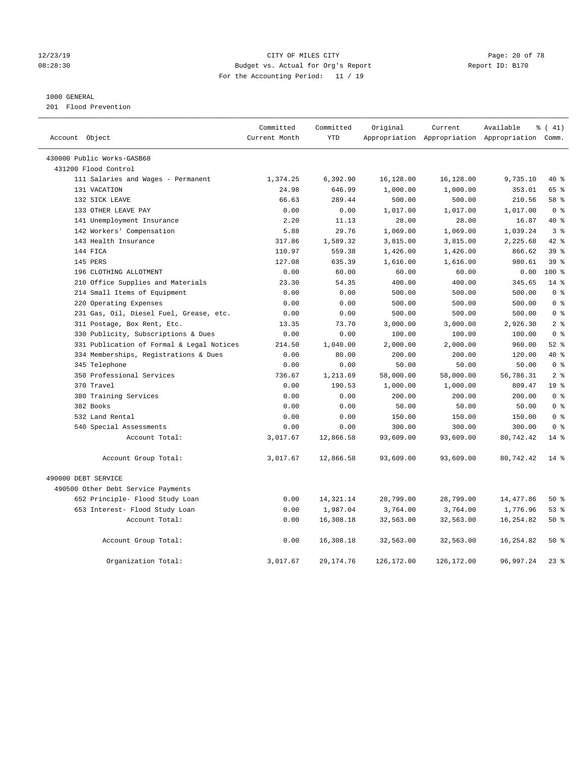#### 12/23/19 Page: 20 of 78 CITY OF MILES CITY CHANGES CONTROL PAGE: 20 of 78 08:28:30 Budget vs. Actual for Org's Report Changer Report ID: B170 For the Accounting Period: 11 / 19

#### 1000 GENERAL

201 Flood Prevention

| Account Object                            | Committed<br>Current Month | Committed<br><b>YTD</b> | Original   | Current    | Available<br>Appropriation Appropriation Appropriation Comm. | $\frac{1}{6}$ ( 41) |
|-------------------------------------------|----------------------------|-------------------------|------------|------------|--------------------------------------------------------------|---------------------|
|                                           |                            |                         |            |            |                                                              |                     |
| 430000 Public Works-GASB68                |                            |                         |            |            |                                                              |                     |
| 431200 Flood Control                      |                            |                         |            |            |                                                              |                     |
| 111 Salaries and Wages - Permanent        | 1,374.25                   | 6,392.90                | 16,128.00  | 16,128.00  | 9,735.10                                                     | 40 %                |
| 131 VACATION                              | 24.98                      | 646.99                  | 1,000.00   | 1,000.00   | 353.01                                                       | 65 %                |
| 132 SICK LEAVE                            | 66.63                      | 289.44                  | 500.00     | 500.00     | 210.56                                                       | 58 %                |
| 133 OTHER LEAVE PAY                       | 0.00                       | 0.00                    | 1,017.00   | 1,017.00   | 1,017.00                                                     | 0 <sup>8</sup>      |
| 141 Unemployment Insurance                | 2.20                       | 11.13                   | 28.00      | 28.00      | 16.87                                                        | $40*$               |
| 142 Workers' Compensation                 | 5.88                       | 29.76                   | 1,069.00   | 1,069.00   | 1,039.24                                                     | 3 <sup>8</sup>      |
| 143 Health Insurance                      | 317.86                     | 1,589.32                | 3,815.00   | 3,815.00   | 2,225.68                                                     | $42*$               |
| 144 FICA                                  | 110.97                     | 559.38                  | 1,426.00   | 1,426.00   | 866.62                                                       | 39 <sup>8</sup>     |
| 145 PERS                                  | 127.08                     | 635.39                  | 1,616.00   | 1,616.00   | 980.61                                                       | 39 %                |
| 196 CLOTHING ALLOTMENT                    | 0.00                       | 60.00                   | 60.00      | 60.00      | 0.00                                                         | $100*$              |
| 210 Office Supplies and Materials         | 23.30                      | 54.35                   | 400.00     | 400.00     | 345.65                                                       | $14*$               |
| 214 Small Items of Equipment              | 0.00                       | 0.00                    | 500.00     | 500.00     | 500.00                                                       | 0 <sup>8</sup>      |
| 220 Operating Expenses                    | 0.00                       | 0.00                    | 500.00     | 500.00     | 500.00                                                       | 0 <sup>8</sup>      |
| 231 Gas, Oil, Diesel Fuel, Grease, etc.   | 0.00                       | 0.00                    | 500.00     | 500.00     | 500.00                                                       | 0 <sup>8</sup>      |
| 311 Postage, Box Rent, Etc.               | 13.35                      | 73.70                   | 3,000.00   | 3,000.00   | 2,926.30                                                     | 2 <sup>8</sup>      |
| 330 Publicity, Subscriptions & Dues       | 0.00                       | 0.00                    | 100.00     | 100.00     | 100.00                                                       | 0 <sup>8</sup>      |
| 331 Publication of Formal & Legal Notices | 214.50                     | 1,040.00                | 2,000.00   | 2,000.00   | 960.00                                                       | $52$ $%$            |
| 334 Memberships, Registrations & Dues     | 0.00                       | 80.00                   | 200.00     | 200.00     | 120.00                                                       | 40 %                |
| 345 Telephone                             | 0.00                       | 0.00                    | 50.00      | 50.00      | 50.00                                                        | 0 <sup>8</sup>      |
| 350 Professional Services                 | 736.67                     | 1,213.69                | 58,000.00  | 58,000.00  | 56,786.31                                                    | 2 <sup>8</sup>      |
| 370 Travel                                | 0.00                       | 190.53                  | 1,000.00   | 1,000.00   | 809.47                                                       | 19 <sup>°</sup>     |
| 380 Training Services                     | 0.00                       | 0.00                    | 200.00     | 200.00     | 200.00                                                       | 0 <sup>8</sup>      |
| 382 Books                                 | 0.00                       | 0.00                    | 50.00      | 50.00      | 50.00                                                        | 0 <sup>8</sup>      |
| 532 Land Rental                           | 0.00                       | 0.00                    | 150.00     | 150.00     | 150.00                                                       | 0 <sup>8</sup>      |
| 540 Special Assessments                   | 0.00                       | 0.00                    | 300.00     | 300.00     | 300.00                                                       | 0 <sup>8</sup>      |
| Account Total:                            | 3,017.67                   | 12,866.58               | 93,609.00  | 93,609.00  | 80,742.42                                                    | $14*$               |
| Account Group Total:                      | 3,017.67                   | 12,866.58               | 93,609.00  | 93,609.00  | 80,742.42                                                    | $14*$               |
| 490000 DEBT SERVICE                       |                            |                         |            |            |                                                              |                     |
| 490500 Other Debt Service Payments        |                            |                         |            |            |                                                              |                     |
| 652 Principle- Flood Study Loan           | 0.00                       | 14,321.14               | 28,799.00  | 28,799.00  | 14,477.86                                                    | 50%                 |
| 653 Interest- Flood Study Loan            | 0.00                       | 1,987.04                | 3,764.00   | 3,764.00   | 1,776.96                                                     | 53%                 |
| Account Total:                            | 0.00                       | 16,308.18               | 32,563.00  | 32,563.00  | 16,254.82                                                    | 50%                 |
|                                           |                            |                         |            |            |                                                              |                     |
| Account Group Total:                      | 0.00                       | 16,308.18               | 32,563.00  | 32,563.00  | 16,254.82                                                    | 50%                 |
| Organization Total:                       | 3,017.67                   | 29, 174. 76             | 126,172.00 | 126,172.00 | 96,997.24                                                    | $23$ $%$            |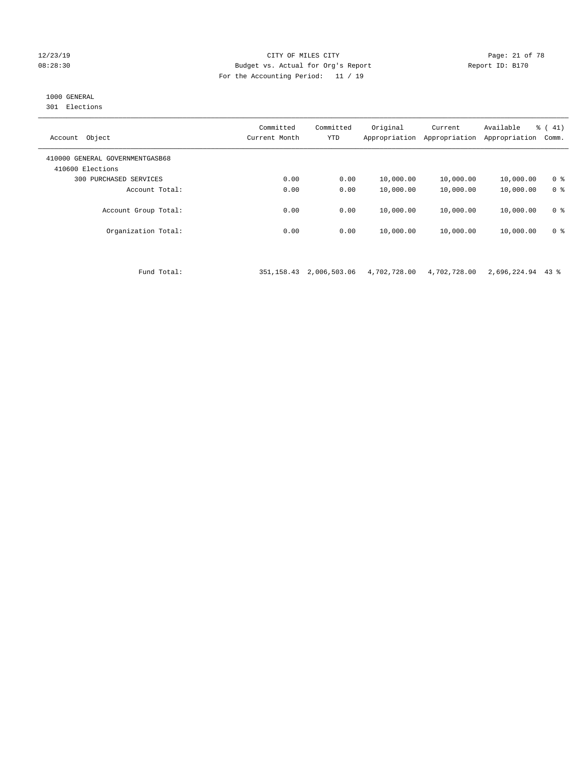#### 12/23/19 Page: 21 of 78 CITY OF MILES CITY CHANGES CONTROL PAGE: 21 of 78 08:28:30 Budget vs. Actual for Org's Report Report ID: B170 For the Accounting Period: 11 / 19

## 1000 GENERAL

301 Elections

| Object<br>Account                                   | Committed<br>Current Month | Committed<br><b>YTD</b> | Original<br>Appropriation | Current<br>Appropriation | Available<br>Appropriation | $\frac{1}{6}$ ( 41)<br>Comm. |
|-----------------------------------------------------|----------------------------|-------------------------|---------------------------|--------------------------|----------------------------|------------------------------|
| 410000 GENERAL GOVERNMENTGASB68<br>410600 Elections |                            |                         |                           |                          |                            |                              |
| PURCHASED SERVICES<br>300                           | 0.00                       | 0.00                    | 10,000.00                 | 10,000.00                | 10,000.00                  | 0 <sup>8</sup>               |
| Account Total:                                      | 0.00                       | 0.00                    | 10,000.00                 | 10,000.00                | 10,000.00                  | 0 <sup>8</sup>               |
| Account Group Total:                                | 0.00                       | 0.00                    | 10,000.00                 | 10,000.00                | 10,000.00                  | 0 <sup>8</sup>               |
| Organization Total:                                 | 0.00                       | 0.00                    | 10,000.00                 | 10,000.00                | 10,000.00                  | 0 <sup>8</sup>               |
|                                                     |                            |                         |                           |                          |                            |                              |

Fund Total: 351,158.43 2,006,503.06 4,702,728.00 4,702,728.00 2,696,224.94 43 %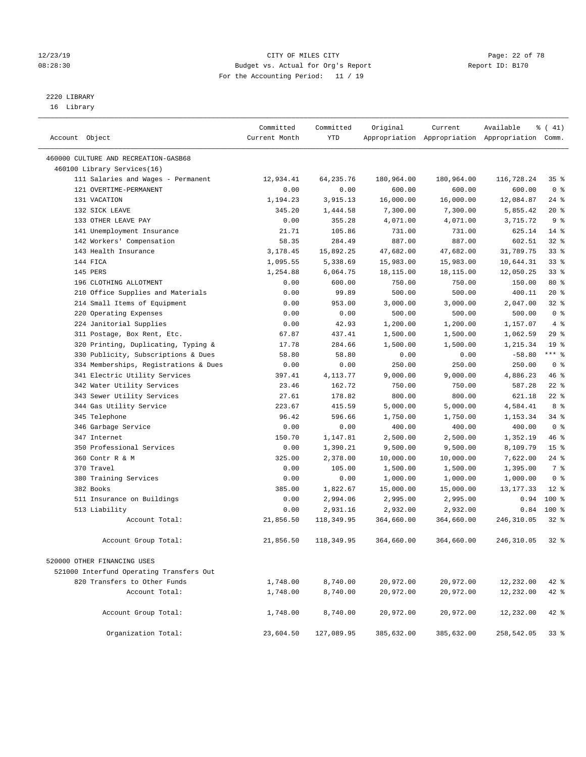#### 12/23/19 **Page: 22 of 78** CITY OF MILES CITY **Page: 22 of 78** 08:28:30 Budget vs. Actual for Org's Report Changer Report ID: B170 For the Accounting Period: 11 / 19

————————————————————————————————————————————————————————————————————————————————————————————————————————————————————————————————————

## 2220 LIBRARY

16 Library

|                                          | Committed     | Committed  | Original   | Current    | Available                                       | $\frac{1}{6}$ ( 41) |
|------------------------------------------|---------------|------------|------------|------------|-------------------------------------------------|---------------------|
| Account Object                           | Current Month | YTD        |            |            | Appropriation Appropriation Appropriation Comm. |                     |
|                                          |               |            |            |            |                                                 |                     |
| 460000 CULTURE AND RECREATION-GASB68     |               |            |            |            |                                                 |                     |
| 460100 Library Services(16)              |               |            |            |            |                                                 |                     |
| 111 Salaries and Wages - Permanent       | 12,934.41     | 64,235.76  | 180,964.00 | 180,964.00 | 116,728.24                                      | 35%                 |
| 121 OVERTIME-PERMANENT                   | 0.00          | 0.00       | 600.00     | 600.00     | 600.00                                          | 0 <sup>8</sup>      |
| 131 VACATION                             | 1,194.23      | 3,915.13   | 16,000.00  | 16,000.00  | 12,084.87                                       | $24$ %              |
| 132 SICK LEAVE                           | 345.20        | 1,444.58   | 7,300.00   | 7,300.00   | 5,855.42                                        | $20*$               |
| 133 OTHER LEAVE PAY                      | 0.00          | 355.28     | 4,071.00   | 4,071.00   | 3,715.72                                        | 9 <sup>°</sup>      |
| 141 Unemployment Insurance               | 21.71         | 105.86     | 731.00     | 731.00     | 625.14                                          | $14*$               |
| 142 Workers' Compensation                | 58.35         | 284.49     | 887.00     | 887.00     | 602.51                                          | 32%                 |
| 143 Health Insurance                     | 3,178.45      | 15,892.25  | 47,682.00  | 47,682.00  | 31,789.75                                       | 33%                 |
| 144 FICA                                 | 1,095.55      | 5,338.69   | 15,983.00  | 15,983.00  | 10,644.31                                       | 33%                 |
| 145 PERS                                 | 1,254.88      | 6,064.75   | 18,115.00  | 18,115.00  | 12,050.25                                       | 33%                 |
| 196 CLOTHING ALLOTMENT                   | 0.00          | 600.00     | 750.00     | 750.00     | 150.00                                          | 80 %                |
| 210 Office Supplies and Materials        | 0.00          | 99.89      | 500.00     | 500.00     | 400.11                                          | $20*$               |
| 214 Small Items of Equipment             | 0.00          | 953.00     | 3,000.00   | 3,000.00   | 2,047.00                                        | 32%                 |
| 220 Operating Expenses                   | 0.00          | 0.00       | 500.00     | 500.00     | 500.00                                          | 0 <sup>8</sup>      |
| 224 Janitorial Supplies                  | 0.00          | 42.93      | 1,200.00   | 1,200.00   | 1,157.07                                        | 4%                  |
| 311 Postage, Box Rent, Etc.              | 67.87         | 437.41     | 1,500.00   | 1,500.00   | 1,062.59                                        | 29%                 |
| 320 Printing, Duplicating, Typing &      | 17.78         | 284.66     | 1,500.00   | 1,500.00   | 1,215.34                                        | 19 <sup>°</sup>     |
| 330 Publicity, Subscriptions & Dues      | 58.80         | 58.80      | 0.00       | 0.00       | $-58.80$                                        | $***$ $-$           |
| 334 Memberships, Registrations & Dues    | 0.00          | 0.00       | 250.00     | 250.00     | 250.00                                          | 0 <sup>8</sup>      |
| 341 Electric Utility Services            | 397.41        | 4,113.77   | 9,000.00   | 9,000.00   | 4,886.23                                        | 46 %                |
| 342 Water Utility Services               | 23.46         | 162.72     | 750.00     | 750.00     | 587.28                                          | $22$ %              |
| 343 Sewer Utility Services               | 27.61         | 178.82     | 800.00     | 800.00     | 621.18                                          | $22$ %              |
| 344 Gas Utility Service                  | 223.67        | 415.59     | 5,000.00   | 5,000.00   | 4,584.41                                        | 8 %                 |
| 345 Telephone                            | 96.42         | 596.66     | 1,750.00   | 1,750.00   | 1,153.34                                        | 34%                 |
| 346 Garbage Service                      | 0.00          | 0.00       | 400.00     | 400.00     | 400.00                                          | 0 <sup>8</sup>      |
| 347 Internet                             | 150.70        | 1,147.81   | 2,500.00   | 2,500.00   | 1,352.19                                        | 46 %                |
| 350 Professional Services                | 0.00          | 1,390.21   | 9,500.00   | 9,500.00   | 8,109.79                                        | 15 <sup>°</sup>     |
| 360 Contr R & M                          | 325.00        | 2,378.00   | 10,000.00  | 10,000.00  | 7,622.00                                        | 24%                 |
| 370 Travel                               | 0.00          | 105.00     | 1,500.00   | 1,500.00   | 1,395.00                                        | 7 %                 |
| 380 Training Services                    | 0.00          | 0.00       | 1,000.00   | 1,000.00   | 1,000.00                                        | 0 <sup>8</sup>      |
| 382 Books                                | 385.00        | 1,822.67   | 15,000.00  | 15,000.00  | 13, 177. 33                                     | $12*$               |
| 511 Insurance on Buildings               | 0.00          | 2,994.06   | 2,995.00   | 2,995.00   | 0.94                                            | $100$ %             |
| 513 Liability                            | 0.00          | 2,931.16   | 2,932.00   | 2,932.00   | 0.84                                            | $100*$              |
| Account Total:                           | 21,856.50     | 118,349.95 | 364,660.00 | 364,660.00 | 246,310.05                                      | $32$ $%$            |
| Account Group Total:                     | 21,856.50     | 118,349.95 | 364,660.00 | 364,660.00 | 246,310.05                                      | $32$ $%$            |
| 520000 OTHER FINANCING USES              |               |            |            |            |                                                 |                     |
| 521000 Interfund Operating Transfers Out |               |            |            |            |                                                 |                     |
| 820 Transfers to Other Funds             | 1,748.00      | 8,740.00   | 20,972.00  | 20,972.00  | 12,232.00                                       | $42$ %              |
| Account Total:                           | 1,748.00      | 8,740.00   | 20,972.00  | 20,972.00  | 12,232.00                                       | $42$ %              |
|                                          |               |            |            |            |                                                 |                     |
| Account Group Total:                     | 1,748.00      | 8,740.00   | 20,972.00  | 20,972.00  | 12,232.00                                       | $42$ %              |
| Organization Total:                      | 23,604.50     | 127,089.95 | 385,632.00 | 385,632.00 | 258,542.05                                      | 33%                 |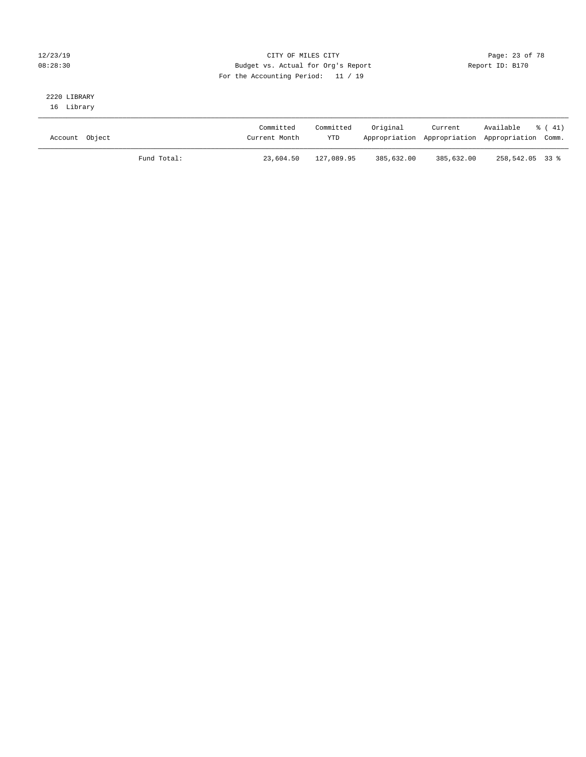### 12/23/19 Page: 23 of 78 08:28:30 Budget vs. Actual for Org's Report Changer Report ID: B170 For the Accounting Period: 11 / 19

## 2220 LIBRARY

16 Library

| Account Object |             | Committed<br>Current Month | Committed<br><b>YTD</b> | Original   | Current    | Available<br>Appropriation Appropriation Appropriation Comm. | ៖ (41) |
|----------------|-------------|----------------------------|-------------------------|------------|------------|--------------------------------------------------------------|--------|
|                | Fund Total: | 23,604.50                  | 127,089.95              | 385,632.00 | 385,632.00 | 258,542.05 33 %                                              |        |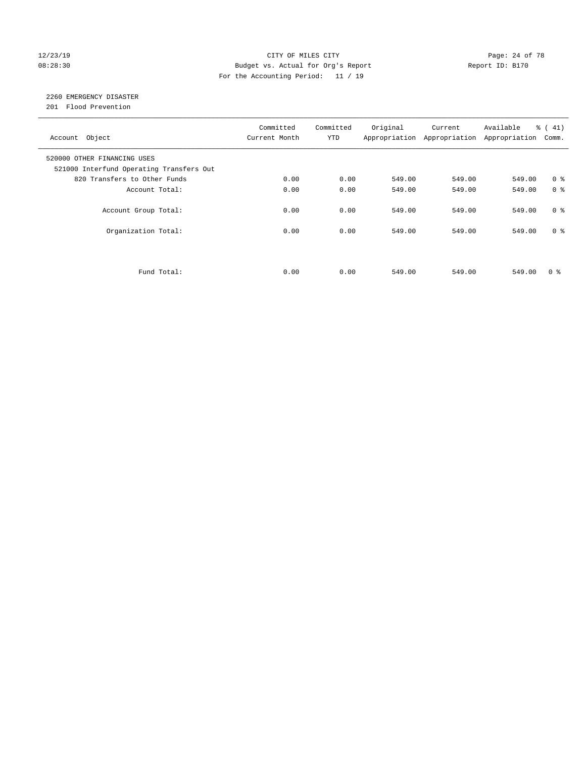#### 12/23/19 **Page: 24 of 78** CITY OF MILES CITY **Page: 24 of 78** 08:28:30 Budget vs. Actual for Org's Report Changer Report ID: B170 For the Accounting Period: 11 / 19

## 2260 EMERGENCY DISASTER

201 Flood Prevention

| Account Object                                                          | Committed<br>Current Month | Committed<br><b>YTD</b> | Original | Current<br>Appropriation Appropriation | Available<br>Appropriation | % (41)<br>Comm. |
|-------------------------------------------------------------------------|----------------------------|-------------------------|----------|----------------------------------------|----------------------------|-----------------|
| 520000 OTHER FINANCING USES<br>521000 Interfund Operating Transfers Out |                            |                         |          |                                        |                            |                 |
| 820 Transfers to Other Funds                                            | 0.00                       | 0.00                    | 549.00   | 549.00                                 | 549.00                     | 0 <sup>8</sup>  |
| Account Total:                                                          | 0.00                       | 0.00                    | 549.00   | 549.00                                 | 549.00                     | 0 <sup>8</sup>  |
| Account Group Total:                                                    | 0.00                       | 0.00                    | 549.00   | 549.00                                 | 549.00                     | 0 <sup>8</sup>  |
| Organization Total:                                                     | 0.00                       | 0.00                    | 549.00   | 549.00                                 | 549.00                     | 0 <sup>8</sup>  |
|                                                                         |                            |                         |          |                                        |                            |                 |
| Fund Total:                                                             | 0.00                       | 0.00                    | 549.00   | 549.00                                 | 549.00                     | 0 ៖             |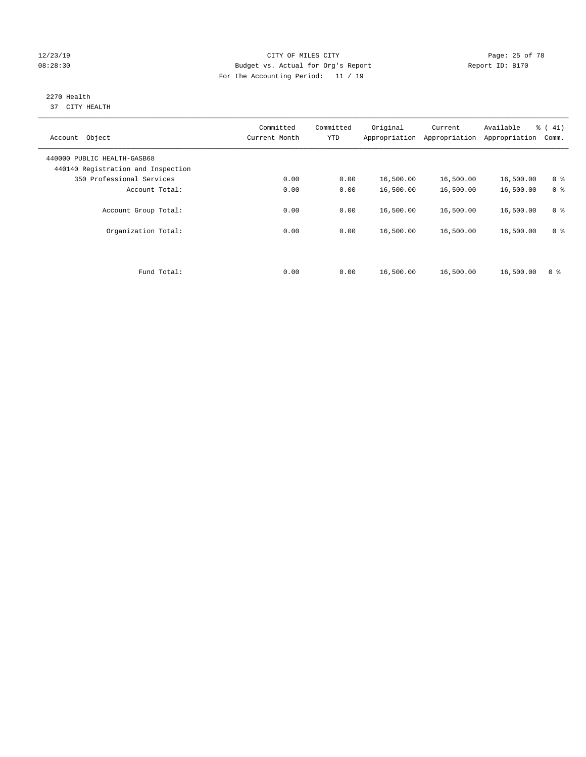#### 12/23/19 Page: 25 of 78 08:28:30 Budget vs. Actual for Org's Report Changer Report ID: B170 For the Accounting Period: 11 / 19

#### 2270 Health 37 CITY HEALTH

| Account Object                                                    | Committed<br>Current Month | Committed<br><b>YTD</b> | Original  | Current<br>Appropriation Appropriation | Available<br>Appropriation | % (41)<br>Comm. |
|-------------------------------------------------------------------|----------------------------|-------------------------|-----------|----------------------------------------|----------------------------|-----------------|
| 440000 PUBLIC HEALTH-GASB68<br>440140 Registration and Inspection |                            |                         |           |                                        |                            |                 |
| 350 Professional Services                                         | 0.00                       | 0.00                    | 16,500.00 | 16,500.00                              | 16,500.00                  | 0 <sup>8</sup>  |
| Account Total:                                                    | 0.00                       | 0.00                    | 16,500.00 | 16,500.00                              | 16,500.00                  | 0 <sup>8</sup>  |
| Account Group Total:                                              | 0.00                       | 0.00                    | 16,500.00 | 16,500.00                              | 16,500.00                  | 0 <sup>8</sup>  |
| Organization Total:                                               | 0.00                       | 0.00                    | 16,500.00 | 16,500.00                              | 16,500.00                  | 0 <sup>8</sup>  |
|                                                                   |                            |                         |           |                                        |                            |                 |
| Fund Total:                                                       | 0.00                       | 0.00                    | 16,500.00 | 16,500.00                              | 16,500.00                  | 0 <sup>8</sup>  |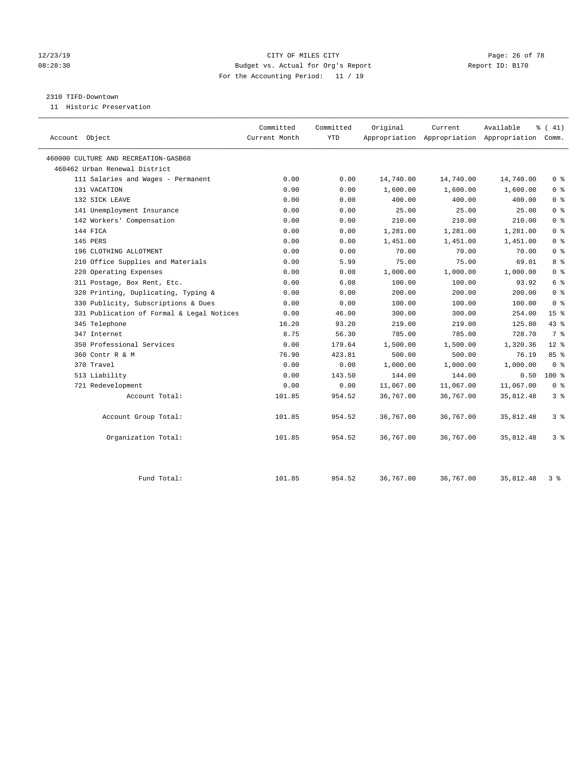#### 12/23/19 Page: 26 of 78 CITY OF MILES CITY CHANGES CONTROL PAGE: 26 of 78 08:28:30 Budget vs. Actual for Org's Report Changer Report ID: B170 For the Accounting Period: 11 / 19

#### 2310 TIFD-Downtown

11 Historic Preservation

|                                           | Committed     | Committed  | Original  | Current   | Available                                       | $\frac{1}{6}$ ( 41) |
|-------------------------------------------|---------------|------------|-----------|-----------|-------------------------------------------------|---------------------|
| Account Object                            | Current Month | <b>YTD</b> |           |           | Appropriation Appropriation Appropriation Comm. |                     |
| 460000 CULTURE AND RECREATION-GASB68      |               |            |           |           |                                                 |                     |
| 460462 Urban Renewal District             |               |            |           |           |                                                 |                     |
| 111 Salaries and Wages - Permanent        | 0.00          | 0.00       | 14,740.00 | 14,740.00 | 14,740.00                                       | 0 <sup>8</sup>      |
| 131 VACATION                              | 0.00          | 0.00       | 1,600.00  | 1,600.00  | 1,600.00                                        | 0 <sup>8</sup>      |
| 132 SICK LEAVE                            | 0.00          | 0.00       | 400.00    | 400.00    | 400.00                                          | 0 <sup>8</sup>      |
| 141 Unemployment Insurance                | 0.00          | 0.00       | 25.00     | 25.00     | 25.00                                           | 0 <sup>8</sup>      |
| 142 Workers' Compensation                 | 0.00          | 0.00       | 210.00    | 210.00    | 210.00                                          | 0 <sup>8</sup>      |
| 144 FICA                                  | 0.00          | 0.00       | 1,281.00  | 1,281.00  | 1,281.00                                        | 0 <sup>8</sup>      |
| 145 PERS                                  | 0.00          | 0.00       | 1,451.00  | 1,451.00  | 1,451.00                                        | 0 <sup>8</sup>      |
| 196 CLOTHING ALLOTMENT                    | 0.00          | 0.00       | 70.00     | 70.00     | 70.00                                           | 0 <sup>8</sup>      |
| 210 Office Supplies and Materials         | 0.00          | 5.99       | 75.00     | 75.00     | 69.01                                           | 8 <sup>8</sup>      |
| 220 Operating Expenses                    | 0.00          | 0.00       | 1,000.00  | 1,000.00  | 1,000.00                                        | 0 <sup>8</sup>      |
| 311 Postage, Box Rent, Etc.               | 0.00          | 6.08       | 100.00    | 100.00    | 93.92                                           | 6 %                 |
| 320 Printing, Duplicating, Typing &       | 0.00          | 0.00       | 200.00    | 200.00    | 200.00                                          | 0 <sup>8</sup>      |
| 330 Publicity, Subscriptions & Dues       | 0.00          | 0.00       | 100.00    | 100.00    | 100.00                                          | 0 <sup>8</sup>      |
| 331 Publication of Formal & Legal Notices | 0.00          | 46.00      | 300.00    | 300.00    | 254.00                                          | 15 <sup>°</sup>     |
| 345 Telephone                             | 16.20         | 93.20      | 219.00    | 219.00    | 125.80                                          | 43 %                |
| 347 Internet                              | 8.75          | 56.30      | 785.00    | 785.00    | 728.70                                          | 7 %                 |
| 350 Professional Services                 | 0.00          | 179.64     | 1,500.00  | 1,500.00  | 1,320.36                                        | $12*$               |
| 360 Contr R & M                           | 76.90         | 423.81     | 500.00    | 500.00    | 76.19                                           | 85%                 |
| 370 Travel                                | 0.00          | 0.00       | 1,000.00  | 1,000.00  | 1,000.00                                        | 0 <sup>8</sup>      |
| 513 Liability                             | 0.00          | 143.50     | 144.00    | 144.00    | 0.50                                            | 100 %               |
| 721 Redevelopment                         | 0.00          | 0.00       | 11,067.00 | 11,067.00 | 11,067.00                                       | 0 <sup>8</sup>      |
| Account Total:                            | 101.85        | 954.52     | 36,767.00 | 36,767.00 | 35,812.48                                       | 3%                  |
| Account Group Total:                      | 101.85        | 954.52     | 36,767.00 | 36,767.00 | 35,812.48                                       | 3 <sup>°</sup>      |
| Organization Total:                       | 101.85        | 954.52     | 36,767.00 | 36,767.00 | 35,812.48                                       | 3%                  |
| Fund Total:                               | 101.85        | 954.52     | 36,767.00 | 36,767.00 | 35,812.48                                       | 3%                  |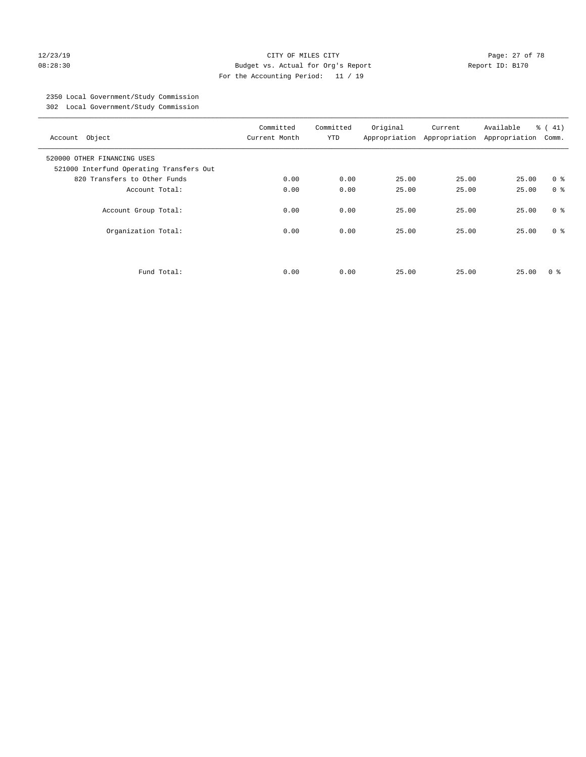#### 12/23/19 Page: 27 of 78 08:28:30 Budget vs. Actual for Org's Report Changer Report ID: B170 For the Accounting Period: 11 / 19

## 2350 Local Government/Study Commission

302 Local Government/Study Commission

| Account Object                                                          | Committed<br>Current Month | Committed<br><b>YTD</b> | Original | Current<br>Appropriation Appropriation | Available<br>Appropriation | $\frac{1}{6}$ ( 41)<br>Comm. |
|-------------------------------------------------------------------------|----------------------------|-------------------------|----------|----------------------------------------|----------------------------|------------------------------|
| 520000 OTHER FINANCING USES<br>521000 Interfund Operating Transfers Out |                            |                         |          |                                        |                            |                              |
| 820 Transfers to Other Funds                                            | 0.00                       | 0.00                    | 25.00    | 25.00                                  | 25.00                      | 0 <sup>8</sup>               |
| Account Total:                                                          | 0.00                       | 0.00                    | 25.00    | 25.00                                  | 25.00                      | 0 <sup>8</sup>               |
| Account Group Total:                                                    | 0.00                       | 0.00                    | 25.00    | 25.00                                  | 25.00                      | 0 <sup>8</sup>               |
| Organization Total:                                                     | 0.00                       | 0.00                    | 25.00    | 25.00                                  | 25.00                      | 0 <sup>8</sup>               |
| Fund Total:                                                             | 0.00                       | 0.00                    | 25.00    | 25.00                                  | 25.00                      | 0 ៖                          |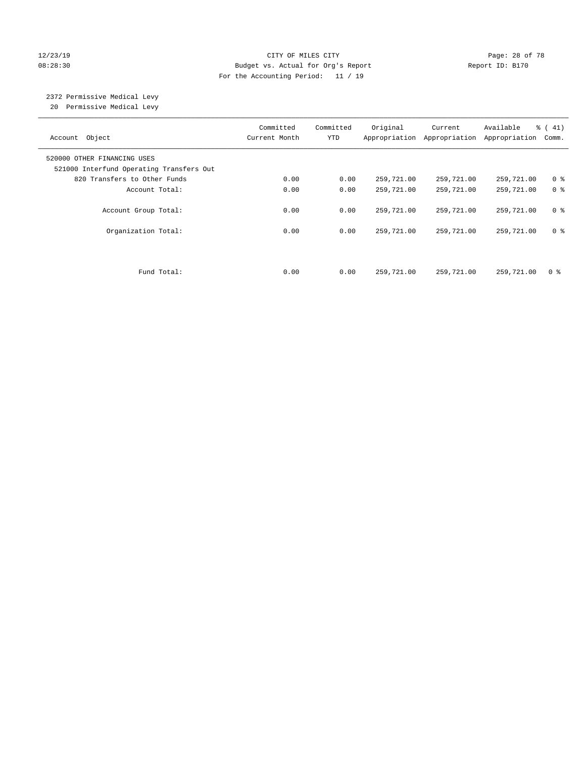#### 12/23/19 **Page: 28 of 78** CITY OF MILES CITY **Page: 28 of 78** 08:28:30 Budget vs. Actual for Org's Report Changer Report ID: B170 For the Accounting Period: 11 / 19

# 2372 Permissive Medical Levy

20 Permissive Medical Levy

| Account Object                                                          | Committed<br>Current Month | Committed<br><b>YTD</b> | Original   | Current<br>Appropriation Appropriation | Available<br>Appropriation | % (41)<br>Comm. |
|-------------------------------------------------------------------------|----------------------------|-------------------------|------------|----------------------------------------|----------------------------|-----------------|
| 520000 OTHER FINANCING USES<br>521000 Interfund Operating Transfers Out |                            |                         |            |                                        |                            |                 |
| 820 Transfers to Other Funds                                            | 0.00                       | 0.00                    | 259,721.00 | 259,721.00                             | 259,721.00                 | 0 <sup>8</sup>  |
| Account Total:                                                          | 0.00                       | 0.00                    | 259,721.00 | 259,721.00                             | 259,721.00                 | 0 <sup>8</sup>  |
| Account Group Total:                                                    | 0.00                       | 0.00                    | 259,721.00 | 259,721.00                             | 259,721.00                 | 0 <sup>8</sup>  |
| Organization Total:                                                     | 0.00                       | 0.00                    | 259,721.00 | 259,721.00                             | 259,721.00                 | 0 <sup>8</sup>  |
|                                                                         |                            |                         |            |                                        |                            |                 |
| Fund Total:                                                             | 0.00                       | 0.00                    | 259,721.00 | 259,721.00                             | 259,721.00                 | 0 <sup>8</sup>  |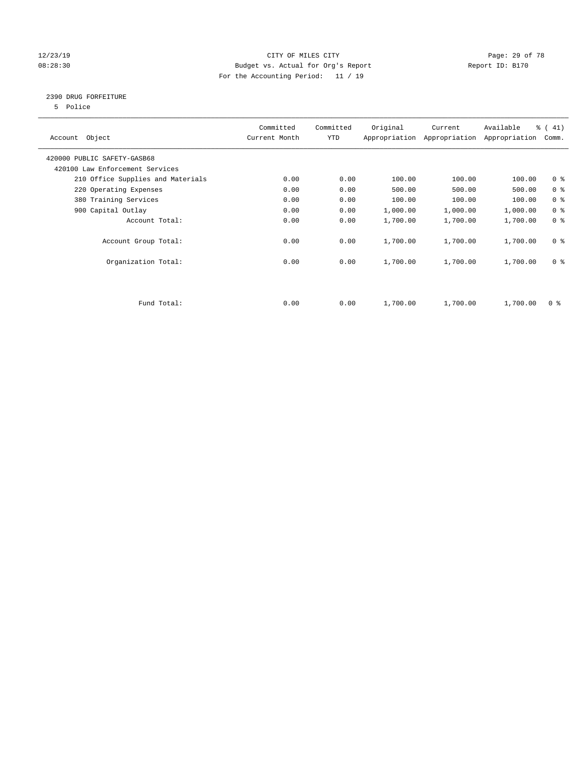#### 12/23/19 Page: 29 of 78 08:28:30 Budget vs. Actual for Org's Report Changer Report ID: B170 For the Accounting Period: 11 / 19

### 2390 DRUG FORFEITURE

5 Police

| Account Object                    | Committed<br>Current Month | Committed<br>YTD | Original | Current<br>Appropriation Appropriation | Available<br>Appropriation | % (41)<br>Comm. |
|-----------------------------------|----------------------------|------------------|----------|----------------------------------------|----------------------------|-----------------|
| 420000 PUBLIC SAFETY-GASB68       |                            |                  |          |                                        |                            |                 |
| 420100 Law Enforcement Services   |                            |                  |          |                                        |                            |                 |
| 210 Office Supplies and Materials | 0.00                       | 0.00             | 100.00   | 100.00                                 | 100.00                     | 0 <sub>8</sub>  |
| 220 Operating Expenses            | 0.00                       | 0.00             | 500.00   | 500.00                                 | 500.00                     | 0 <sup>8</sup>  |
| 380 Training Services             | 0.00                       | 0.00             | 100.00   | 100.00                                 | 100.00                     | 0 <sup>8</sup>  |
| 900 Capital Outlay                | 0.00                       | 0.00             | 1,000.00 | 1,000.00                               | 1,000.00                   | 0 <sup>8</sup>  |
| Account Total:                    | 0.00                       | 0.00             | 1,700.00 | 1,700.00                               | 1,700.00                   | 0 <sup>8</sup>  |
| Account Group Total:              | 0.00                       | 0.00             | 1,700.00 | 1,700.00                               | 1,700.00                   | 0 <sup>8</sup>  |
| Organization Total:               | 0.00                       | 0.00             | 1,700.00 | 1,700.00                               | 1,700.00                   | 0 <sup>8</sup>  |
|                                   |                            |                  |          |                                        |                            |                 |
| Fund Total:                       | 0.00                       | 0.00             | 1,700.00 | 1,700.00                               | 1,700.00                   | 0 %             |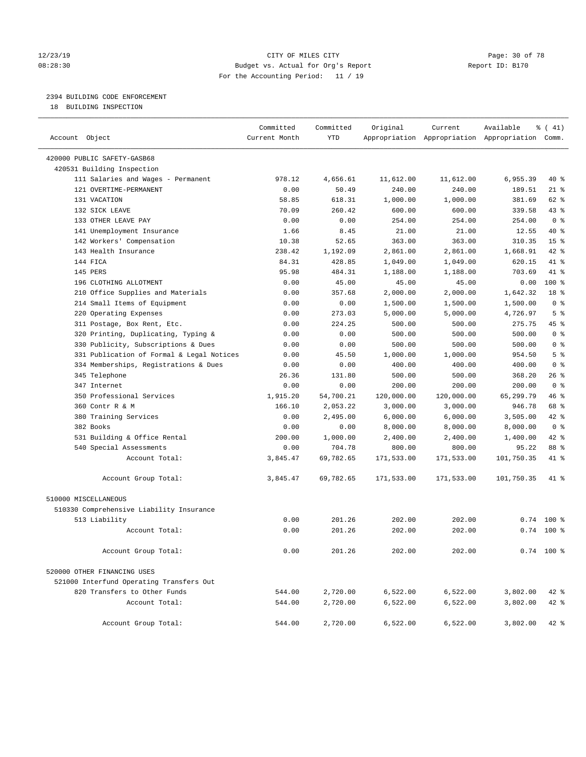#### 12/23/19 **Page: 30 of 78** CITY OF MILES CITY **Page: 30 of 78** 08:28:30 Budget vs. Actual for Org's Report Changer Report ID: B170 For the Accounting Period: 11 / 19

————————————————————————————————————————————————————————————————————————————————————————————————————————————————————————————————————

### 2394 BUILDING CODE ENFORCEMENT

18 BUILDING INSPECTION

|                                           | Committed     | Committed  | Original   | Current    | Available                                       | ៖ ( 41)         |
|-------------------------------------------|---------------|------------|------------|------------|-------------------------------------------------|-----------------|
| Account Object                            | Current Month | <b>YTD</b> |            |            | Appropriation Appropriation Appropriation Comm. |                 |
| 420000 PUBLIC SAFETY-GASB68               |               |            |            |            |                                                 |                 |
| 420531 Building Inspection                |               |            |            |            |                                                 |                 |
| 111 Salaries and Wages - Permanent        | 978.12        | 4,656.61   | 11,612.00  | 11,612.00  | 6,955.39                                        | 40 %            |
| 121 OVERTIME-PERMANENT                    | 0.00          | 50.49      | 240.00     | 240.00     | 189.51                                          | $21$ %          |
| 131 VACATION                              | 58.85         | 618.31     | 1,000.00   | 1,000.00   | 381.69                                          | 62 %            |
| 132 SICK LEAVE                            | 70.09         | 260.42     | 600.00     | 600.00     | 339.58                                          | $43$ %          |
| 133 OTHER LEAVE PAY                       | 0.00          | 0.00       | 254.00     | 254.00     | 254.00                                          | 0 <sup>8</sup>  |
| 141 Unemployment Insurance                | 1.66          | 8.45       | 21.00      | 21.00      | 12.55                                           | 40 %            |
| 142 Workers' Compensation                 | 10.38         | 52.65      | 363.00     | 363.00     | 310.35                                          | 15 <sup>°</sup> |
| 143 Health Insurance                      | 238.42        | 1,192.09   | 2,861.00   | 2,861.00   | 1,668.91                                        | $42$ %          |
| 144 FICA                                  | 84.31         | 428.85     | 1,049.00   | 1,049.00   | 620.15                                          | 41 %            |
| 145 PERS                                  | 95.98         | 484.31     | 1,188.00   | 1,188.00   | 703.69                                          | 41 %            |
| 196 CLOTHING ALLOTMENT                    | 0.00          | 45.00      | 45.00      | 45.00      | 0.00                                            | 100 %           |
| 210 Office Supplies and Materials         | 0.00          | 357.68     | 2,000.00   | 2,000.00   | 1,642.32                                        | 18 %            |
| 214 Small Items of Equipment              | 0.00          | 0.00       | 1,500.00   | 1,500.00   | 1,500.00                                        | 0 <sup>8</sup>  |
| 220 Operating Expenses                    | 0.00          | 273.03     | 5,000.00   | 5,000.00   | 4,726.97                                        | 5 <sup>8</sup>  |
| 311 Postage, Box Rent, Etc.               | 0.00          | 224.25     | 500.00     | 500.00     | 275.75                                          | 45 %            |
| 320 Printing, Duplicating, Typing &       | 0.00          | 0.00       | 500.00     | 500.00     | 500.00                                          | 0 <sup>8</sup>  |
| 330 Publicity, Subscriptions & Dues       | 0.00          | 0.00       | 500.00     | 500.00     | 500.00                                          | 0 <sup>8</sup>  |
| 331 Publication of Formal & Legal Notices | 0.00          | 45.50      | 1,000.00   | 1,000.00   | 954.50                                          | 5 <sup>°</sup>  |
| 334 Memberships, Registrations & Dues     | 0.00          | 0.00       | 400.00     | 400.00     | 400.00                                          | 0 <sup>8</sup>  |
| 345 Telephone                             | 26.36         | 131.80     | 500.00     | 500.00     | 368.20                                          | 26%             |
| 347 Internet                              | 0.00          | 0.00       | 200.00     | 200.00     | 200.00                                          | 0 <sup>8</sup>  |
| 350 Professional Services                 | 1,915.20      | 54,700.21  | 120,000.00 | 120,000.00 | 65,299.79                                       | 46 %            |
| 360 Contr R & M                           | 166.10        | 2,053.22   | 3,000.00   | 3,000.00   | 946.78                                          | 68 %            |
| 380 Training Services                     | 0.00          | 2,495.00   | 6,000.00   | 6,000.00   | 3,505.00                                        | $42$ %          |
| 382 Books                                 | 0.00          | 0.00       | 8,000.00   | 8,000.00   | 8,000.00                                        | 0 <sup>8</sup>  |
| 531 Building & Office Rental              | 200.00        | 1,000.00   | 2,400.00   | 2,400.00   | 1,400.00                                        | $42$ %          |
| 540 Special Assessments                   | 0.00          | 704.78     | 800.00     | 800.00     | 95.22                                           | 88 %            |
| Account Total:                            | 3,845.47      | 69,782.65  | 171,533.00 | 171,533.00 | 101,750.35                                      | 41 %            |
| Account Group Total:                      | 3,845.47      | 69,782.65  | 171,533.00 | 171,533.00 | 101,750.35                                      | 41 %            |
| 510000 MISCELLANEOUS                      |               |            |            |            |                                                 |                 |
| 510330 Comprehensive Liability Insurance  |               |            |            |            |                                                 |                 |
| 513 Liability                             | 0.00          | 201.26     | 202.00     | 202.00     |                                                 | $0.74$ 100 %    |
| Account Total:                            | 0.00          | 201.26     | 202.00     | 202.00     |                                                 | $0.74$ 100 %    |
| Account Group Total:                      | 0.00          | 201.26     | 202.00     | 202.00     |                                                 | $0.74$ 100 %    |
| 520000 OTHER FINANCING USES               |               |            |            |            |                                                 |                 |
| 521000 Interfund Operating Transfers Out  |               |            |            |            |                                                 |                 |
| 820 Transfers to Other Funds              | 544.00        | 2,720.00   | 6,522.00   | 6,522.00   | 3,802.00                                        | $42$ %          |
| Account Total:                            | 544.00        | 2,720.00   | 6,522.00   | 6,522.00   | 3,802.00                                        | $42$ %          |
| Account Group Total:                      | 544.00        | 2,720.00   | 6,522.00   | 6,522.00   | 3,802.00                                        | $42$ %          |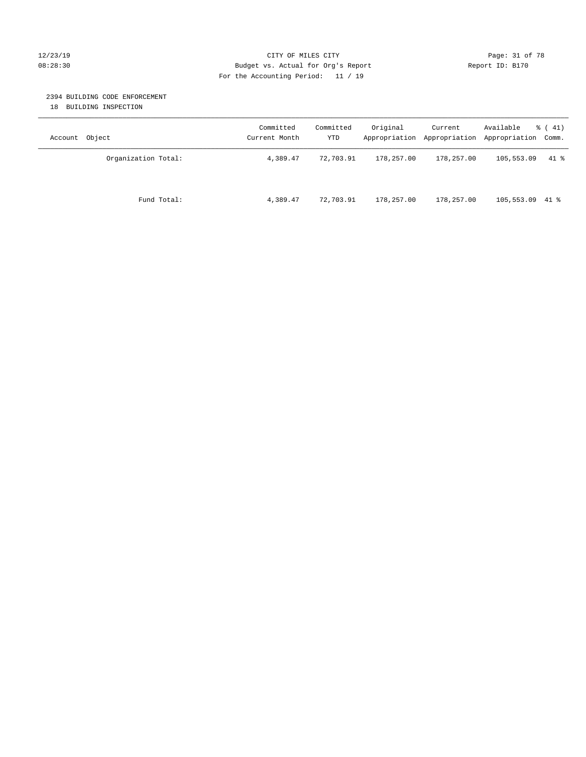#### 12/23/19 **Page: 31 of 78** CITY OF MILES CITY **Page: 31 of 78** 08:28:30 Budget vs. Actual for Org's Report Changer Report ID: B170 For the Accounting Period: 11 / 19

### 2394 BUILDING CODE ENFORCEMENT

18 BUILDING INSPECTION

| Account Object      | Committed<br>Current Month | Committed<br>YTD | Original   | Current    | Available<br>Appropriation Appropriation Appropriation Comm. | $\frac{1}{6}$ ( 41) |
|---------------------|----------------------------|------------------|------------|------------|--------------------------------------------------------------|---------------------|
| Organization Total: | 4,389.47                   | 72,703.91        | 178,257.00 | 178,257.00 | 105,553.09                                                   | $41$ %              |
| Fund Total:         | 4,389.47                   | 72,703.91        | 178,257.00 | 178,257.00 | $105,553.09$ 41 %                                            |                     |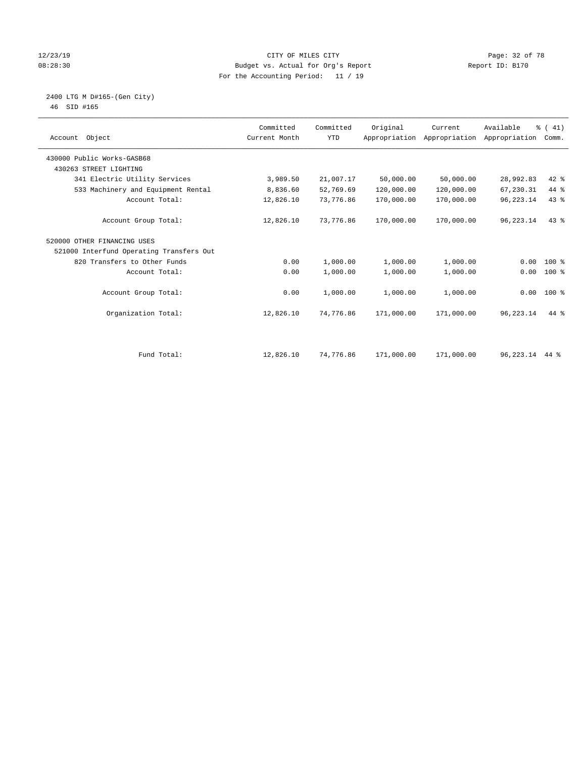#### 12/23/19 **Page: 32 of 78** CITY OF MILES CITY **Page: 32 of 78** 08:28:30 Budget vs. Actual for Org's Report Changer Report ID: B170 For the Accounting Period: 11 / 19

#### 2400 LTG M D#165-(Gen City) 46 SID #165

| Account Object             |                                          | Committed<br>Current Month | Committed<br><b>YTD</b> | Original   | Current<br>Appropriation Appropriation | Available<br>Appropriation | % (41)<br>Comm. |  |
|----------------------------|------------------------------------------|----------------------------|-------------------------|------------|----------------------------------------|----------------------------|-----------------|--|
| 430000 Public Works-GASB68 |                                          |                            |                         |            |                                        |                            |                 |  |
| 430263 STREET LIGHTING     |                                          |                            |                         |            |                                        |                            |                 |  |
|                            | 341 Electric Utility Services            | 3,989.50                   | 21,007.17               | 50,000.00  | 50,000.00                              | 28,992.83                  | $42$ %          |  |
|                            | 533 Machinery and Equipment Rental       | 8,836.60                   | 52,769.69               | 120,000.00 | 120,000.00                             | 67,230.31                  | 44 %            |  |
|                            | Account Total:                           | 12,826.10                  | 73,776.86               | 170,000.00 | 170,000.00                             | 96, 223. 14                | 43%             |  |
|                            | Account Group Total:                     | 12,826.10                  | 73,776.86               | 170,000.00 | 170,000.00                             | 96, 223. 14                | $43*$           |  |
|                            | 520000 OTHER FINANCING USES              |                            |                         |            |                                        |                            |                 |  |
|                            | 521000 Interfund Operating Transfers Out |                            |                         |            |                                        |                            |                 |  |
|                            | 820 Transfers to Other Funds             | 0.00                       | 1,000.00                | 1,000.00   | 1,000.00                               | 0.00                       | $100*$          |  |
|                            | Account Total:                           | 0.00                       | 1,000.00                | 1,000.00   | 1,000.00                               | 0.00                       | $100*$          |  |
|                            | Account Group Total:                     | 0.00                       | 1,000.00                | 1,000.00   | 1,000.00                               |                            | $0.00$ 100 %    |  |
|                            | Organization Total:                      | 12,826.10                  | 74,776.86               | 171,000.00 | 171,000.00                             | 96,223.14                  | $44*$           |  |
|                            |                                          |                            |                         |            |                                        |                            |                 |  |
|                            | Fund Total:                              | 12,826.10                  | 74,776.86               | 171,000.00 | 171,000.00                             | 96, 223. 14 44 %           |                 |  |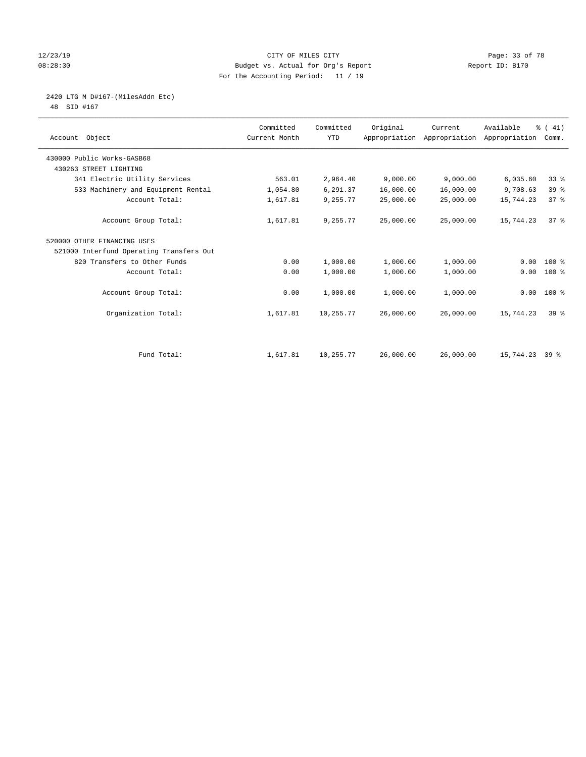#### 12/23/19 Page: 33 of 78 CITY OF MILES CITY CHANGES CONTROL PAGE: 33 of 78 08:28:30 Budget vs. Actual for Org's Report Changer Report ID: B170 For the Accounting Period: 11 / 19

2420 LTG M D#167-(MilesAddn Etc)

48 SID #167

| Account Object                           | Committed<br>Current Month | Committed<br><b>YTD</b> | Original  | Current   | Available<br>Appropriation Appropriation Appropriation | % (41)<br>Comm. |  |
|------------------------------------------|----------------------------|-------------------------|-----------|-----------|--------------------------------------------------------|-----------------|--|
| 430000 Public Works-GASB68               |                            |                         |           |           |                                                        |                 |  |
| 430263 STREET LIGHTING                   |                            |                         |           |           |                                                        |                 |  |
| 341 Electric Utility Services            | 563.01                     | 2,964.40                | 9,000.00  | 9,000.00  | 6,035.60                                               | 33 <sup>8</sup> |  |
| 533 Machinery and Equipment Rental       | 1,054.80                   | 6,291.37                | 16,000.00 | 16,000.00 | 9,708.63                                               | 39 %            |  |
| Account Total:                           | 1,617.81                   | 9,255.77                | 25,000.00 | 25,000.00 | 15,744.23                                              | 37%             |  |
| Account Group Total:                     | 1,617.81                   | 9,255.77                | 25,000.00 | 25,000.00 | 15,744.23                                              | 378             |  |
| 520000 OTHER FINANCING USES              |                            |                         |           |           |                                                        |                 |  |
| 521000 Interfund Operating Transfers Out |                            |                         |           |           |                                                        |                 |  |
| 820 Transfers to Other Funds             | 0.00                       | 1,000.00                | 1,000.00  | 1,000.00  | 0.00                                                   | 100 %           |  |
| Account Total:                           | 0.00                       | 1,000.00                | 1,000.00  | 1,000.00  | 0.00                                                   | $100$ %         |  |
| Account Group Total:                     | 0.00                       | 1,000.00                | 1,000.00  | 1,000.00  |                                                        | $0.00 100$ %    |  |
| Organization Total:                      | 1,617.81                   | 10,255.77               | 26,000.00 | 26,000.00 | 15,744.23                                              | 39 <sup>8</sup> |  |
|                                          |                            |                         |           |           |                                                        |                 |  |
| Fund Total:                              | 1,617.81                   | 10,255.77               | 26,000.00 | 26,000.00 | 15,744.23                                              | 39 å            |  |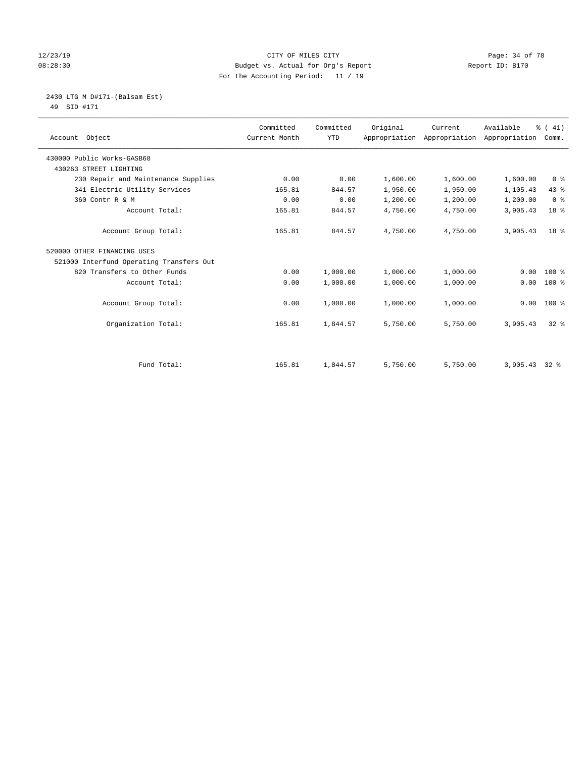#### 12/23/19 Page: 34 of 78 08:28:30 Budget vs. Actual for Org's Report Changer Report ID: B170 For the Accounting Period: 11 / 19

 2430 LTG M D#171-(Balsam Est) 49 SID #171

| Account Object                           | Committed<br>Current Month | Committed<br><b>YTD</b> | Original | Current<br>Appropriation Appropriation Appropriation Comm. | Available       | $\frac{1}{6}$ ( 41) |
|------------------------------------------|----------------------------|-------------------------|----------|------------------------------------------------------------|-----------------|---------------------|
| 430000 Public Works-GASB68               |                            |                         |          |                                                            |                 |                     |
| 430263 STREET LIGHTING                   |                            |                         |          |                                                            |                 |                     |
| 230 Repair and Maintenance Supplies      | 0.00                       | 0.00                    | 1,600.00 | 1,600.00                                                   | 1,600.00        | 0 <sup>8</sup>      |
| 341 Electric Utility Services            | 165.81                     | 844.57                  | 1,950.00 | 1,950.00                                                   | 1,105.43        | 43 %                |
| 360 Contr R & M                          | 0.00                       | 0.00                    | 1,200.00 | 1,200.00                                                   | 1,200.00        | 0 <sup>8</sup>      |
| Account Total:                           | 165.81                     | 844.57                  | 4,750.00 | 4,750.00                                                   | 3,905.43        | 18 %                |
| Account Group Total:                     | 165.81                     | 844.57                  | 4,750.00 | 4,750.00                                                   | 3,905.43        | 18 <sup>8</sup>     |
| 520000 OTHER FINANCING USES              |                            |                         |          |                                                            |                 |                     |
| 521000 Interfund Operating Transfers Out |                            |                         |          |                                                            |                 |                     |
| 820 Transfers to Other Funds             | 0.00                       | 1,000.00                | 1,000.00 | 1,000.00                                                   | 0.00            | $100*$              |
| Account Total:                           | 0.00                       | 1,000.00                | 1,000.00 | 1,000.00                                                   | 0.00            | $100*$              |
| Account Group Total:                     | 0.00                       | 1,000.00                | 1,000.00 | 1,000.00                                                   | 0.00            | $100*$              |
| Organization Total:                      | 165.81                     | 1,844.57                | 5,750.00 | 5,750.00                                                   | 3,905.43        | $32*$               |
|                                          |                            |                         |          |                                                            |                 |                     |
| Fund Total:                              | 165.81                     | 1,844.57                | 5,750.00 | 5,750.00                                                   | $3,905.43$ 32 % |                     |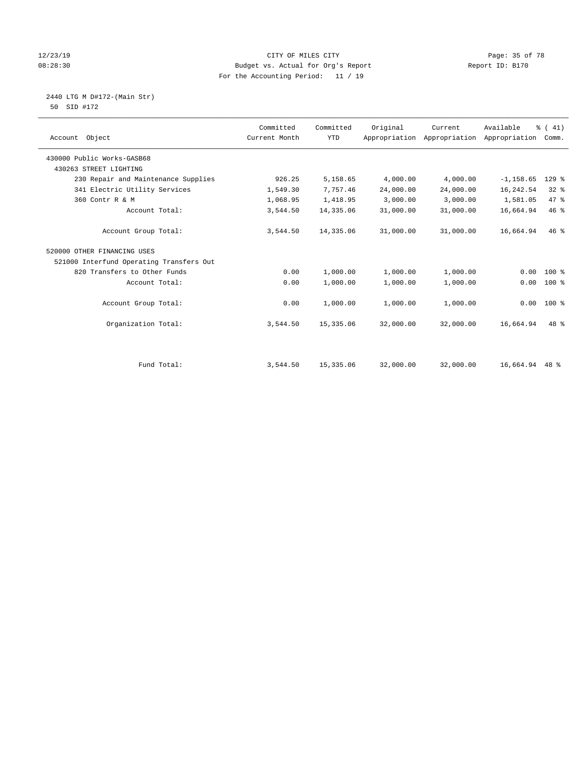#### 12/23/19 **CITY OF MILES CITY CITY CITY Page: 35 of 78** 08:28:30 Budget vs. Actual for Org's Report Changer Report ID: B170 For the Accounting Period: 11 / 19

 2440 LTG M D#172-(Main Str) 50 SID #172

| <u>ے ہیں سدت ت</u> |           |                    |                          |  |
|--------------------|-----------|--------------------|--------------------------|--|
|                    | Committed | Committed Original | Current Available % (41) |  |

| Account Object                           | Committed<br>Current Month | Committed<br><b>YTD</b> | Original  | Current   | Available<br>Appropriation Appropriation Appropriation Comm. | % (41)       |
|------------------------------------------|----------------------------|-------------------------|-----------|-----------|--------------------------------------------------------------|--------------|
| 430000 Public Works-GASB68               |                            |                         |           |           |                                                              |              |
| 430263 STREET LIGHTING                   |                            |                         |           |           |                                                              |              |
| 230 Repair and Maintenance Supplies      | 926.25                     | 5,158.65                | 4,000.00  | 4,000.00  | $-1, 158.65$                                                 | $129$ %      |
| 341 Electric Utility Services            | 1,549.30                   | 7,757.46                | 24,000.00 | 24,000.00 | 16,242.54                                                    | $32*$        |
| 360 Contr R & M                          | 1,068.95                   | 1,418.95                | 3,000.00  | 3,000.00  | 1,581.05                                                     | 47 %         |
| Account Total:                           | 3,544.50                   | 14,335.06               | 31,000.00 | 31,000.00 | 16,664.94                                                    | 46%          |
| Account Group Total:                     | 3,544.50                   | 14,335.06               | 31,000.00 | 31,000.00 | 16,664.94                                                    | 46%          |
| 520000 OTHER FINANCING USES              |                            |                         |           |           |                                                              |              |
| 521000 Interfund Operating Transfers Out |                            |                         |           |           |                                                              |              |
| 820 Transfers to Other Funds             | 0.00                       | 1,000.00                | 1,000.00  | 1,000.00  |                                                              | $0.00$ 100 % |
| Account Total:                           | 0.00                       | 1,000.00                | 1,000.00  | 1,000.00  |                                                              | $0.00$ 100 % |
| Account Group Total:                     | 0.00                       | 1,000.00                | 1,000.00  | 1,000.00  |                                                              | $0.00$ 100 % |
| Organization Total:                      | 3,544.50                   | 15, 335.06              | 32,000.00 | 32,000.00 | 16,664.94                                                    | 48 %         |
|                                          |                            |                         |           |           |                                                              |              |
| Fund Total:                              | 3,544.50                   | 15,335.06               | 32,000.00 | 32,000.00 | 16,664.94 48 %                                               |              |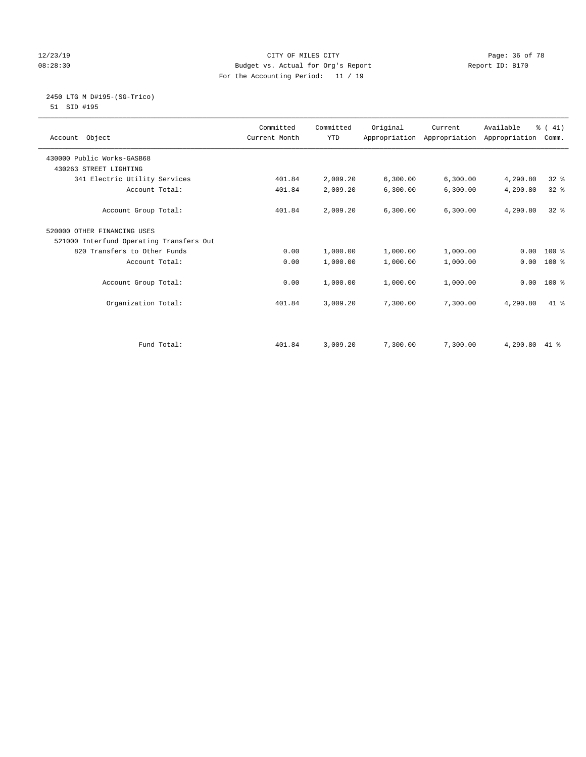#### 12/23/19 Page: 36 of 78 CITY OF MILES CITY CHANGES CONTROL PAGE: 36 of 78 08:28:30 Budget vs. Actual for Org's Report Changer Report ID: B170 For the Accounting Period: 11 / 19

#### 2450 LTG M D#195-(SG-Trico) 51 SID #195

| Account Object                           | Committed<br>Current Month | Committed<br><b>YTD</b> | Original | Current<br>Appropriation Appropriation Appropriation | Available | % (41)<br>Comm. |
|------------------------------------------|----------------------------|-------------------------|----------|------------------------------------------------------|-----------|-----------------|
| 430000 Public Works-GASB68               |                            |                         |          |                                                      |           |                 |
| 430263 STREET LIGHTING                   |                            |                         |          |                                                      |           |                 |
| 341 Electric Utility Services            | 401.84                     | 2,009.20                | 6,300.00 | 6,300.00                                             | 4,290.80  | $32*$           |
| Account Total:                           | 401.84                     | 2,009.20                | 6,300.00 | 6,300.00                                             | 4,290.80  | $32*$           |
| Account Group Total:                     | 401.84                     | 2,009.20                | 6,300.00 | 6, 300.00                                            | 4,290.80  | $32*$           |
| 520000 OTHER FINANCING USES              |                            |                         |          |                                                      |           |                 |
| 521000 Interfund Operating Transfers Out |                            |                         |          |                                                      |           |                 |
| 820 Transfers to Other Funds             | 0.00                       | 1,000.00                | 1,000.00 | 1,000.00                                             | 0.00      | $100*$          |
| Account Total:                           | 0.00                       | 1,000.00                | 1,000.00 | 1,000.00                                             | 0.00      | $100*$          |
| Account Group Total:                     | 0.00                       | 1,000.00                | 1,000.00 | 1,000.00                                             | 0.00      | $100*$          |
| Organization Total:                      | 401.84                     | 3,009.20                | 7,300.00 | 7,300.00                                             | 4,290.80  | $41*$           |
|                                          |                            |                         |          |                                                      |           |                 |
| Fund Total:                              | 401.84                     | 3,009.20                | 7,300.00 | 7,300.00                                             | 4,290.80  | 41 %            |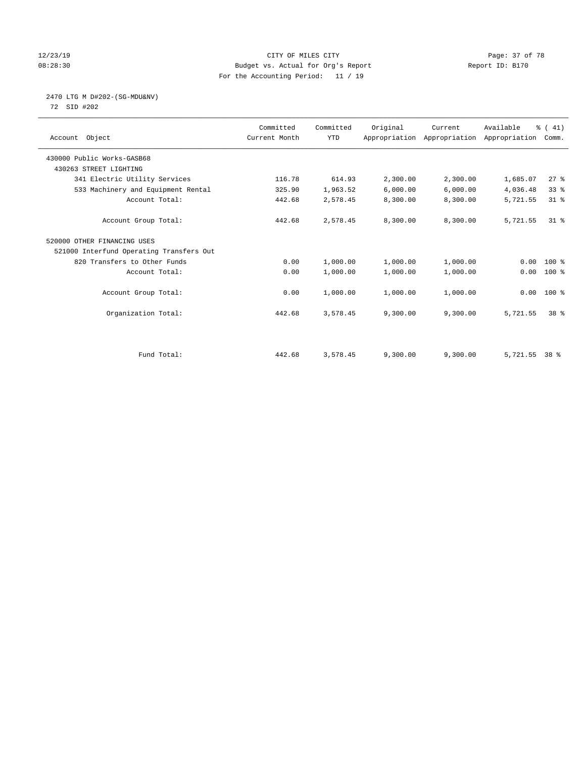#### 12/23/19 Page: 37 of 78 08:28:30 Budget vs. Actual for Org's Report Changer Report ID: B170 For the Accounting Period: 11 / 19

# 2470 LTG M D#202-(SG-MDU&NV)

72 SID #202

| Account Object                           | Committed<br>Current Month | Committed<br><b>YTD</b> | Original | Current<br>Appropriation Appropriation Appropriation | Available | % (41)<br>Comm. |
|------------------------------------------|----------------------------|-------------------------|----------|------------------------------------------------------|-----------|-----------------|
| 430000 Public Works-GASB68               |                            |                         |          |                                                      |           |                 |
| 430263 STREET LIGHTING                   |                            |                         |          |                                                      |           |                 |
| 341 Electric Utility Services            | 116.78                     | 614.93                  | 2,300.00 | 2,300.00                                             | 1,685.07  | 27%             |
| 533 Machinery and Equipment Rental       | 325.90                     | 1,963.52                | 6,000.00 | 6,000.00                                             | 4,036.48  | 33%             |
| Account Total:                           | 442.68                     | 2,578.45                | 8,300.00 | 8,300.00                                             | 5,721.55  | $31*$           |
| Account Group Total:                     | 442.68                     | 2,578.45                | 8,300.00 | 8,300.00                                             | 5,721.55  | $31*$           |
| 520000 OTHER FINANCING USES              |                            |                         |          |                                                      |           |                 |
| 521000 Interfund Operating Transfers Out |                            |                         |          |                                                      |           |                 |
| 820 Transfers to Other Funds             | 0.00                       | 1,000.00                | 1,000.00 | 1,000.00                                             | 0.00      | $100*$          |
| Account Total:                           | 0.00                       | 1,000.00                | 1,000.00 | 1,000.00                                             | 0.00      | $100$ %         |
| Account Group Total:                     | 0.00                       | 1,000.00                | 1,000.00 | 1,000.00                                             |           | $0.00$ 100 %    |
| Organization Total:                      | 442.68                     | 3,578.45                | 9,300.00 | 9,300.00                                             | 5,721.55  | 38 %            |
|                                          |                            |                         |          |                                                      |           |                 |
| Fund Total:                              | 442.68                     | 3,578.45                | 9,300.00 | 9,300.00                                             | 5,721.55  | 38 %            |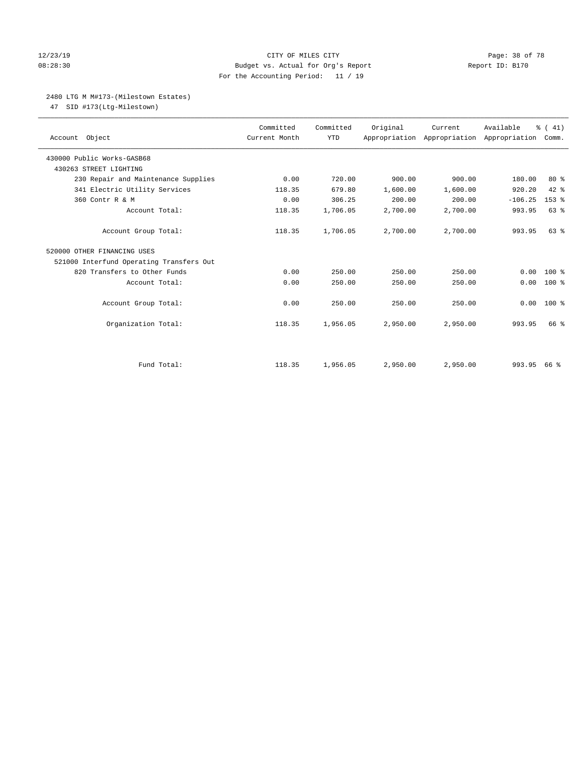#### 12/23/19 **Page: 38 of 78** CITY OF MILES CITY **Page: 38 of 78** 08:28:30 Budget vs. Actual for Org's Report Changer Report ID: B170 For the Accounting Period: 11 / 19

# 2480 LTG M M#173-(Milestown Estates)

47 SID #173(Ltg-Milestown)

| Account Object                           | Committed<br>Current Month | Committed<br><b>YTD</b> | Original | Current<br>Appropriation Appropriation Appropriation | Available | % (41)<br>Comm. |
|------------------------------------------|----------------------------|-------------------------|----------|------------------------------------------------------|-----------|-----------------|
| 430000 Public Works-GASB68               |                            |                         |          |                                                      |           |                 |
| 430263 STREET LIGHTING                   |                            |                         |          |                                                      |           |                 |
| 230 Repair and Maintenance Supplies      | 0.00                       | 720.00                  | 900.00   | 900.00                                               | 180.00    | $80*$           |
| 341 Electric Utility Services            | 118.35                     | 679.80                  | 1,600.00 | 1,600.00                                             | 920.20    | $42$ %          |
| 360 Contr R & M                          | 0.00                       | 306.25                  | 200.00   | 200.00                                               | $-106.25$ | $153$ $%$       |
| Account Total:                           | 118.35                     | 1,706.05                | 2,700.00 | 2,700.00                                             | 993.95    | 63 %            |
| Account Group Total:                     | 118.35                     | 1,706.05                | 2,700.00 | 2,700.00                                             | 993.95    | $63$ $%$        |
| 520000 OTHER FINANCING USES              |                            |                         |          |                                                      |           |                 |
| 521000 Interfund Operating Transfers Out |                            |                         |          |                                                      |           |                 |
| 820 Transfers to Other Funds             | 0.00                       | 250.00                  | 250.00   | 250.00                                               | 0.00      | $100*$          |
| Account Total:                           | 0.00                       | 250.00                  | 250.00   | 250.00                                               | 0.00      | $100*$          |
| Account Group Total:                     | 0.00                       | 250.00                  | 250.00   | 250.00                                               | 0.00      | $100*$          |
| Organization Total:                      | 118.35                     | 1,956.05                | 2,950.00 | 2,950.00                                             | 993.95    | 66 %            |
|                                          |                            |                         |          |                                                      |           |                 |
| Fund Total:                              | 118.35                     | 1,956.05                | 2,950.00 | 2,950.00                                             | 993.95    | 66 ៖            |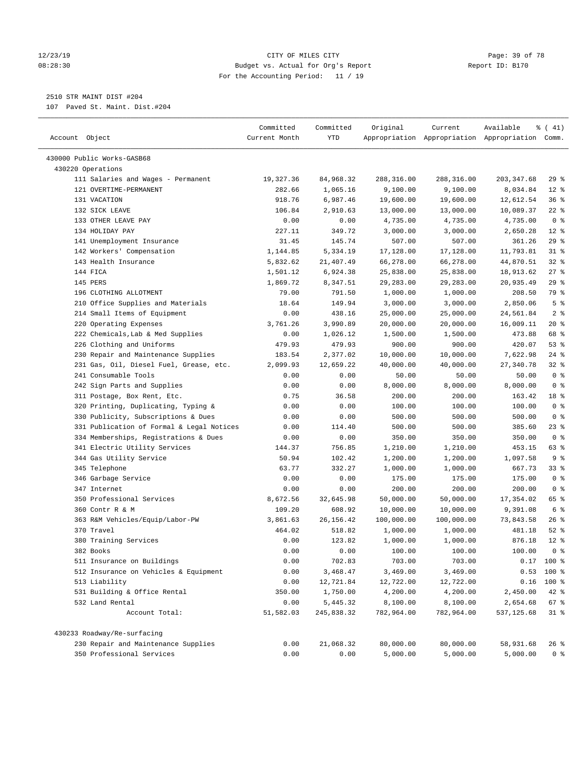#### 12/23/19 Page: 39 of 78 08:28:30 Budget vs. Actual for Org's Report Report ID: B170 For the Accounting Period: 11 / 19

————————————————————————————————————————————————————————————————————————————————————————————————————————————————————————————————————

# 2510 STR MAINT DIST #204

107 Paved St. Maint. Dist.#204

|                                                              | Committed           | Committed             | Original               | Current                                         | Available               | ៖ ( 41)        |
|--------------------------------------------------------------|---------------------|-----------------------|------------------------|-------------------------------------------------|-------------------------|----------------|
| Account Object                                               | Current Month       | YTD                   |                        | Appropriation Appropriation Appropriation Comm. |                         |                |
|                                                              |                     |                       |                        |                                                 |                         |                |
| 430000 Public Works-GASB68                                   |                     |                       |                        |                                                 |                         |                |
| 430220 Operations                                            |                     |                       |                        |                                                 |                         | 29%            |
| 111 Salaries and Wages - Permanent<br>121 OVERTIME-PERMANENT | 19,327.36<br>282.66 | 84,968.32<br>1,065.16 | 288,316.00<br>9,100.00 | 288,316.00<br>9,100.00                          | 203, 347.68<br>8,034.84 | $12*$          |
| 131 VACATION                                                 | 918.76              | 6,987.46              | 19,600.00              | 19,600.00                                       | 12,612.54               | 36%            |
| 132 SICK LEAVE                                               | 106.84              | 2,910.63              | 13,000.00              | 13,000.00                                       | 10,089.37               | $22$ %         |
| 133 OTHER LEAVE PAY                                          | 0.00                | 0.00                  | 4,735.00               | 4,735.00                                        | 4,735.00                | 0 <sup>8</sup> |
| 134 HOLIDAY PAY                                              | 227.11              | 349.72                | 3,000.00               | 3,000.00                                        | 2,650.28                | $12*$          |
| 141 Unemployment Insurance                                   | 31.45               | 145.74                | 507.00                 | 507.00                                          | 361.26                  | $29$ %         |
| 142 Workers' Compensation                                    | 1,144.85            | 5,334.19              | 17,128.00              | 17,128.00                                       | 11,793.81               | $31$ %         |
| 143 Health Insurance                                         | 5,832.62            | 21,407.49             | 66,278.00              | 66,278.00                                       | 44,870.51               | $32$ $%$       |
| 144 FICA                                                     | 1,501.12            | 6,924.38              | 25,838.00              | 25,838.00                                       | 18,913.62               | 27%            |
| 145 PERS                                                     | 1,869.72            | 8,347.51              | 29,283.00              | 29,283.00                                       | 20,935.49               | 29%            |
| 196 CLOTHING ALLOTMENT                                       | 79.00               | 791.50                | 1,000.00               | 1,000.00                                        | 208.50                  | 79 %           |
| 210 Office Supplies and Materials                            | 18.64               | 149.94                | 3,000.00               | 3,000.00                                        | 2,850.06                | 5 <sup>°</sup> |
| 214 Small Items of Equipment                                 | 0.00                | 438.16                | 25,000.00              | 25,000.00                                       | 24,561.84               | 2 <sup>8</sup> |
| 220 Operating Expenses                                       | 3,761.26            | 3,990.89              | 20,000.00              | 20,000.00                                       | 16,009.11               | $20*$          |
| 222 Chemicals, Lab & Med Supplies                            | 0.00                | 1,026.12              | 1,500.00               | 1,500.00                                        | 473.88                  | 68 %           |
| 226 Clothing and Uniforms                                    | 479.93              | 479.93                | 900.00                 | 900.00                                          | 420.07                  | 53%            |
| 230 Repair and Maintenance Supplies                          | 183.54              | 2,377.02              | 10,000.00              | 10,000.00                                       | 7,622.98                | $24$ %         |
| 231 Gas, Oil, Diesel Fuel, Grease, etc.                      | 2,099.93            | 12,659.22             | 40,000.00              | 40,000.00                                       | 27,340.78               | $32$ $%$       |
| 241 Consumable Tools                                         | 0.00                | 0.00                  | 50.00                  | 50.00                                           | 50.00                   | 0 <sup>8</sup> |
| 242 Sign Parts and Supplies                                  | 0.00                | 0.00                  | 8,000.00               | 8,000.00                                        | 8,000.00                | 0 <sup>8</sup> |
| 311 Postage, Box Rent, Etc.                                  | 0.75                | 36.58                 | 200.00                 | 200.00                                          | 163.42                  | 18 %           |
| 320 Printing, Duplicating, Typing &                          | 0.00                | 0.00                  | 100.00                 | 100.00                                          | 100.00                  | 0 <sup>8</sup> |
| 330 Publicity, Subscriptions & Dues                          | 0.00                | 0.00                  | 500.00                 | 500.00                                          | 500.00                  | 0 <sup>8</sup> |
| 331 Publication of Formal & Legal Notices                    | 0.00                | 114.40                | 500.00                 | 500.00                                          | 385.60                  | $23$ $%$       |
| 334 Memberships, Registrations & Dues                        | 0.00                | 0.00                  | 350.00                 | 350.00                                          | 350.00                  | 0 <sup>8</sup> |
| 341 Electric Utility Services                                | 144.37              | 756.85                | 1,210.00               | 1,210.00                                        | 453.15                  | 63 %           |
| 344 Gas Utility Service                                      | 50.94               | 102.42                | 1,200.00               | 1,200.00                                        | 1,097.58                | 9 <sup>°</sup> |
| 345 Telephone                                                | 63.77               | 332.27                | 1,000.00               | 1,000.00                                        | 667.73                  | 33 %           |
| 346 Garbage Service                                          | 0.00                | 0.00                  | 175.00                 | 175.00                                          | 175.00                  | 0 <sup>8</sup> |
| 347 Internet                                                 | 0.00                | 0.00                  | 200.00                 | 200.00                                          | 200.00                  | 0 <sup>8</sup> |
| 350 Professional Services                                    | 8,672.56            | 32,645.98             | 50,000.00              | 50,000.00                                       | 17,354.02               | 65 %           |
| 360 Contr R & M                                              | 109.20              | 608.92                | 10,000.00              | 10,000.00                                       | 9,391.08                | 6 <sup>8</sup> |
| 363 R&M Vehicles/Equip/Labor-PW                              | 3,861.63            | 26, 156. 42           | 100,000.00             | 100,000.00                                      | 73,843.58               | $26$ %         |
| 370 Travel                                                   | 464.02              | 518.82                | 1,000.00               | 1,000.00                                        | 481.18                  | $52$ $%$       |
| 380 Training Services                                        | 0.00                | 123.82                | 1,000.00               | 1,000.00                                        | 876.18                  | $12*$          |
| 382 Books                                                    | 0.00                | 0.00                  | 100.00                 | 100.00                                          | 100.00                  | 0 <sup>8</sup> |
| 511 Insurance on Buildings                                   | 0.00                | 702.83                | 703.00                 | 703.00                                          |                         | $0.17$ 100 %   |
| 512 Insurance on Vehicles & Equipment                        | 0.00                | 3,468.47              | 3,469.00               | 3,469.00                                        |                         | $0.53$ 100 %   |
| 513 Liability                                                | 0.00                | 12,721.84             | 12,722.00              | 12,722.00                                       |                         | $0.16$ 100 %   |
| 531 Building & Office Rental                                 | 350.00              | 1,750.00              | 4,200.00               | 4,200.00                                        | 2,450.00                | $42$ %         |
| 532 Land Rental                                              | 0.00                | 5,445.32              | 8,100.00               | 8,100.00                                        | 2,654.68                | 67 %           |
| Account Total:                                               | 51,582.03           | 245,838.32            | 782,964.00             | 782,964.00                                      | 537,125.68              | $31$ %         |
| 430233 Roadway/Re-surfacing                                  |                     |                       |                        |                                                 |                         |                |
| 230 Repair and Maintenance Supplies                          | 0.00                | 21,068.32             | 80,000.00              | 80,000.00                                       | 58,931.68               | 26 %           |
| 350 Professional Services                                    | 0.00                | 0.00                  | 5,000.00               | 5,000.00                                        | 5,000.00                | 0 <sup>8</sup> |
|                                                              |                     |                       |                        |                                                 |                         |                |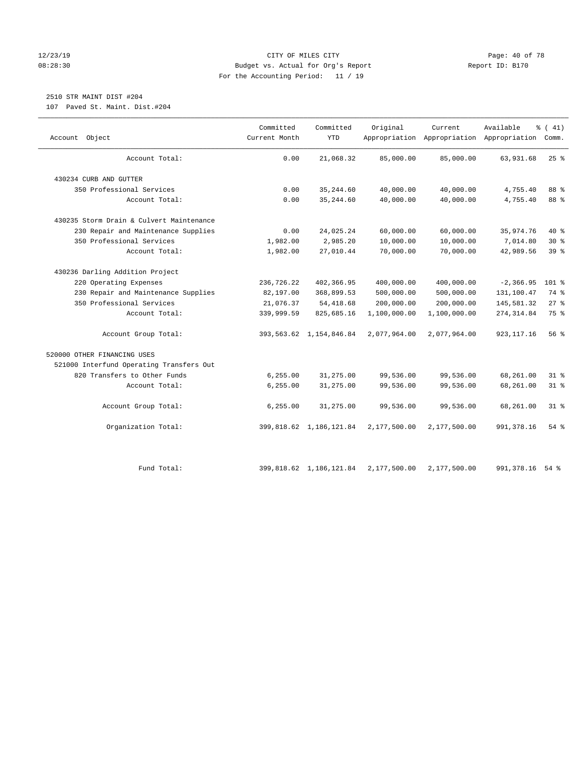#### 12/23/19 Page: 40 of 78 08:28:30 Budget vs. Actual for Org's Report Changer Report ID: B170 For the Accounting Period: 11 / 19

# 2510 STR MAINT DIST #204

107 Paved St. Maint. Dist.#204

| Object<br>Account                        | Committed<br>Current Month | Committed<br><b>YTD</b>    | Original     | Current      | Available<br>Appropriation Appropriation Appropriation Comm. | % (41)   |
|------------------------------------------|----------------------------|----------------------------|--------------|--------------|--------------------------------------------------------------|----------|
| Account Total:                           | 0.00                       | 21,068.32                  | 85,000.00    | 85,000.00    | 63,931.68                                                    | $25$ %   |
| 430234 CURB AND GUTTER                   |                            |                            |              |              |                                                              |          |
| 350 Professional Services                | 0.00                       | 35, 244.60                 | 40,000.00    | 40,000.00    | 4,755.40                                                     | 88 %     |
| Account Total:                           | 0.00                       | 35, 244.60                 | 40,000.00    | 40,000.00    | 4,755.40                                                     | 88 %     |
| 430235 Storm Drain & Culvert Maintenance |                            |                            |              |              |                                                              |          |
| 230 Repair and Maintenance Supplies      | 0.00                       | 24,025.24                  | 60,000.00    | 60,000.00    | 35,974.76                                                    | 40 %     |
| 350 Professional Services                | 1,982.00                   | 2,985.20                   | 10,000.00    | 10,000.00    | 7,014.80                                                     | $30*$    |
| Account Total:                           | 1,982.00                   | 27,010.44                  | 70,000.00    | 70,000.00    | 42,989.56                                                    | 39%      |
| 430236 Darling Addition Project          |                            |                            |              |              |                                                              |          |
| 220 Operating Expenses                   | 236,726.22                 | 402,366.95                 | 400,000.00   | 400,000.00   | $-2, 366.95$                                                 | $101$ %  |
| 230 Repair and Maintenance Supplies      | 82,197.00                  | 368,899.53                 | 500,000.00   | 500,000.00   | 131,100.47                                                   | 74 %     |
| 350 Professional Services                | 21,076.37                  | 54, 418.68                 | 200,000.00   | 200,000.00   | 145,581.32                                                   | $27$ %   |
| Account Total:                           | 339,999.59                 | 825,685.16                 | 1,100,000.00 | 1,100,000.00 | 274, 314.84                                                  | 75 %     |
| Account Group Total:                     |                            | 393, 563.62 1, 154, 846.84 | 2,077,964.00 | 2,077,964.00 | 923, 117.16                                                  | 56 %     |
| 520000 OTHER FINANCING USES              |                            |                            |              |              |                                                              |          |
| 521000 Interfund Operating Transfers Out |                            |                            |              |              |                                                              |          |
| 820 Transfers to Other Funds             | 6, 255.00                  | 31,275.00                  | 99,536.00    | 99,536.00    | 68,261.00                                                    | $31$ $%$ |
| Account Total:                           | 6, 255.00                  | 31,275.00                  | 99,536.00    | 99,536.00    | 68,261.00                                                    | $31$ %   |
| Account Group Total:                     | 6, 255.00                  | 31,275.00                  | 99,536.00    | 99,536.00    | 68,261.00                                                    | $31*$    |
| Organization Total:                      |                            | 399, 818.62 1, 186, 121.84 | 2,177,500.00 | 2,177,500.00 | 991, 378.16                                                  | $54$ $%$ |
| Fund Total:                              |                            | 399, 818.62 1, 186, 121.84 | 2,177,500.00 | 2,177,500.00 | 991, 378.16                                                  | $54$ $%$ |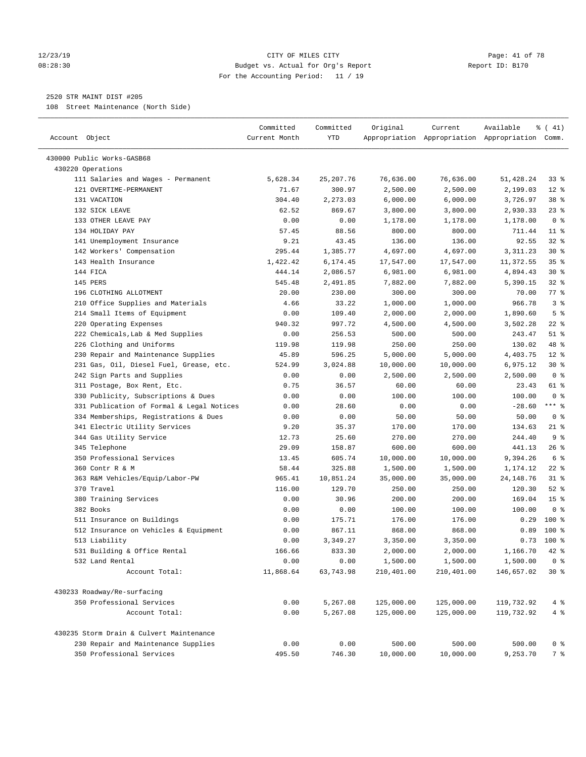#### 12/23/19 Page: 41 of 78 08:28:30 Budget vs. Actual for Org's Report Report ID: B170 For the Accounting Period: 11 / 19

————————————————————————————————————————————————————————————————————————————————————————————————————————————————————————————————————

## 2520 STR MAINT DIST #205

108 Street Maintenance (North Side)

|                                           | Committed     | Committed  | Original   | Current    | Available                                       | $\frac{1}{6}$ ( 41) |
|-------------------------------------------|---------------|------------|------------|------------|-------------------------------------------------|---------------------|
| Account Object                            | Current Month | YTD        |            |            | Appropriation Appropriation Appropriation Comm. |                     |
| 430000 Public Works-GASB68                |               |            |            |            |                                                 |                     |
| 430220 Operations                         |               |            |            |            |                                                 |                     |
| 111 Salaries and Wages - Permanent        | 5,628.34      | 25, 207.76 | 76,636.00  | 76,636.00  | 51,428.24                                       | 33 å                |
| 121 OVERTIME-PERMANENT                    | 71.67         | 300.97     | 2,500.00   | 2,500.00   | 2,199.03                                        | $12$ %              |
| 131 VACATION                              | 304.40        | 2,273.03   | 6,000.00   | 6,000.00   | 3,726.97                                        | 38 <sup>8</sup>     |
| 132 SICK LEAVE                            | 62.52         | 869.67     | 3,800.00   | 3,800.00   | 2,930.33                                        | $23$ $%$            |
| 133 OTHER LEAVE PAY                       | 0.00          | 0.00       | 1,178.00   | 1,178.00   | 1,178.00                                        | 0 <sup>8</sup>      |
| 134 HOLIDAY PAY                           | 57.45         | 88.56      | 800.00     | 800.00     | 711.44                                          | $11$ %              |
| 141 Unemployment Insurance                | 9.21          | 43.45      | 136.00     | 136.00     | 92.55                                           | 32%                 |
| 142 Workers' Compensation                 | 295.44        | 1,385.77   | 4,697.00   | 4,697.00   | 3,311.23                                        | $30*$               |
| 143 Health Insurance                      | 1,422.42      | 6,174.45   | 17,547.00  | 17,547.00  | 11,372.55                                       | 35%                 |
| 144 FICA                                  | 444.14        | 2,086.57   | 6,981.00   | 6,981.00   | 4,894.43                                        | $30*$               |
| 145 PERS                                  | 545.48        | 2,491.85   | 7,882.00   | 7,882.00   | 5,390.15                                        | $32$ $%$            |
| 196 CLOTHING ALLOTMENT                    | 20.00         | 230.00     | 300.00     | 300.00     | 70.00                                           | 77 %                |
| 210 Office Supplies and Materials         | 4.66          | 33.22      | 1,000.00   | 1,000.00   | 966.78                                          | 3 <sup>°</sup>      |
| 214 Small Items of Equipment              | 0.00          | 109.40     | 2,000.00   | 2,000.00   | 1,890.60                                        | 5 <sup>°</sup>      |
| 220 Operating Expenses                    | 940.32        | 997.72     | 4,500.00   | 4,500.00   | 3,502.28                                        | $22$ %              |
| 222 Chemicals, Lab & Med Supplies         | 0.00          | 256.53     | 500.00     | 500.00     | 243.47                                          | $51$ %              |
| 226 Clothing and Uniforms                 | 119.98        | 119.98     | 250.00     | 250.00     | 130.02                                          | 48 %                |
| 230 Repair and Maintenance Supplies       | 45.89         | 596.25     | 5,000.00   | 5,000.00   | 4,403.75                                        | $12*$               |
| 231 Gas, Oil, Diesel Fuel, Grease, etc.   | 524.99        | 3,024.88   | 10,000.00  | 10,000.00  | 6,975.12                                        | $30*$               |
| 242 Sign Parts and Supplies               | 0.00          | 0.00       | 2,500.00   | 2,500.00   | 2,500.00                                        | 0 <sup>8</sup>      |
| 311 Postage, Box Rent, Etc.               | 0.75          | 36.57      | 60.00      | 60.00      | 23.43                                           | 61 %                |
| 330 Publicity, Subscriptions & Dues       | 0.00          | 0.00       | 100.00     | 100.00     | 100.00                                          | 0 <sup>8</sup>      |
| 331 Publication of Formal & Legal Notices | 0.00          | 28.60      | 0.00       | 0.00       | $-28.60$                                        | $***$ 8             |
| 334 Memberships, Registrations & Dues     | 0.00          | 0.00       | 50.00      | 50.00      | 50.00                                           | 0 <sup>8</sup>      |
| 341 Electric Utility Services             | 9.20          | 35.37      | 170.00     | 170.00     | 134.63                                          | $21$ %              |
| 344 Gas Utility Service                   | 12.73         | 25.60      | 270.00     | 270.00     | 244.40                                          | 9 <sup>°</sup>      |
| 345 Telephone                             | 29.09         | 158.87     | 600.00     | 600.00     | 441.13                                          | 26%                 |
| 350 Professional Services                 | 13.45         | 605.74     | 10,000.00  | 10,000.00  | 9,394.26                                        | 6 %                 |
| 360 Contr R & M                           | 58.44         | 325.88     | 1,500.00   | 1,500.00   | 1,174.12                                        | $22$ %              |
| 363 R&M Vehicles/Equip/Labor-PW           | 965.41        | 10,851.24  | 35,000.00  | 35,000.00  | 24, 148. 76                                     | $31$ %              |
| 370 Travel                                | 116.00        | 129.70     | 250.00     | 250.00     | 120.30                                          | $52$ $%$            |
| 380 Training Services                     | 0.00          | 30.96      | 200.00     | 200.00     | 169.04                                          | 15 <sup>°</sup>     |
| 382 Books                                 | 0.00          | 0.00       | 100.00     | 100.00     | 100.00                                          | 0 <sup>8</sup>      |
| 511 Insurance on Buildings                | 0.00          | 175.71     | 176.00     | 176.00     | 0.29                                            | $100$ %             |
| 512 Insurance on Vehicles & Equipment     | 0.00          | 867.11     | 868.00     | 868.00     | 0.89                                            | $100*$              |
| 513 Liability                             | 0.00          | 3,349.27   | 3,350.00   | 3,350.00   | 0.73                                            | $100$ %             |
| 531 Building & Office Rental              | 166.66        | 833.30     | 2,000.00   | 2,000.00   | 1,166.70                                        | 42 %                |
| 532 Land Rental                           | 0.00          | 0.00       | 1,500.00   | 1,500.00   | 1,500.00                                        | 0 <sup>8</sup>      |
| Account Total:                            | 11,868.64     | 63,743.98  | 210,401.00 | 210,401.00 | 146,657.02                                      | $30*$               |
| 430233 Roadway/Re-surfacing               |               |            |            |            |                                                 |                     |
| 350 Professional Services                 | 0.00          | 5,267.08   | 125,000.00 | 125,000.00 | 119,732.92                                      | 4%                  |
| Account Total:                            | 0.00          | 5,267.08   | 125,000.00 | 125,000.00 | 119,732.92                                      | 4%                  |
| 430235 Storm Drain & Culvert Maintenance  |               |            |            |            |                                                 |                     |
| 230 Repair and Maintenance Supplies       | 0.00          | 0.00       | 500.00     | 500.00     | 500.00                                          | 0 <sup>8</sup>      |
| 350 Professional Services                 | 495.50        | 746.30     | 10,000.00  | 10,000.00  | 9,253.70                                        | 7 %                 |
|                                           |               |            |            |            |                                                 |                     |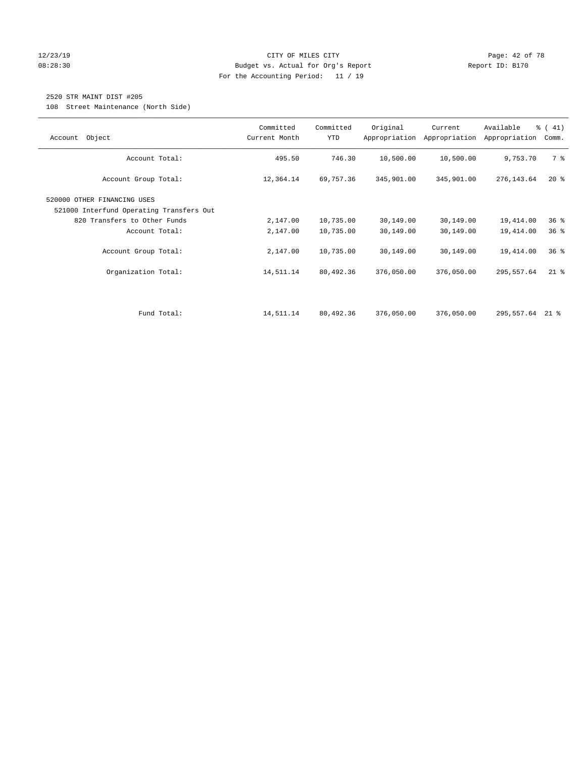#### 12/23/19 Page: 42 of 78 08:28:30 Budget vs. Actual for Org's Report Changer Report ID: B170 For the Accounting Period: 11 / 19

# 2520 STR MAINT DIST #205

108 Street Maintenance (North Side)

| Object<br>Account                                                       | Committed<br>Current Month | Committed<br>YTD | Original   | Current<br>Appropriation Appropriation | Available<br>Appropriation | $\frac{1}{6}$ ( 41)<br>Comm. |
|-------------------------------------------------------------------------|----------------------------|------------------|------------|----------------------------------------|----------------------------|------------------------------|
| Account Total:                                                          | 495.50                     | 746.30           | 10,500.00  | 10,500.00                              | 9,753.70                   | 7 %                          |
| Account Group Total:                                                    | 12,364.14                  | 69,757.36        | 345,901.00 | 345,901.00                             | 276,143.64                 | $20*$                        |
| 520000 OTHER FINANCING USES<br>521000 Interfund Operating Transfers Out |                            |                  |            |                                        |                            |                              |
| 820 Transfers to Other Funds                                            | 2,147.00                   | 10,735.00        | 30,149.00  | 30,149.00                              | 19,414.00                  | 36 <sup>8</sup>              |
| Account Total:                                                          | 2,147.00                   | 10,735.00        | 30,149.00  | 30,149.00                              | 19,414.00                  | 36 <sup>8</sup>              |
| Account Group Total:                                                    | 2,147.00                   | 10,735.00        | 30,149.00  | 30,149.00                              | 19,414.00                  | 36 <sup>8</sup>              |
| Organization Total:                                                     | 14,511.14                  | 80,492.36        | 376,050.00 | 376,050.00                             | 295,557.64                 | $21$ %                       |
|                                                                         |                            |                  |            |                                        |                            |                              |
| Fund Total:                                                             | 14,511.14                  | 80,492.36        | 376,050.00 | 376,050.00                             | 295,557.64 21 %            |                              |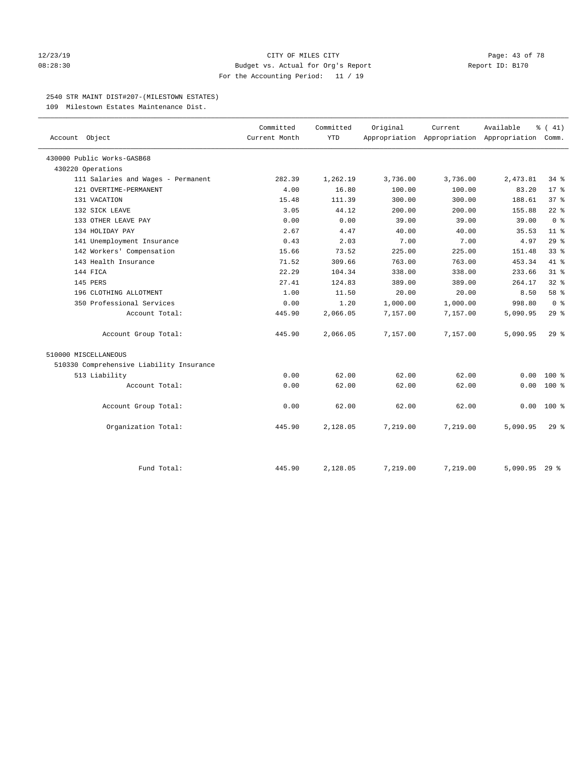#### 12/23/19 **Page: 43 of 78** CITY OF MILES CITY **Page: 43 of 78** 08:28:30 Budget vs. Actual for Org's Report Changer Report ID: B170 For the Accounting Period: 11 / 19

#### 2540 STR MAINT DIST#207-(MILESTOWN ESTATES)

109 Milestown Estates Maintenance Dist.

|                                          | Committed     | Committed  | Original | Current                                         | Available | $\frac{1}{6}$ ( 41) |
|------------------------------------------|---------------|------------|----------|-------------------------------------------------|-----------|---------------------|
| Account Object                           | Current Month | <b>YTD</b> |          | Appropriation Appropriation Appropriation Comm. |           |                     |
| 430000 Public Works-GASB68               |               |            |          |                                                 |           |                     |
| 430220 Operations                        |               |            |          |                                                 |           |                     |
| 111 Salaries and Wages - Permanent       | 282.39        | 1,262.19   | 3,736.00 | 3,736.00                                        | 2,473.81  | 34 %                |
| 121 OVERTIME-PERMANENT                   | 4.00          | 16.80      | 100.00   | 100.00                                          | 83.20     | $17*$               |
| 131 VACATION                             | 15.48         | 111.39     | 300.00   | 300.00                                          | 188.61    | 37 <sup>8</sup>     |
| 132 SICK LEAVE                           | 3.05          | 44.12      | 200.00   | 200.00                                          | 155.88    | $22$ %              |
| 133 OTHER LEAVE PAY                      | 0.00          | 0.00       | 39.00    | 39.00                                           | 39.00     | 0 <sup>8</sup>      |
| 134 HOLIDAY PAY                          | 2.67          | 4.47       | 40.00    | 40.00                                           | 35.53     | 11 <sup>8</sup>     |
| 141 Unemployment Insurance               | 0.43          | 2.03       | 7.00     | 7.00                                            | 4.97      | 29%                 |
| 142 Workers' Compensation                | 15.66         | 73.52      | 225.00   | 225.00                                          | 151.48    | 33 <sup>8</sup>     |
| 143 Health Insurance                     | 71.52         | 309.66     | 763.00   | 763.00                                          | 453.34    | 41.8                |
| 144 FICA                                 | 22.29         | 104.34     | 338.00   | 338.00                                          | 233.66    | 31.8                |
| 145 PERS                                 | 27.41         | 124.83     | 389.00   | 389.00                                          | 264.17    | $32$ $%$            |
| 196 CLOTHING ALLOTMENT                   | 1.00          | 11.50      | 20.00    | 20.00                                           | 8.50      | 58 %                |
| 350 Professional Services                | 0.00          | 1.20       | 1,000.00 | 1,000.00                                        | 998.80    | 0 <sup>8</sup>      |
| Account Total:                           | 445.90        | 2,066.05   | 7,157.00 | 7,157.00                                        | 5,090.95  | 29%                 |
| Account Group Total:                     | 445.90        | 2,066.05   | 7,157.00 | 7,157.00                                        | 5,090.95  | 298                 |
| 510000 MISCELLANEOUS                     |               |            |          |                                                 |           |                     |
| 510330 Comprehensive Liability Insurance |               |            |          |                                                 |           |                     |
| 513 Liability                            | 0.00          | 62.00      | 62.00    | 62.00                                           | 0.00      | $100*$              |
| Account Total:                           | 0.00          | 62.00      | 62.00    | 62.00                                           | 0.00      | $100*$              |
| Account Group Total:                     | 0.00          | 62.00      | 62.00    | 62.00                                           | 0.00      | $100*$              |
| Organization Total:                      | 445.90        | 2,128.05   | 7,219.00 | 7,219.00                                        | 5,090.95  | 29%                 |
|                                          |               |            |          |                                                 |           |                     |
| Fund Total:                              | 445.90        | 2,128.05   | 7,219.00 | 7,219.00                                        | 5,090.95  | $29$ %              |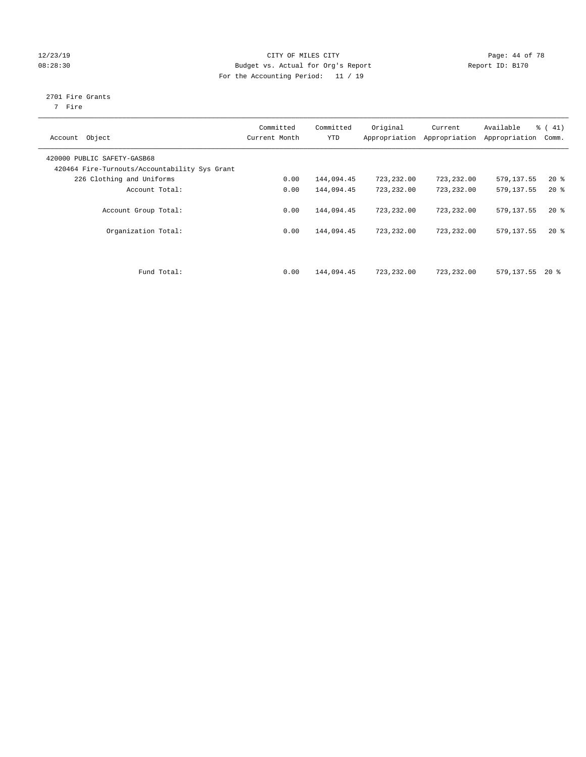#### 12/23/19 Page: 44 of 78 08:28:30 Budget vs. Actual for Org's Report Changer Report ID: B170 For the Accounting Period: 11 / 19

# 2701 Fire Grants

7 Fire

| Object<br>Account                                                            | Committed<br>Current Month | Committed<br><b>YTD</b> | Original<br>Appropriation | Current<br>Appropriation | Available<br>Appropriation | % (41)<br>Comm. |
|------------------------------------------------------------------------------|----------------------------|-------------------------|---------------------------|--------------------------|----------------------------|-----------------|
| 420000 PUBLIC SAFETY-GASB68<br>420464 Fire-Turnouts/Accountability Sys Grant |                            |                         |                           |                          |                            |                 |
| 226 Clothing and Uniforms                                                    | 0.00                       | 144,094.45              | 723,232.00                | 723,232.00               | 579, 137.55                | $20*$           |
| Account Total:                                                               | 0.00                       | 144,094.45              | 723,232.00                | 723,232.00               | 579,137.55                 | $20*$           |
| Account Group Total:                                                         | 0.00                       | 144,094.45              | 723, 232, 00              | 723,232.00               | 579,137.55                 | $20*$           |
| Organization Total:                                                          | 0.00                       | 144,094.45              | 723,232.00                | 723,232.00               | 579,137.55                 | $20*$           |
| Fund Total:                                                                  | 0.00                       | 144,094.45              | 723,232.00                | 723,232.00               | 579,137.55                 | $20*$           |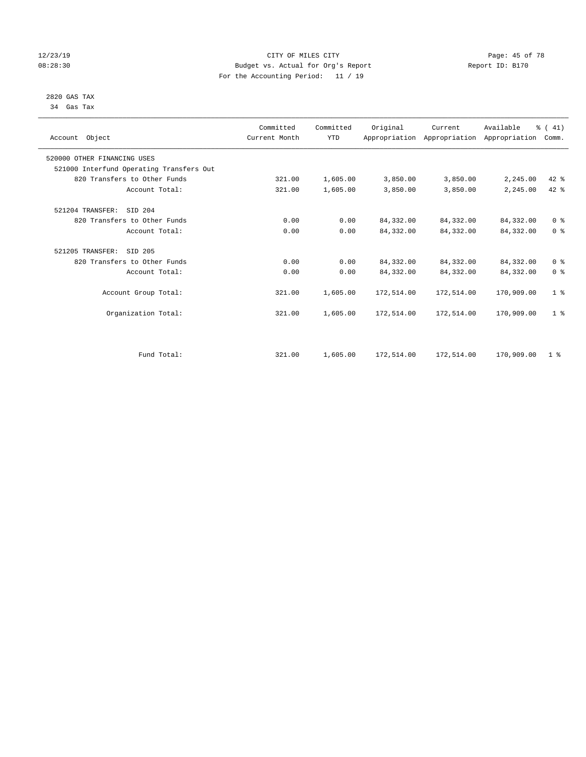#### 12/23/19 Page: 45 of 78 08:28:30 Budget vs. Actual for Org's Report Changer Report ID: B170 For the Accounting Period: 11 / 19

#### 2820 GAS TAX 34 Gas Tax

| Account Object              |                                          | Committed<br>Current Month | Committed<br><b>YTD</b> | Original   | Current<br>Appropriation Appropriation Appropriation | Available  | % (41)<br>Comm. |  |
|-----------------------------|------------------------------------------|----------------------------|-------------------------|------------|------------------------------------------------------|------------|-----------------|--|
| 520000 OTHER FINANCING USES |                                          |                            |                         |            |                                                      |            |                 |  |
|                             | 521000 Interfund Operating Transfers Out |                            |                         |            |                                                      |            |                 |  |
|                             | 820 Transfers to Other Funds             | 321.00                     | 1,605.00                | 3,850.00   | 3,850.00                                             | 2,245.00   | $42*$           |  |
|                             | Account Total:                           | 321.00                     | 1,605.00                | 3,850.00   | 3,850.00                                             | 2,245.00   | 42 %            |  |
| 521204 TRANSFER:            | SID 204                                  |                            |                         |            |                                                      |            |                 |  |
|                             | 820 Transfers to Other Funds             | 0.00                       | 0.00                    | 84, 332.00 | 84,332.00                                            | 84,332.00  | 0 <sup>8</sup>  |  |
|                             | Account Total:                           | 0.00                       | 0.00                    | 84,332.00  | 84,332.00                                            | 84, 332.00 | 0 <sup>8</sup>  |  |
| 521205 TRANSFER:            | SID 205                                  |                            |                         |            |                                                      |            |                 |  |
|                             | 820 Transfers to Other Funds             | 0.00                       | 0.00                    | 84, 332.00 | 84,332.00                                            | 84,332.00  | 0 <sup>8</sup>  |  |
|                             | Account Total:                           | 0.00                       | 0.00                    | 84,332.00  | 84,332.00                                            | 84,332.00  | 0 <sup>8</sup>  |  |
|                             | Account Group Total:                     | 321.00                     | 1,605.00                | 172,514.00 | 172,514.00                                           | 170,909.00 | 1 <sup>8</sup>  |  |
|                             | Organization Total:                      | 321.00                     | 1,605.00                | 172,514.00 | 172,514.00                                           | 170,909.00 | 1 <sup>8</sup>  |  |
|                             |                                          |                            |                         |            |                                                      |            |                 |  |
|                             | Fund Total:                              | 321.00                     | 1,605.00                | 172,514.00 | 172,514.00                                           | 170,909.00 | 1 <sup>8</sup>  |  |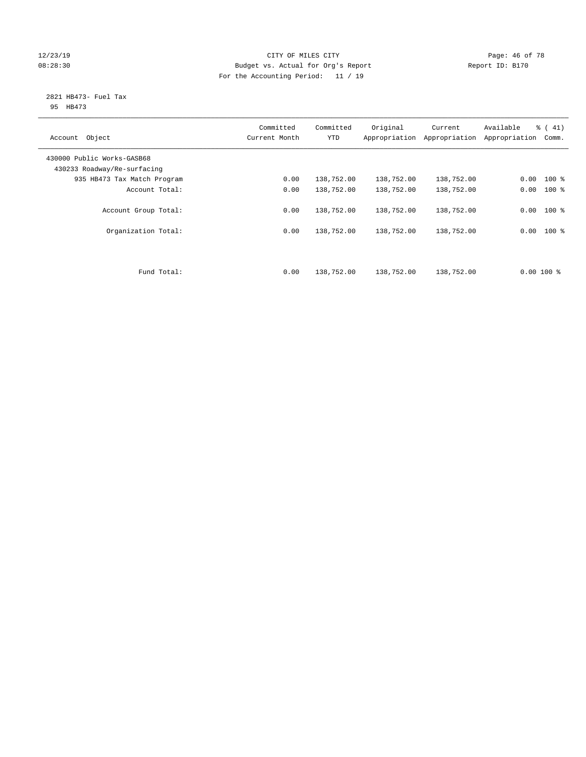#### 12/23/19 **Page: 46 of 78** CITY OF MILES CITY **Page: 46 of 78** 08:28:30 Budget vs. Actual for Org's Report Changer Report ID: B170 For the Accounting Period: 11 / 19

#### 2821 HB473- Fuel Tax 95 HB473

| Account Object                                            | Committed<br>Current Month | Committed<br><b>YTD</b> | Original<br>Appropriation | Current<br>Appropriation | Available<br>Appropriation | % (41)<br>Comm. |
|-----------------------------------------------------------|----------------------------|-------------------------|---------------------------|--------------------------|----------------------------|-----------------|
| 430000 Public Works-GASB68<br>430233 Roadway/Re-surfacing |                            |                         |                           |                          |                            |                 |
| 935 HB473 Tax Match Program                               | 0.00                       | 138,752.00              | 138,752.00                | 138,752.00               | 0.00                       | $100$ %         |
| Account Total:                                            | 0.00                       | 138,752.00              | 138,752.00                | 138,752.00               | 0.00                       | $100*$          |
| Account Group Total:                                      | 0.00                       | 138,752.00              | 138,752.00                | 138,752.00               |                            | $0.00$ 100 %    |
| Organization Total:                                       | 0.00                       | 138,752.00              | 138,752.00                | 138,752.00               | 0.00                       | $100$ %         |
| Fund Total:                                               | 0.00                       | 138,752.00              | 138,752.00                | 138,752.00               | $0.00$ 100 %               |                 |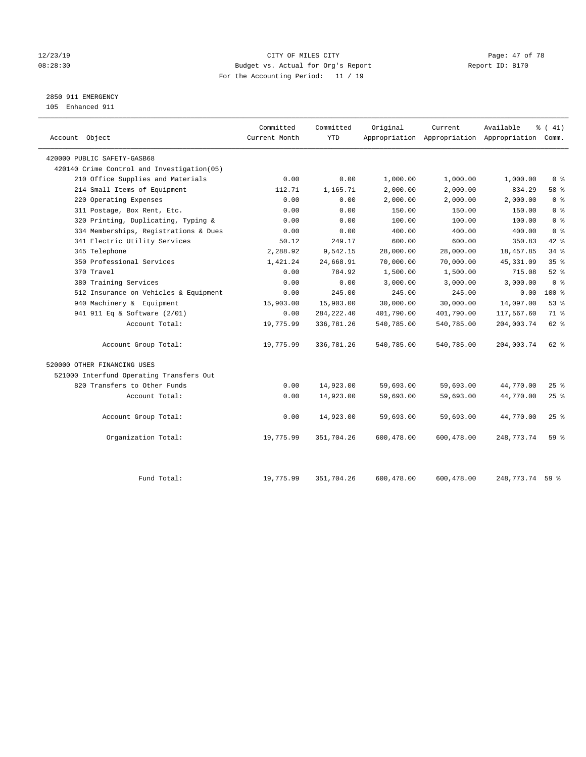#### 12/23/19 Page: 47 of 78 08:28:30 Budget vs. Actual for Org's Report Changer Report ID: B170 For the Accounting Period: 11 / 19

2850 911 EMERGENCY

105 Enhanced 911

| Account Object                             | Committed<br>Current Month | Committed<br><b>YTD</b> | Original   | Current    | Available<br>Appropriation Appropriation Appropriation Comm. | % (41)          |
|--------------------------------------------|----------------------------|-------------------------|------------|------------|--------------------------------------------------------------|-----------------|
| 420000 PUBLIC SAFETY-GASB68                |                            |                         |            |            |                                                              |                 |
| 420140 Crime Control and Investigation(05) |                            |                         |            |            |                                                              |                 |
| 210 Office Supplies and Materials          | 0.00                       | 0.00                    | 1,000.00   | 1,000.00   | 1,000.00                                                     | 0 <sup>8</sup>  |
| 214 Small Items of Equipment               | 112.71                     | 1,165.71                | 2,000.00   | 2,000.00   | 834.29                                                       | 58 %            |
| 220 Operating Expenses                     | 0.00                       | 0.00                    | 2,000.00   | 2,000.00   | 2,000.00                                                     | 0 <sup>8</sup>  |
| 311 Postage, Box Rent, Etc.                | 0.00                       | 0.00                    | 150.00     | 150.00     | 150.00                                                       | 0 <sup>8</sup>  |
| 320 Printing, Duplicating, Typing &        | 0.00                       | 0.00                    | 100.00     | 100.00     | 100.00                                                       | 0 <sup>8</sup>  |
| 334 Memberships, Registrations & Dues      | 0.00                       | 0.00                    | 400.00     | 400.00     | 400.00                                                       | 0 <sup>8</sup>  |
| 341 Electric Utility Services              | 50.12                      | 249.17                  | 600.00     | 600.00     | 350.83                                                       | $42$ $%$        |
| 345 Telephone                              | 2,288.92                   | 9,542.15                | 28,000.00  | 28,000.00  | 18,457.85                                                    | 34.8            |
| 350 Professional Services                  | 1,421.24                   | 24,668.91               | 70,000.00  | 70,000.00  | 45, 331.09                                                   | 35 <sup>8</sup> |
| 370 Travel                                 | 0.00                       | 784.92                  | 1,500.00   | 1,500.00   | 715.08                                                       | $52$ $%$        |
| 380 Training Services                      | 0.00                       | 0.00                    | 3,000.00   | 3,000.00   | 3,000.00                                                     | 0 <sup>8</sup>  |
| 512 Insurance on Vehicles & Equipment      | 0.00                       | 245.00                  | 245.00     | 245.00     | 0.00                                                         | $100*$          |
| 940 Machinery & Equipment                  | 15,903.00                  | 15,903.00               | 30,000.00  | 30,000.00  | 14,097.00                                                    | 53%             |
| 941 911 Eq & Software (2/01)               | 0.00                       | 284, 222.40             | 401,790.00 | 401,790.00 | 117,567.60                                                   | 71 %            |
| Account Total:                             | 19,775.99                  | 336,781.26              | 540,785.00 | 540,785.00 | 204,003.74                                                   | 62 %            |
| Account Group Total:                       | 19,775.99                  | 336,781.26              | 540,785.00 | 540,785.00 | 204,003.74                                                   | $62$ $%$        |
| 520000 OTHER FINANCING USES                |                            |                         |            |            |                                                              |                 |
| 521000 Interfund Operating Transfers Out   |                            |                         |            |            |                                                              |                 |
| 820 Transfers to Other Funds               | 0.00                       | 14,923.00               | 59,693.00  | 59,693.00  | 44,770.00                                                    | 25%             |
| Account Total:                             | 0.00                       | 14,923.00               | 59,693.00  | 59,693.00  | 44,770.00                                                    | 25%             |
| Account Group Total:                       | 0.00                       | 14,923.00               | 59,693.00  | 59,693.00  | 44,770.00                                                    | 25%             |
| Organization Total:                        | 19,775.99                  | 351,704.26              | 600,478.00 | 600,478.00 | 248, 773. 74                                                 | 59%             |
|                                            |                            |                         |            |            |                                                              |                 |
| Fund Total:                                | 19,775.99                  | 351,704.26              | 600,478.00 | 600,478.00 | 248,773.74 59 %                                              |                 |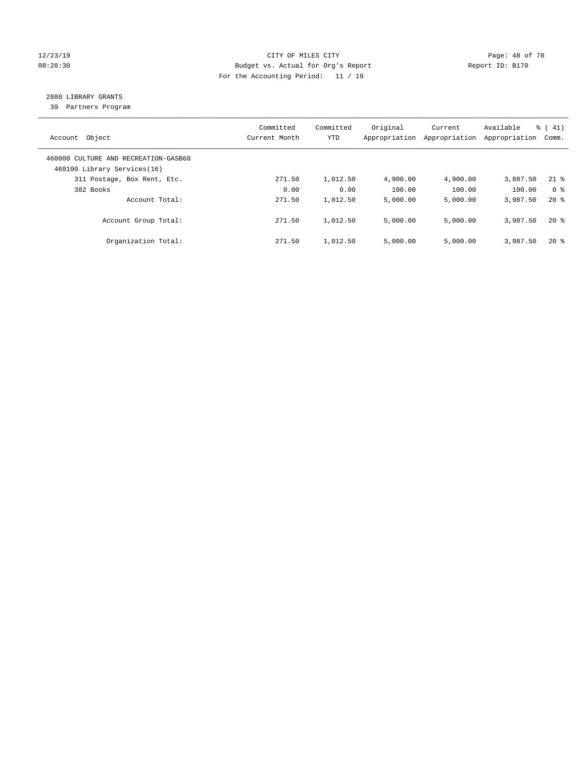#### 12/23/19 **Page: 48 of 78** CITY OF MILES CITY **Page: 48 of 78** 08:28:30 Budget vs. Actual for Org's Report Changer Report ID: B170 For the Accounting Period: 11 / 19

# 2880 LIBRARY GRANTS

39 Partners Program

| Object<br>Account                                                   | Committed<br>Current Month | Committed<br>YTD | Original<br>Appropriation | Current<br>Appropriation | Available<br>Appropriation | $\frac{1}{6}$ ( 41)<br>Comm. |
|---------------------------------------------------------------------|----------------------------|------------------|---------------------------|--------------------------|----------------------------|------------------------------|
| 460000 CULTURE AND RECREATION-GASB68<br>460100 Library Services(16) |                            |                  |                           |                          |                            |                              |
| 311 Postage, Box Rent, Etc.                                         | 271.50                     | 1,012.50         | 4,900.00                  | 4,900.00                 | 3,887.50                   | $21$ %                       |
| 382 Books                                                           | 0.00                       | 0.00             | 100.00                    | 100.00                   | 100.00                     | 0 <sup>8</sup>               |
| Account Total:                                                      | 271.50                     | 1,012.50         | 5,000.00                  | 5,000.00                 | 3,987.50                   | $20*$                        |
| Account Group Total:                                                | 271.50                     | 1,012.50         | 5,000.00                  | 5,000.00                 | 3,987.50                   | $20*$                        |
| Organization Total:                                                 | 271.50                     | 1,012.50         | 5.000.00                  | 5,000.00                 | 3,987.50                   | $20*$                        |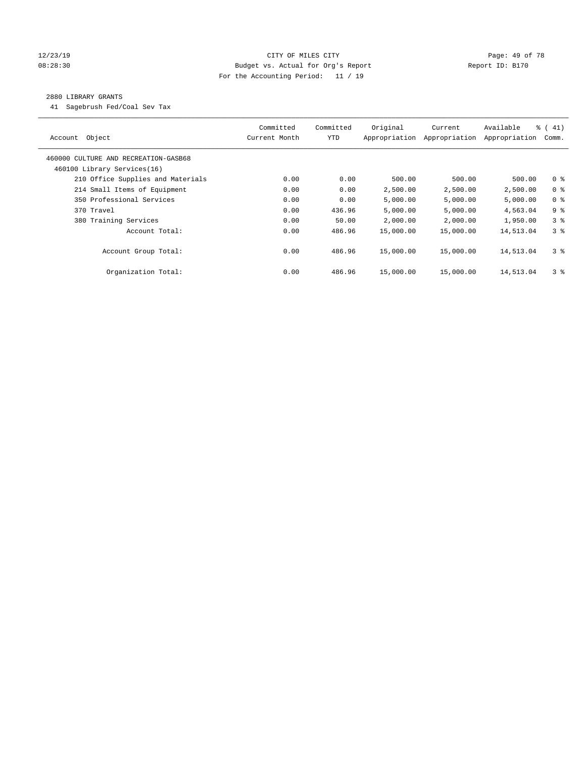#### 12/23/19 **Page: 49 of 78** CITY OF MILES CITY **Page: 49 of 78** 08:28:30 Budget vs. Actual for Org's Report Changer Report ID: B170 For the Accounting Period: 11 / 19

#### 2880 LIBRARY GRANTS

41 Sagebrush Fed/Coal Sev Tax

| Object<br>Account                    | Committed<br>Current Month | Committed<br><b>YTD</b> | Original<br>Appropriation | Current<br>Appropriation | Available<br>Appropriation | $\frac{1}{6}$ ( 41)<br>Comm. |
|--------------------------------------|----------------------------|-------------------------|---------------------------|--------------------------|----------------------------|------------------------------|
| 460000 CULTURE AND RECREATION-GASB68 |                            |                         |                           |                          |                            |                              |
| 460100 Library Services(16)          |                            |                         |                           |                          |                            |                              |
| 210 Office Supplies and Materials    | 0.00                       | 0.00                    | 500.00                    | 500.00                   | 500.00                     | 0 <sup>8</sup>               |
| 214 Small Items of Equipment         | 0.00                       | 0.00                    | 2,500.00                  | 2,500.00                 | 2,500.00                   | 0 <sup>8</sup>               |
| 350 Professional Services            | 0.00                       | 0.00                    | 5,000.00                  | 5,000.00                 | 5,000.00                   | 0 <sup>8</sup>               |
| 370 Travel                           | 0.00                       | 436.96                  | 5,000.00                  | 5,000.00                 | 4,563.04                   | 9 <sup>8</sup>               |
| 380 Training Services                | 0.00                       | 50.00                   | 2,000.00                  | 2,000.00                 | 1,950.00                   | 3 <sup>8</sup>               |
| Account Total:                       | 0.00                       | 486.96                  | 15,000.00                 | 15,000.00                | 14,513.04                  | 3 <sup>8</sup>               |
| Account Group Total:                 | 0.00                       | 486.96                  | 15,000.00                 | 15,000.00                | 14,513.04                  | 3 <sup>8</sup>               |
| Organization Total:                  | 0.00                       | 486.96                  | 15,000.00                 | 15,000.00                | 14,513.04                  | 3 <sup>8</sup>               |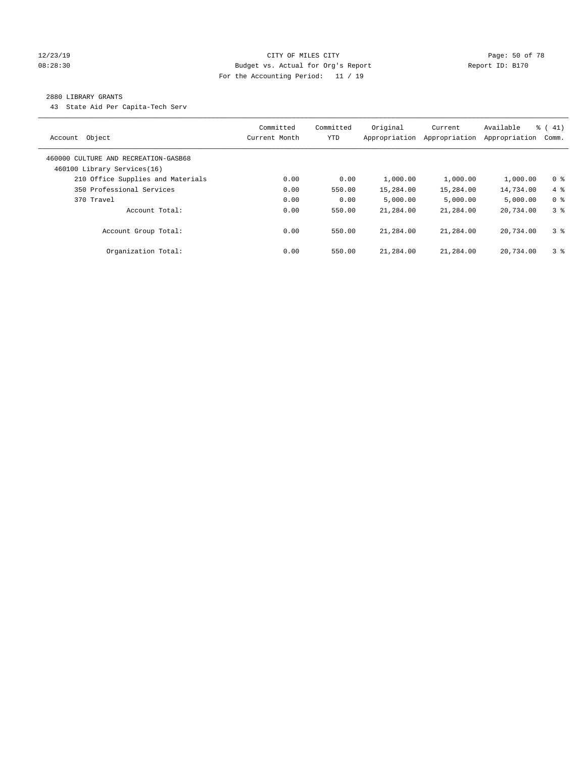#### 12/23/19 Page: 50 of 78 CITY OF MILES CITY CHANGES OF THE PAGE: 50 of 78 08:28:30 Budget vs. Actual for Org's Report Changer Report ID: B170 For the Accounting Period: 11 / 19

#### 2880 LIBRARY GRANTS

43 State Aid Per Capita-Tech Serv

| Object<br>Account                                                   | Committed<br>Current Month | Committed<br><b>YTD</b> | Original<br>Appropriation | Current<br>Appropriation | Available<br>Appropriation | $\frac{1}{6}$ ( 41)<br>Comm. |
|---------------------------------------------------------------------|----------------------------|-------------------------|---------------------------|--------------------------|----------------------------|------------------------------|
| 460000 CULTURE AND RECREATION-GASB68<br>460100 Library Services(16) |                            |                         |                           |                          |                            |                              |
| 210 Office Supplies and Materials                                   | 0.00                       | 0.00                    | 1,000.00                  | 1,000.00                 | 1,000.00                   | 0 <sup>8</sup>               |
| 350 Professional Services                                           | 0.00                       | 550.00                  | 15,284.00                 | 15,284.00                | 14,734.00                  | $4\degree$                   |
| 370 Travel                                                          | 0.00                       | 0.00                    | 5.000.00                  | 5,000.00                 | 5.000.00                   | 0 <sup>8</sup>               |
| Account Total:                                                      | 0.00                       | 550.00                  | 21,284.00                 | 21,284.00                | 20,734.00                  | 3 <sup>8</sup>               |
| Account Group Total:                                                | 0.00                       | 550.00                  | 21,284.00                 | 21,284.00                | 20,734.00                  | 3 <sup>8</sup>               |
| Organization Total:                                                 | 0.00                       | 550.00                  | 21,284.00                 | 21,284.00                | 20,734.00                  | 3 <sup>8</sup>               |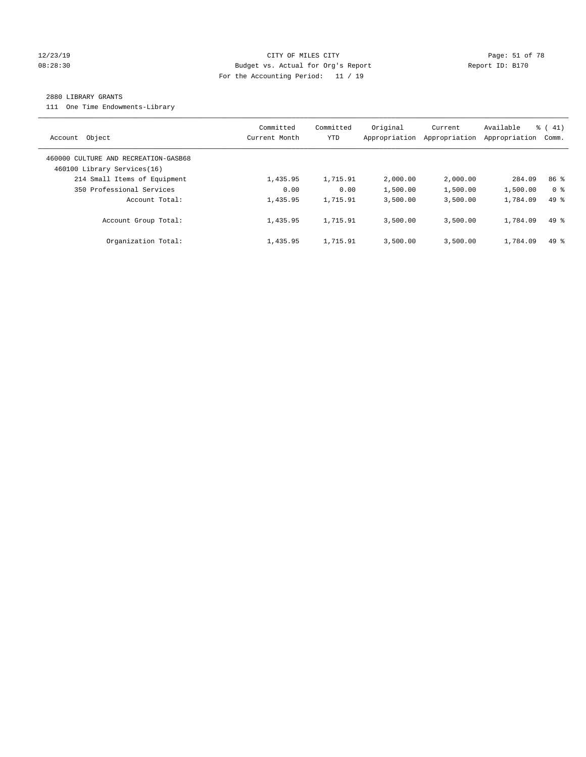#### 12/23/19 Page: 51 of 78 CITY OF MILES CITY CHANGES OF THE PAGE: 51 of 78 08:28:30 Budget vs. Actual for Org's Report Changer Report ID: B170 For the Accounting Period: 11 / 19

#### 2880 LIBRARY GRANTS

111 One Time Endowments-Library

| Object<br>Account                                                   | Committed<br>Current Month | Committed<br><b>YTD</b> | Original<br>Appropriation | Current<br>Appropriation | Available<br>Appropriation | $\frac{1}{6}$ ( 41)<br>Comm. |
|---------------------------------------------------------------------|----------------------------|-------------------------|---------------------------|--------------------------|----------------------------|------------------------------|
| 460000 CULTURE AND RECREATION-GASB68<br>460100 Library Services(16) |                            |                         |                           |                          |                            |                              |
| 214 Small Items of Equipment                                        | 1,435.95                   | 1,715.91                | 2,000.00                  | 2,000.00                 | 284.09                     | 86 <sup>8</sup>              |
| 350 Professional Services                                           | 0.00                       | 0.00                    | 1,500.00                  | 1,500.00                 | 1,500.00                   | 0 <sup>8</sup>               |
| Account Total:                                                      | 1,435.95                   | 1,715.91                | 3,500.00                  | 3,500.00                 | 1,784.09                   | $49*$                        |
| Account Group Total:                                                | 1,435.95                   | 1,715.91                | 3.500.00                  | 3.500.00                 | 1,784.09                   | $49*$                        |
| Organization Total:                                                 | 1,435.95                   | 1,715.91                | 3.500.00                  | 3,500.00                 | 1,784.09                   | $49*$                        |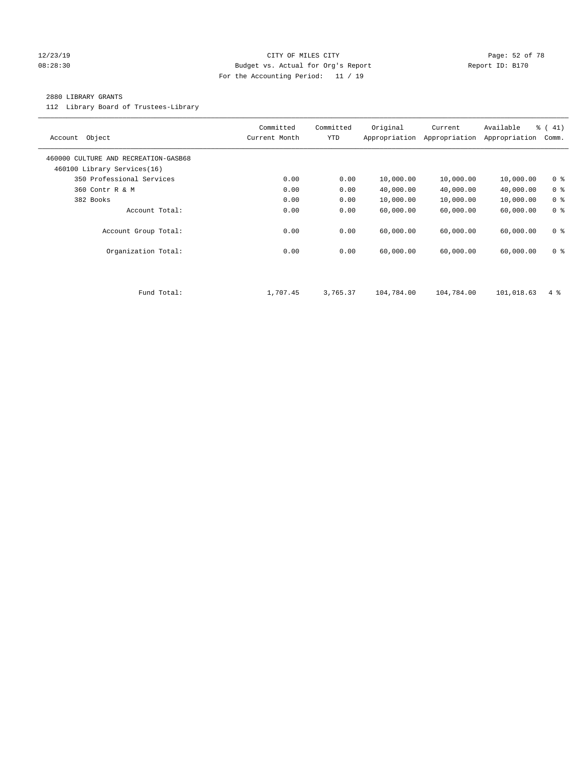#### 12/23/19 Page: 52 of 78 08:28:30 Budget vs. Actual for Org's Report Changer Report ID: B170 For the Accounting Period: 11 / 19

#### 2880 LIBRARY GRANTS

112 Library Board of Trustees-Library

| Object<br>Account                                                   | Committed<br>Current Month | Committed<br><b>YTD</b> | Original<br>Appropriation | Current<br>Appropriation | Available<br>Appropriation | % (41)<br>Comm. |
|---------------------------------------------------------------------|----------------------------|-------------------------|---------------------------|--------------------------|----------------------------|-----------------|
| 460000 CULTURE AND RECREATION-GASB68<br>460100 Library Services(16) |                            |                         |                           |                          |                            |                 |
| 350 Professional Services                                           | 0.00                       | 0.00                    | 10,000.00                 | 10,000.00                | 10,000.00                  | 0 <sup>8</sup>  |
| 360 Contr R & M                                                     | 0.00                       | 0.00                    | 40,000.00                 | 40,000.00                | 40,000.00                  | 0 <sup>8</sup>  |
| 382 Books                                                           | 0.00                       | 0.00                    | 10,000.00                 | 10,000.00                | 10,000.00                  | 0 <sup>8</sup>  |
| Account Total:                                                      | 0.00                       | 0.00                    | 60,000.00                 | 60,000.00                | 60,000.00                  | 0 <sup>8</sup>  |
| Account Group Total:                                                | 0.00                       | 0.00                    | 60,000.00                 | 60,000.00                | 60,000.00                  | 0 <sup>8</sup>  |
| Organization Total:                                                 | 0.00                       | 0.00                    | 60,000.00                 | 60,000.00                | 60,000.00                  | 0 <sup>8</sup>  |
|                                                                     |                            |                         |                           |                          |                            |                 |
| Fund Total:                                                         | 1,707.45                   | 3,765.37                | 104,784.00                | 104,784.00               | 101,018.63                 | $4\degree$      |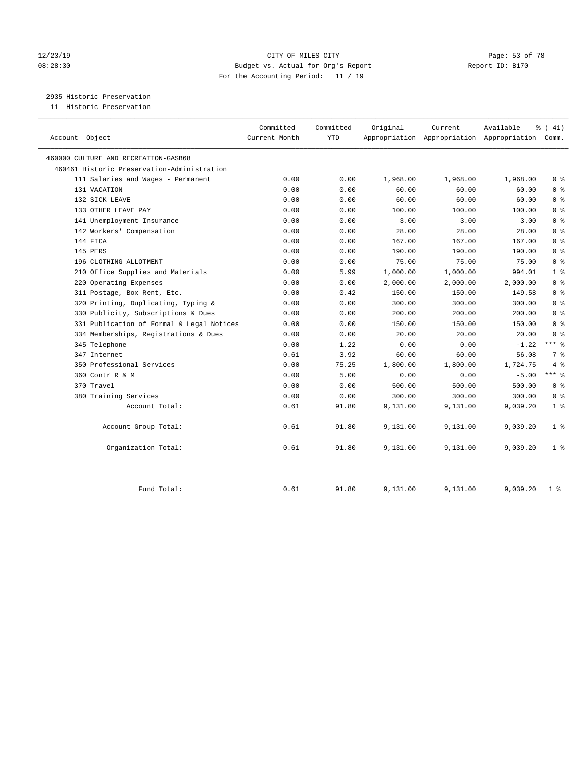#### 12/23/19 Page: 53 of 78 08:28:30 Budget vs. Actual for Org's Report Changer Report ID: B170 For the Accounting Period: 11 / 19

2935 Historic Preservation

11 Historic Preservation

| Account Object                              | Committed<br>Current Month | Committed<br><b>YTD</b> | Original | Current  | Available<br>Appropriation Appropriation Appropriation Comm. | $\frac{1}{6}$ ( 41) |
|---------------------------------------------|----------------------------|-------------------------|----------|----------|--------------------------------------------------------------|---------------------|
| 460000 CULTURE AND RECREATION-GASB68        |                            |                         |          |          |                                                              |                     |
| 460461 Historic Preservation-Administration |                            |                         |          |          |                                                              |                     |
| 111 Salaries and Wages - Permanent          | 0.00                       | 0.00                    | 1,968.00 | 1,968.00 | 1,968.00                                                     | 0 <sup>8</sup>      |
| 131 VACATION                                | 0.00                       | 0.00                    | 60.00    | 60.00    | 60.00                                                        | 0 <sup>8</sup>      |
| 132 SICK LEAVE                              | 0.00                       | 0.00                    | 60.00    | 60.00    | 60.00                                                        | 0 <sup>8</sup>      |
| 133 OTHER LEAVE PAY                         | 0.00                       | 0.00                    | 100.00   | 100.00   | 100.00                                                       | 0 <sup>8</sup>      |
| 141 Unemployment Insurance                  | 0.00                       | 0.00                    | 3.00     | 3.00     | 3.00                                                         | 0 <sup>8</sup>      |
| 142 Workers' Compensation                   | 0.00                       | 0.00                    | 28.00    | 28.00    | 28.00                                                        | 0 <sup>8</sup>      |
| 144 FICA                                    | 0.00                       | 0.00                    | 167.00   | 167.00   | 167.00                                                       | 0 <sup>8</sup>      |
| 145 PERS                                    | 0.00                       | 0.00                    | 190.00   | 190.00   | 190.00                                                       | 0 <sup>8</sup>      |
| 196 CLOTHING ALLOTMENT                      | 0.00                       | 0.00                    | 75.00    | 75.00    | 75.00                                                        | 0 <sup>8</sup>      |
| 210 Office Supplies and Materials           | 0.00                       | 5.99                    | 1,000.00 | 1,000.00 | 994.01                                                       | 1 <sup>°</sup>      |
| 220 Operating Expenses                      | 0.00                       | 0.00                    | 2,000.00 | 2,000.00 | 2,000.00                                                     | 0 <sup>8</sup>      |
| 311 Postage, Box Rent, Etc.                 | 0.00                       | 0.42                    | 150.00   | 150.00   | 149.58                                                       | 0 <sup>8</sup>      |
| 320 Printing, Duplicating, Typing &         | 0.00                       | 0.00                    | 300.00   | 300.00   | 300.00                                                       | 0 <sup>8</sup>      |
| 330 Publicity, Subscriptions & Dues         | 0.00                       | 0.00                    | 200.00   | 200.00   | 200.00                                                       | 0 <sup>8</sup>      |
| 331 Publication of Formal & Legal Notices   | 0.00                       | 0.00                    | 150.00   | 150.00   | 150.00                                                       | 0 <sup>8</sup>      |
| 334 Memberships, Registrations & Dues       | 0.00                       | 0.00                    | 20.00    | 20.00    | 20.00                                                        | 0 <sup>8</sup>      |
| 345 Telephone                               | 0.00                       | 1.22                    | 0.00     | 0.00     | $-1.22$                                                      | $***$ $%$           |
| 347 Internet                                | 0.61                       | 3.92                    | 60.00    | 60.00    | 56.08                                                        | 7 %                 |
| 350 Professional Services                   | 0.00                       | 75.25                   | 1,800.00 | 1,800.00 | 1,724.75                                                     | 4%                  |
| 360 Contr R & M                             | 0.00                       | 5.00                    | 0.00     | 0.00     | $-5.00$                                                      | $***$ 8             |
| 370 Travel                                  | 0.00                       | 0.00                    | 500.00   | 500.00   | 500.00                                                       | 0 <sup>8</sup>      |
| 380 Training Services                       | 0.00                       | 0.00                    | 300.00   | 300.00   | 300.00                                                       | 0 <sup>8</sup>      |
| Account Total:                              | 0.61                       | 91.80                   | 9,131.00 | 9,131.00 | 9,039.20                                                     | 1 <sup>°</sup>      |
| Account Group Total:                        | 0.61                       | 91.80                   | 9,131.00 | 9,131.00 | 9,039.20                                                     | 1 <sup>°</sup>      |
| Organization Total:                         | 0.61                       | 91.80                   | 9,131.00 | 9,131.00 | 9,039.20                                                     | 1 <sup>°</sup>      |
| Fund Total:                                 | 0.61                       | 91.80                   | 9,131.00 | 9,131.00 | 9,039.20                                                     | 1 <sup>8</sup>      |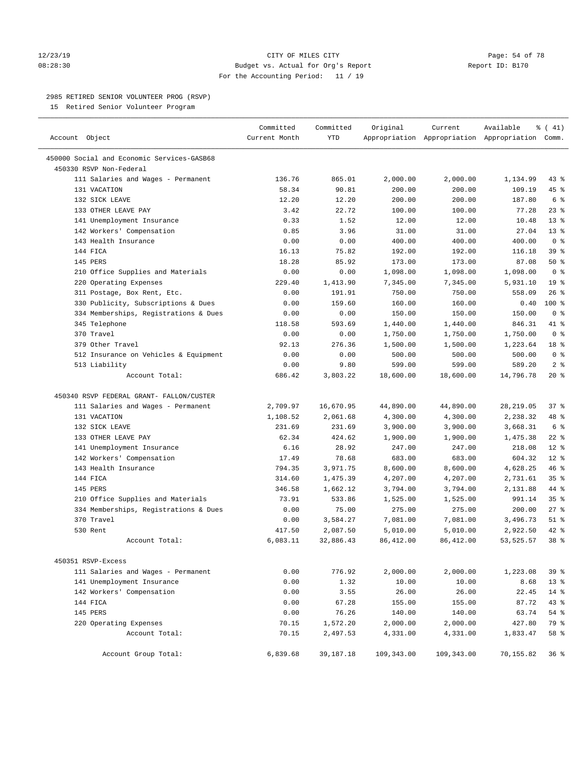#### 12/23/19 **Page: 54 of 78** CITY OF MILES CITY **Page: 54 of 78** 08:28:30 Budget vs. Actual for Org's Report Changer Report ID: B170 For the Accounting Period: 11 / 19

————————————————————————————————————————————————————————————————————————————————————————————————————————————————————————————————————

#### 2985 RETIRED SENIOR VOLUNTEER PROG (RSVP)

15 Retired Senior Volunteer Program

|                                            | Committed     | Committed | Original   | Current    | Available                                       | % (41)          |
|--------------------------------------------|---------------|-----------|------------|------------|-------------------------------------------------|-----------------|
| Account Object                             | Current Month | YTD       |            |            | Appropriation Appropriation Appropriation Comm. |                 |
| 450000 Social and Economic Services-GASB68 |               |           |            |            |                                                 |                 |
| 450330 RSVP Non-Federal                    |               |           |            |            |                                                 |                 |
| 111 Salaries and Wages - Permanent         | 136.76        | 865.01    | 2,000.00   | 2,000.00   | 1,134.99                                        | $43$ %          |
| 131 VACATION                               | 58.34         | 90.81     | 200.00     | 200.00     | 109.19                                          | 45 %            |
| 132 SICK LEAVE                             | 12.20         | 12.20     | 200.00     | 200.00     | 187.80                                          | 6 <sup>°</sup>  |
| 133 OTHER LEAVE PAY                        | 3.42          | 22.72     | 100.00     | 100.00     | 77.28                                           | $23$ $%$        |
| 141 Unemployment Insurance                 | 0.33          | 1.52      | 12.00      | 12.00      | 10.48                                           | $13*$           |
| 142 Workers' Compensation                  | 0.85          | 3.96      | 31.00      | 31.00      | 27.04                                           | $13*$           |
| 143 Health Insurance                       | 0.00          | 0.00      | 400.00     | 400.00     | 400.00                                          | 0 <sup>8</sup>  |
| 144 FICA                                   | 16.13         | 75.82     | 192.00     | 192.00     | 116.18                                          | 39 %            |
| 145 PERS                                   | 18.28         | 85.92     | 173.00     | 173.00     | 87.08                                           | 50%             |
| 210 Office Supplies and Materials          | 0.00          | 0.00      | 1,098.00   | 1,098.00   | 1,098.00                                        | 0 <sup>8</sup>  |
| 220 Operating Expenses                     | 229.40        | 1,413.90  | 7,345.00   | 7,345.00   | 5,931.10                                        | 19 <sup>°</sup> |
| 311 Postage, Box Rent, Etc.                | 0.00          | 191.91    | 750.00     | 750.00     | 558.09                                          | 26%             |
| 330 Publicity, Subscriptions & Dues        | 0.00          | 159.60    | 160.00     | 160.00     | 0.40                                            | $100*$          |
| 334 Memberships, Registrations & Dues      | 0.00          | 0.00      | 150.00     | 150.00     | 150.00                                          | 0 <sup>8</sup>  |
| 345 Telephone                              | 118.58        | 593.69    | 1,440.00   | 1,440.00   | 846.31                                          | 41 %            |
| 370 Travel                                 | 0.00          | 0.00      | 1,750.00   | 1,750.00   | 1,750.00                                        | 0 <sup>8</sup>  |
| 379 Other Travel                           | 92.13         | 276.36    | 1,500.00   | 1,500.00   | 1,223.64                                        | 18 %            |
| 512 Insurance on Vehicles & Equipment      | 0.00          | 0.00      | 500.00     | 500.00     | 500.00                                          | 0 <sup>8</sup>  |
| 513 Liability                              | 0.00          | 9.80      | 599.00     | 599.00     | 589.20                                          | 2 <sup>°</sup>  |
| Account Total:                             | 686.42        | 3,803.22  | 18,600.00  | 18,600.00  | 14,796.78                                       | $20*$           |
| 450340 RSVP FEDERAL GRANT- FALLON/CUSTER   |               |           |            |            |                                                 |                 |
| 111 Salaries and Wages - Permanent         | 2,709.97      | 16,670.95 | 44,890.00  | 44,890.00  | 28, 219.05                                      | 37%             |
| 131 VACATION                               | 1,108.52      | 2,061.68  | 4,300.00   | 4,300.00   | 2,238.32                                        | 48 %            |
| 132 SICK LEAVE                             | 231.69        | 231.69    | 3,900.00   | 3,900.00   | 3,668.31                                        | 6 %             |
| 133 OTHER LEAVE PAY                        | 62.34         | 424.62    | 1,900.00   | 1,900.00   | 1,475.38                                        | $22$ %          |
| 141 Unemployment Insurance                 | 6.16          | 28.92     | 247.00     | 247.00     | 218.08                                          | $12*$           |
| 142 Workers' Compensation                  | 17.49         | 78.68     | 683.00     | 683.00     | 604.32                                          | $12*$           |
| 143 Health Insurance                       | 794.35        | 3,971.75  | 8,600.00   | 8,600.00   | 4,628.25                                        | 46 %            |
| 144 FICA                                   | 314.60        | 1,475.39  | 4,207.00   | 4,207.00   | 2,731.61                                        | 35%             |
| 145 PERS                                   | 346.58        | 1,662.12  | 3,794.00   | 3,794.00   | 2,131.88                                        | 44 %            |
| 210 Office Supplies and Materials          | 73.91         | 533.86    | 1,525.00   | 1,525.00   | 991.14                                          | 35 <sup>8</sup> |
| 334 Memberships, Registrations & Dues      | 0.00          | 75.00     | 275.00     | 275.00     | 200.00                                          | $27$ %          |
| 370 Travel                                 | 0.00          | 3,584.27  | 7,081.00   | 7,081.00   | 3,496.73                                        | $51$ %          |
| 530 Rent                                   | 417.50        | 2,087.50  | 5,010.00   | 5,010.00   | 2,922.50                                        | $42$ %          |
| Account Total:                             | 6,083.11      | 32,886.43 | 86,412.00  | 86, 412.00 | 53, 525.57                                      | 38 <sup>8</sup> |
| 450351 RSVP-Excess                         |               |           |            |            |                                                 |                 |
| 111 Salaries and Wages - Permanent         | 0.00          | 776.92    | 2,000.00   | 2,000.00   | 1,223.08                                        | 39 %            |
| 141 Unemployment Insurance                 | 0.00          | 1.32      | 10.00      | 10.00      | 8.68                                            | $13*$           |
| 142 Workers' Compensation                  | 0.00          | 3.55      | 26.00      | 26.00      | 22.45                                           | $14$ %          |
| 144 FICA                                   | 0.00          | 67.28     | 155.00     | 155.00     | 87.72                                           | 43 %            |
| 145 PERS                                   | 0.00          | 76.26     | 140.00     | 140.00     | 63.74                                           | 54 %            |
| 220 Operating Expenses                     | 70.15         | 1,572.20  | 2,000.00   | 2,000.00   | 427.80                                          | 79 %            |
| Account Total:                             | 70.15         | 2,497.53  | 4,331.00   | 4,331.00   | 1,833.47                                        | 58 %            |
| Account Group Total:                       | 6,839.68      | 39,187.18 | 109,343.00 | 109,343.00 | 70,155.82                                       | 36%             |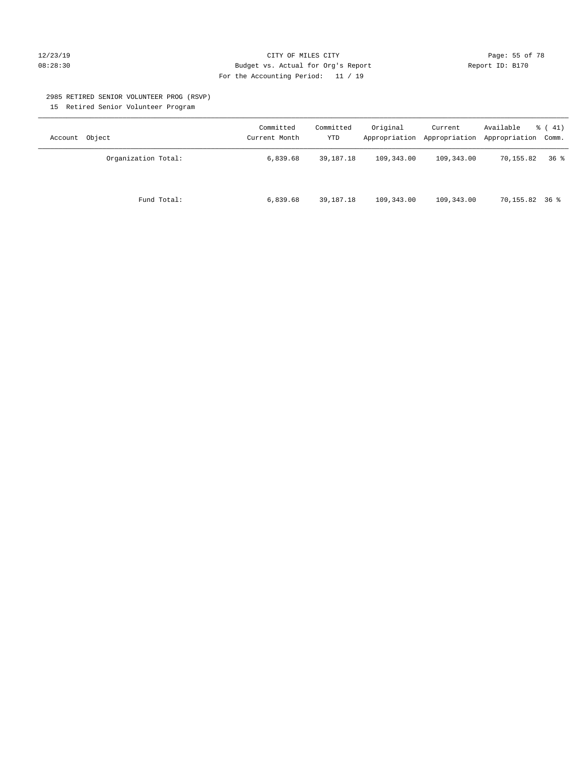#### 12/23/19 **Page: 55 of 78** CITY OF MILES CITY **Page: 55 of 78** 08:28:30 Budget vs. Actual for Org's Report Changer Report ID: B170 For the Accounting Period: 11 / 19

#### 2985 RETIRED SENIOR VOLUNTEER PROG (RSVP)

15 Retired Senior Volunteer Program

| Account Object      | Committed<br>Current Month | Committed<br>YTD | Original   | Current    | Available<br>Appropriation Appropriation Appropriation Comm. | $\frac{1}{6}$ ( 41) |
|---------------------|----------------------------|------------------|------------|------------|--------------------------------------------------------------|---------------------|
| Organization Total: | 6,839.68                   | 39,187.18        | 109,343.00 | 109,343.00 | 70,155.82                                                    | 36 <sup>8</sup>     |
| Fund Total:         | 6,839.68                   | 39,187.18        | 109,343.00 | 109,343.00 | 70,155.82 36 %                                               |                     |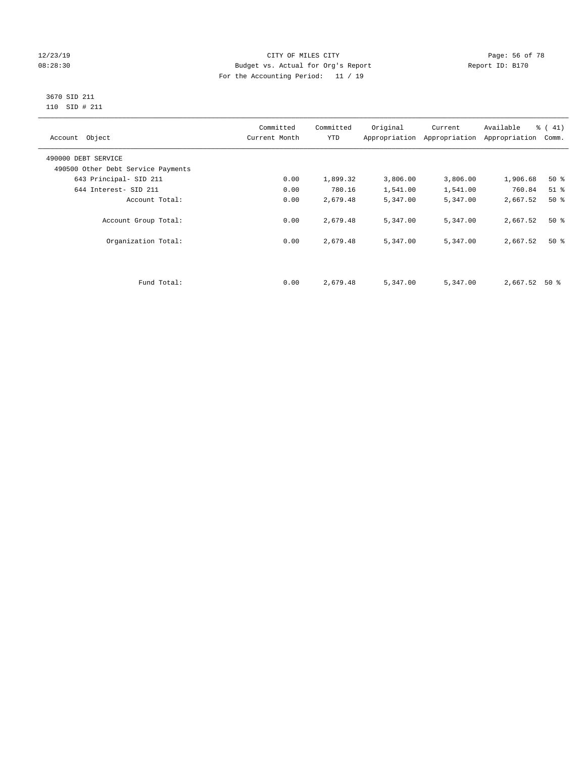#### 12/23/19 Page: 56 of 78 08:28:30 Budget vs. Actual for Org's Report Changer Report ID: B170 For the Accounting Period: 11 / 19

#### 3670 SID 211 110 SID # 211

| Account Object                     | Committed<br>Current Month | Committed<br><b>YTD</b> | Original | Current<br>Appropriation Appropriation | Available<br>Appropriation | $\frac{1}{6}$ ( 41)<br>Comm. |
|------------------------------------|----------------------------|-------------------------|----------|----------------------------------------|----------------------------|------------------------------|
| 490000 DEBT SERVICE                |                            |                         |          |                                        |                            |                              |
| 490500 Other Debt Service Payments |                            |                         |          |                                        |                            |                              |
| 643 Principal- SID 211             | 0.00                       | 1,899.32                | 3,806.00 | 3,806.00                               | 1,906.68                   | $50*$                        |
| 644 Interest- SID 211              | 0.00                       | 780.16                  | 1,541.00 | 1,541.00                               | 760.84                     | $51$ %                       |
| Account Total:                     | 0.00                       | 2,679.48                | 5,347.00 | 5,347.00                               | 2,667.52                   | 50%                          |
| Account Group Total:               | 0.00                       | 2,679.48                | 5,347.00 | 5,347.00                               | 2,667.52                   | $50*$                        |
| Organization Total:                | 0.00                       | 2,679.48                | 5,347.00 | 5,347.00                               | 2,667.52                   | $50*$                        |
|                                    |                            |                         |          |                                        |                            |                              |
| Fund Total:                        | 0.00                       | 2,679.48                | 5,347.00 | 5,347.00                               | 2,667.52                   | 50 %                         |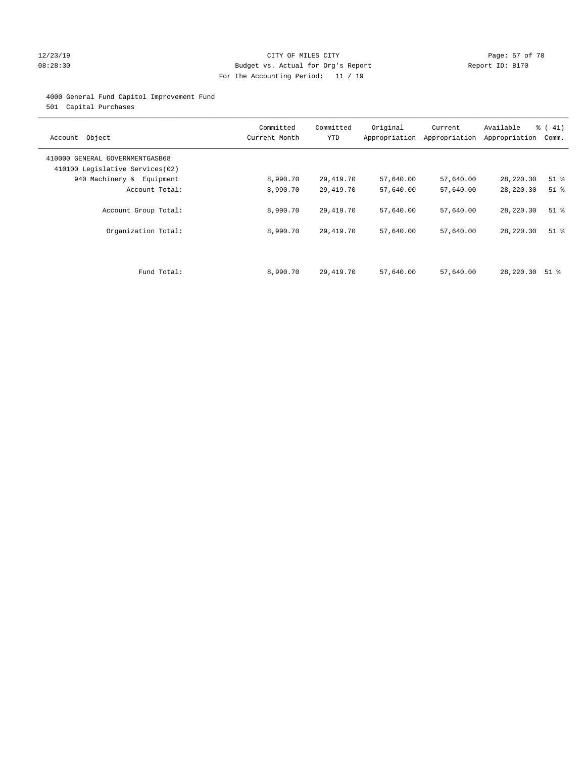#### 12/23/19 **Page: 57 of 78** CITY OF MILES CITY **Page: 57 of 78** 08:28:30 Budget vs. Actual for Org's Report Changer Report ID: B170 For the Accounting Period: 11 / 19

#### 4000 General Fund Capitol Improvement Fund

501 Capital Purchases

| Account Object                                                     | Committed<br>Current Month | Committed<br><b>YTD</b> | Original  | Current<br>Appropriation Appropriation | Available<br>Appropriation | $\frac{1}{6}$ ( 41)<br>Comm. |
|--------------------------------------------------------------------|----------------------------|-------------------------|-----------|----------------------------------------|----------------------------|------------------------------|
| 410000 GENERAL GOVERNMENTGASB68<br>410100 Legislative Services(02) |                            |                         |           |                                        |                            |                              |
| 940 Machinery & Equipment                                          | 8,990.70                   | 29,419.70               | 57,640.00 | 57,640.00                              | 28,220.30                  | $51$ %                       |
| Account Total:                                                     | 8,990.70                   | 29,419.70               | 57,640.00 | 57,640.00                              | 28,220.30                  | $51$ %                       |
| Account Group Total:                                               | 8,990.70                   | 29,419.70               | 57,640.00 | 57,640.00                              | 28,220.30                  | $51$ %                       |
| Organization Total:                                                | 8,990.70                   | 29,419.70               | 57,640.00 | 57,640.00                              | 28,220.30                  | $51$ %                       |
|                                                                    |                            |                         |           |                                        |                            |                              |
| Fund Total:                                                        | 8,990.70                   | 29,419.70               | 57,640.00 | 57,640.00                              | 28,220.30                  | 51 %                         |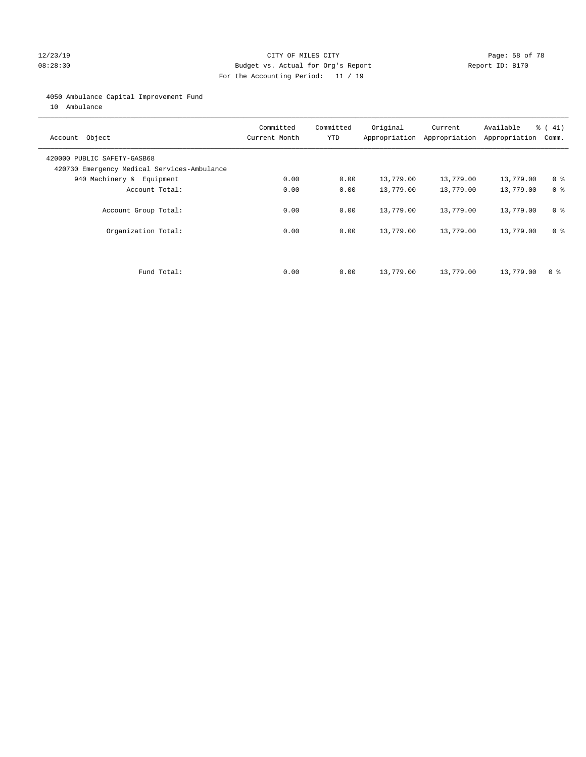#### 12/23/19 **Page: 58 of 78** CITY OF MILES CITY **Page: 58 of 78** 08:28:30 Budget vs. Actual for Org's Report Changer Report ID: B170 For the Accounting Period: 11 / 19

#### 4050 Ambulance Capital Improvement Fund

10 Ambulance

| Account Object                                                             | Committed<br>Current Month | Committed<br><b>YTD</b> | Original  | Current<br>Appropriation Appropriation | Available<br>Appropriation | % (41)<br>Comm. |
|----------------------------------------------------------------------------|----------------------------|-------------------------|-----------|----------------------------------------|----------------------------|-----------------|
| 420000 PUBLIC SAFETY-GASB68<br>420730 Emergency Medical Services-Ambulance |                            |                         |           |                                        |                            |                 |
| 940 Machinery & Equipment                                                  | 0.00                       | 0.00                    | 13,779.00 | 13,779.00                              | 13,779.00                  | 0 <sup>8</sup>  |
| Account Total:                                                             | 0.00                       | 0.00                    | 13,779.00 | 13,779.00                              | 13,779.00                  | 0 <sup>8</sup>  |
| Account Group Total:                                                       | 0.00                       | 0.00                    | 13,779.00 | 13,779.00                              | 13,779.00                  | 0 <sup>8</sup>  |
| Organization Total:                                                        | 0.00                       | 0.00                    | 13,779.00 | 13,779.00                              | 13,779.00                  | 0 <sup>8</sup>  |
|                                                                            |                            |                         |           |                                        |                            |                 |
| Fund Total:                                                                | 0.00                       | 0.00                    | 13,779.00 | 13,779.00                              | 13,779.00                  | 0 %             |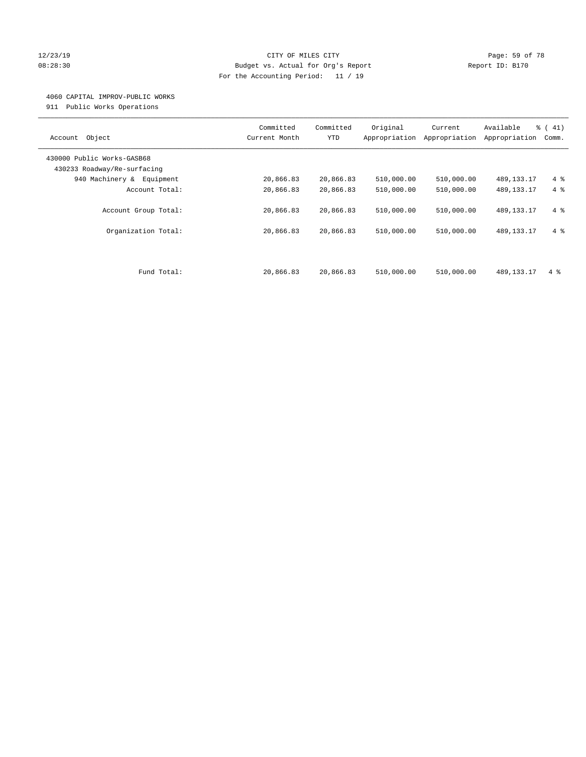#### 12/23/19 Page: 59 of 78 08:28:30 Budget vs. Actual for Org's Report Changer Report ID: B170 For the Accounting Period: 11 / 19

#### 4060 CAPITAL IMPROV-PUBLIC WORKS

911 Public Works Operations

| Object<br>Account                                         | Committed<br>Current Month | Committed<br><b>YTD</b> | Original<br>Appropriation | Current<br>Appropriation | Available<br>Appropriation | % (41)<br>Comm. |
|-----------------------------------------------------------|----------------------------|-------------------------|---------------------------|--------------------------|----------------------------|-----------------|
| 430000 Public Works-GASB68<br>430233 Roadway/Re-surfacing |                            |                         |                           |                          |                            |                 |
| 940 Machinery &<br>Equipment                              | 20,866.83                  | 20,866.83               | 510,000.00                | 510,000.00               | 489, 133. 17               | $4\degree$      |
| Account Total:                                            | 20,866.83                  | 20,866.83               | 510,000.00                | 510,000.00               | 489, 133. 17               | 4%              |
| Account Group Total:                                      | 20,866.83                  | 20,866.83               | 510,000.00                | 510,000.00               | 489, 133. 17               | $4\degree$      |
| Organization Total:                                       | 20,866.83                  | 20,866.83               | 510,000.00                | 510,000.00               | 489, 133. 17               | $4\degree$      |
| Fund Total:                                               | 20,866.83                  | 20,866.83               | 510,000.00                | 510,000.00               | 489, 133, 17               | $4\degree$      |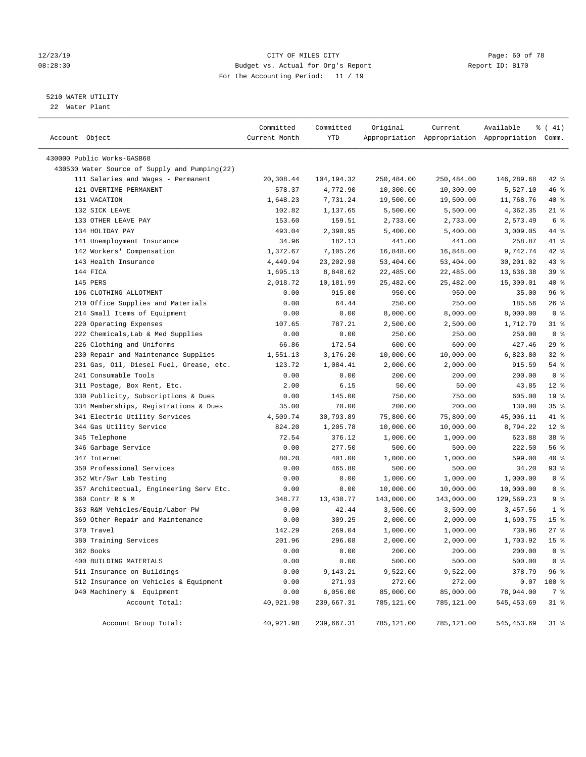#### 12/23/19 Page: 60 of 78 08:28:30 Budget vs. Actual for Org's Report Changer Report ID: B170 For the Accounting Period: 11 / 19

————————————————————————————————————————————————————————————————————————————————————————————————————————————————————————————————————

### 5210 WATER UTILITY

22 Water Plant

| Account Object<br>Current Month<br>YTD<br>Appropriation Appropriation Appropriation Comm.<br>430000 Public Works-GASB68<br>430530 Water Source of Supply and Pumping(22)<br>111 Salaries and Wages - Permanent<br>20,308.44<br>104,194.32<br>250,484.00<br>250,484.00<br>146,289.68<br>121 OVERTIME-PERMANENT<br>578.37<br>4,772.90<br>10,300.00<br>10,300.00<br>5,527.10<br>131 VACATION<br>1,648.23<br>7,731.24<br>19,500.00<br>19,500.00<br>11,768.76<br>132 SICK LEAVE<br>102.82<br>1,137.65<br>5,500.00<br>5,500.00<br>4,362.35<br>133 OTHER LEAVE PAY<br>153.60<br>159.51<br>2,733.00<br>2,733.00<br>2,573.49<br>134 HOLIDAY PAY<br>2,390.95<br>493.04<br>5,400.00<br>5,400.00<br>3,009.05<br>141 Unemployment Insurance<br>34.96<br>258.87<br>182.13<br>441.00<br>441.00<br>142 Workers' Compensation<br>9,742.74<br>1,372.67<br>7,105.26<br>16,848.00<br>16,848.00<br>143 Health Insurance<br>4,449.94<br>23, 202.98<br>53,404.00<br>53,404.00<br>30,201.02<br>144 FICA<br>1,695.13<br>8,848.62<br>22,485.00<br>22,485.00<br>13,636.38<br>145 PERS<br>2,018.72<br>10,181.99<br>25,482.00<br>25,482.00<br>15,300.01<br>196 CLOTHING ALLOTMENT<br>0.00<br>915.00<br>950.00<br>950.00<br>35.00<br>210 Office Supplies and Materials<br>0.00<br>64.44<br>250.00<br>250.00<br>185.56<br>214 Small Items of Equipment<br>0.00<br>0.00<br>8,000.00<br>8,000.00<br>8,000.00<br>220 Operating Expenses<br>107.65<br>787.21<br>2,500.00<br>2,500.00<br>1,712.79<br>222 Chemicals, Lab & Med Supplies<br>0.00<br>250.00<br>0.00<br>250.00<br>250.00<br>226 Clothing and Uniforms<br>66.86<br>172.54<br>600.00<br>600.00<br>427.46<br>230 Repair and Maintenance Supplies<br>6,823.80<br>1,551.13<br>3,176.20<br>10,000.00<br>10,000.00<br>231 Gas, Oil, Diesel Fuel, Grease, etc.<br>123.72<br>1,084.41<br>2,000.00<br>2,000.00<br>915.59<br>241 Consumable Tools<br>0.00<br>0.00<br>200.00<br>200.00<br>200.00<br>311 Postage, Box Rent, Etc.<br>2.00<br>43.85<br>6.15<br>50.00<br>50.00<br>330 Publicity, Subscriptions & Dues<br>0.00<br>145.00<br>750.00<br>750.00<br>605.00<br>334 Memberships, Registrations & Dues<br>70.00<br>200.00<br>200.00<br>130.00<br>35.00<br>341 Electric Utility Services<br>4,509.74<br>30,793.89<br>75,800.00<br>75,800.00<br>45,006.11<br>344 Gas Utility Service<br>824.20<br>1,205.78<br>10,000.00<br>10,000.00<br>8,794.22<br>345 Telephone<br>72.54<br>376.12<br>1,000.00<br>1,000.00<br>623.88 | $42$ %<br>46 %<br>40 %<br>$21$ %<br>6 %<br>44 %<br>41 %<br>$42$ % |
|--------------------------------------------------------------------------------------------------------------------------------------------------------------------------------------------------------------------------------------------------------------------------------------------------------------------------------------------------------------------------------------------------------------------------------------------------------------------------------------------------------------------------------------------------------------------------------------------------------------------------------------------------------------------------------------------------------------------------------------------------------------------------------------------------------------------------------------------------------------------------------------------------------------------------------------------------------------------------------------------------------------------------------------------------------------------------------------------------------------------------------------------------------------------------------------------------------------------------------------------------------------------------------------------------------------------------------------------------------------------------------------------------------------------------------------------------------------------------------------------------------------------------------------------------------------------------------------------------------------------------------------------------------------------------------------------------------------------------------------------------------------------------------------------------------------------------------------------------------------------------------------------------------------------------------------------------------------------------------------------------------------------------------------------------------------------------------------------------------------------------------------------------------------------------------------------------------------------------------------------------------------------------------------------------------------------------------------------------------------------------------------------------------------------------------------|-------------------------------------------------------------------|
|                                                                                                                                                                                                                                                                                                                                                                                                                                                                                                                                                                                                                                                                                                                                                                                                                                                                                                                                                                                                                                                                                                                                                                                                                                                                                                                                                                                                                                                                                                                                                                                                                                                                                                                                                                                                                                                                                                                                                                                                                                                                                                                                                                                                                                                                                                                                                                                                                                      |                                                                   |
|                                                                                                                                                                                                                                                                                                                                                                                                                                                                                                                                                                                                                                                                                                                                                                                                                                                                                                                                                                                                                                                                                                                                                                                                                                                                                                                                                                                                                                                                                                                                                                                                                                                                                                                                                                                                                                                                                                                                                                                                                                                                                                                                                                                                                                                                                                                                                                                                                                      |                                                                   |
|                                                                                                                                                                                                                                                                                                                                                                                                                                                                                                                                                                                                                                                                                                                                                                                                                                                                                                                                                                                                                                                                                                                                                                                                                                                                                                                                                                                                                                                                                                                                                                                                                                                                                                                                                                                                                                                                                                                                                                                                                                                                                                                                                                                                                                                                                                                                                                                                                                      |                                                                   |
|                                                                                                                                                                                                                                                                                                                                                                                                                                                                                                                                                                                                                                                                                                                                                                                                                                                                                                                                                                                                                                                                                                                                                                                                                                                                                                                                                                                                                                                                                                                                                                                                                                                                                                                                                                                                                                                                                                                                                                                                                                                                                                                                                                                                                                                                                                                                                                                                                                      |                                                                   |
|                                                                                                                                                                                                                                                                                                                                                                                                                                                                                                                                                                                                                                                                                                                                                                                                                                                                                                                                                                                                                                                                                                                                                                                                                                                                                                                                                                                                                                                                                                                                                                                                                                                                                                                                                                                                                                                                                                                                                                                                                                                                                                                                                                                                                                                                                                                                                                                                                                      |                                                                   |
|                                                                                                                                                                                                                                                                                                                                                                                                                                                                                                                                                                                                                                                                                                                                                                                                                                                                                                                                                                                                                                                                                                                                                                                                                                                                                                                                                                                                                                                                                                                                                                                                                                                                                                                                                                                                                                                                                                                                                                                                                                                                                                                                                                                                                                                                                                                                                                                                                                      |                                                                   |
|                                                                                                                                                                                                                                                                                                                                                                                                                                                                                                                                                                                                                                                                                                                                                                                                                                                                                                                                                                                                                                                                                                                                                                                                                                                                                                                                                                                                                                                                                                                                                                                                                                                                                                                                                                                                                                                                                                                                                                                                                                                                                                                                                                                                                                                                                                                                                                                                                                      |                                                                   |
|                                                                                                                                                                                                                                                                                                                                                                                                                                                                                                                                                                                                                                                                                                                                                                                                                                                                                                                                                                                                                                                                                                                                                                                                                                                                                                                                                                                                                                                                                                                                                                                                                                                                                                                                                                                                                                                                                                                                                                                                                                                                                                                                                                                                                                                                                                                                                                                                                                      |                                                                   |
|                                                                                                                                                                                                                                                                                                                                                                                                                                                                                                                                                                                                                                                                                                                                                                                                                                                                                                                                                                                                                                                                                                                                                                                                                                                                                                                                                                                                                                                                                                                                                                                                                                                                                                                                                                                                                                                                                                                                                                                                                                                                                                                                                                                                                                                                                                                                                                                                                                      |                                                                   |
|                                                                                                                                                                                                                                                                                                                                                                                                                                                                                                                                                                                                                                                                                                                                                                                                                                                                                                                                                                                                                                                                                                                                                                                                                                                                                                                                                                                                                                                                                                                                                                                                                                                                                                                                                                                                                                                                                                                                                                                                                                                                                                                                                                                                                                                                                                                                                                                                                                      |                                                                   |
|                                                                                                                                                                                                                                                                                                                                                                                                                                                                                                                                                                                                                                                                                                                                                                                                                                                                                                                                                                                                                                                                                                                                                                                                                                                                                                                                                                                                                                                                                                                                                                                                                                                                                                                                                                                                                                                                                                                                                                                                                                                                                                                                                                                                                                                                                                                                                                                                                                      |                                                                   |
|                                                                                                                                                                                                                                                                                                                                                                                                                                                                                                                                                                                                                                                                                                                                                                                                                                                                                                                                                                                                                                                                                                                                                                                                                                                                                                                                                                                                                                                                                                                                                                                                                                                                                                                                                                                                                                                                                                                                                                                                                                                                                                                                                                                                                                                                                                                                                                                                                                      | 43 %                                                              |
|                                                                                                                                                                                                                                                                                                                                                                                                                                                                                                                                                                                                                                                                                                                                                                                                                                                                                                                                                                                                                                                                                                                                                                                                                                                                                                                                                                                                                                                                                                                                                                                                                                                                                                                                                                                                                                                                                                                                                                                                                                                                                                                                                                                                                                                                                                                                                                                                                                      | 39%                                                               |
|                                                                                                                                                                                                                                                                                                                                                                                                                                                                                                                                                                                                                                                                                                                                                                                                                                                                                                                                                                                                                                                                                                                                                                                                                                                                                                                                                                                                                                                                                                                                                                                                                                                                                                                                                                                                                                                                                                                                                                                                                                                                                                                                                                                                                                                                                                                                                                                                                                      | 40 %                                                              |
|                                                                                                                                                                                                                                                                                                                                                                                                                                                                                                                                                                                                                                                                                                                                                                                                                                                                                                                                                                                                                                                                                                                                                                                                                                                                                                                                                                                                                                                                                                                                                                                                                                                                                                                                                                                                                                                                                                                                                                                                                                                                                                                                                                                                                                                                                                                                                                                                                                      | 96 %                                                              |
|                                                                                                                                                                                                                                                                                                                                                                                                                                                                                                                                                                                                                                                                                                                                                                                                                                                                                                                                                                                                                                                                                                                                                                                                                                                                                                                                                                                                                                                                                                                                                                                                                                                                                                                                                                                                                                                                                                                                                                                                                                                                                                                                                                                                                                                                                                                                                                                                                                      | $26$ %                                                            |
|                                                                                                                                                                                                                                                                                                                                                                                                                                                                                                                                                                                                                                                                                                                                                                                                                                                                                                                                                                                                                                                                                                                                                                                                                                                                                                                                                                                                                                                                                                                                                                                                                                                                                                                                                                                                                                                                                                                                                                                                                                                                                                                                                                                                                                                                                                                                                                                                                                      | 0 <sup>8</sup>                                                    |
|                                                                                                                                                                                                                                                                                                                                                                                                                                                                                                                                                                                                                                                                                                                                                                                                                                                                                                                                                                                                                                                                                                                                                                                                                                                                                                                                                                                                                                                                                                                                                                                                                                                                                                                                                                                                                                                                                                                                                                                                                                                                                                                                                                                                                                                                                                                                                                                                                                      | $31$ %                                                            |
|                                                                                                                                                                                                                                                                                                                                                                                                                                                                                                                                                                                                                                                                                                                                                                                                                                                                                                                                                                                                                                                                                                                                                                                                                                                                                                                                                                                                                                                                                                                                                                                                                                                                                                                                                                                                                                                                                                                                                                                                                                                                                                                                                                                                                                                                                                                                                                                                                                      | 0 <sup>8</sup>                                                    |
|                                                                                                                                                                                                                                                                                                                                                                                                                                                                                                                                                                                                                                                                                                                                                                                                                                                                                                                                                                                                                                                                                                                                                                                                                                                                                                                                                                                                                                                                                                                                                                                                                                                                                                                                                                                                                                                                                                                                                                                                                                                                                                                                                                                                                                                                                                                                                                                                                                      | 29%                                                               |
|                                                                                                                                                                                                                                                                                                                                                                                                                                                                                                                                                                                                                                                                                                                                                                                                                                                                                                                                                                                                                                                                                                                                                                                                                                                                                                                                                                                                                                                                                                                                                                                                                                                                                                                                                                                                                                                                                                                                                                                                                                                                                                                                                                                                                                                                                                                                                                                                                                      | $32$ $%$                                                          |
|                                                                                                                                                                                                                                                                                                                                                                                                                                                                                                                                                                                                                                                                                                                                                                                                                                                                                                                                                                                                                                                                                                                                                                                                                                                                                                                                                                                                                                                                                                                                                                                                                                                                                                                                                                                                                                                                                                                                                                                                                                                                                                                                                                                                                                                                                                                                                                                                                                      | $54$ %                                                            |
|                                                                                                                                                                                                                                                                                                                                                                                                                                                                                                                                                                                                                                                                                                                                                                                                                                                                                                                                                                                                                                                                                                                                                                                                                                                                                                                                                                                                                                                                                                                                                                                                                                                                                                                                                                                                                                                                                                                                                                                                                                                                                                                                                                                                                                                                                                                                                                                                                                      | 0 <sup>8</sup>                                                    |
|                                                                                                                                                                                                                                                                                                                                                                                                                                                                                                                                                                                                                                                                                                                                                                                                                                                                                                                                                                                                                                                                                                                                                                                                                                                                                                                                                                                                                                                                                                                                                                                                                                                                                                                                                                                                                                                                                                                                                                                                                                                                                                                                                                                                                                                                                                                                                                                                                                      | $12*$                                                             |
|                                                                                                                                                                                                                                                                                                                                                                                                                                                                                                                                                                                                                                                                                                                                                                                                                                                                                                                                                                                                                                                                                                                                                                                                                                                                                                                                                                                                                                                                                                                                                                                                                                                                                                                                                                                                                                                                                                                                                                                                                                                                                                                                                                                                                                                                                                                                                                                                                                      | 19 <sup>°</sup>                                                   |
|                                                                                                                                                                                                                                                                                                                                                                                                                                                                                                                                                                                                                                                                                                                                                                                                                                                                                                                                                                                                                                                                                                                                                                                                                                                                                                                                                                                                                                                                                                                                                                                                                                                                                                                                                                                                                                                                                                                                                                                                                                                                                                                                                                                                                                                                                                                                                                                                                                      | 35%                                                               |
|                                                                                                                                                                                                                                                                                                                                                                                                                                                                                                                                                                                                                                                                                                                                                                                                                                                                                                                                                                                                                                                                                                                                                                                                                                                                                                                                                                                                                                                                                                                                                                                                                                                                                                                                                                                                                                                                                                                                                                                                                                                                                                                                                                                                                                                                                                                                                                                                                                      | 41 %                                                              |
|                                                                                                                                                                                                                                                                                                                                                                                                                                                                                                                                                                                                                                                                                                                                                                                                                                                                                                                                                                                                                                                                                                                                                                                                                                                                                                                                                                                                                                                                                                                                                                                                                                                                                                                                                                                                                                                                                                                                                                                                                                                                                                                                                                                                                                                                                                                                                                                                                                      | $12*$                                                             |
|                                                                                                                                                                                                                                                                                                                                                                                                                                                                                                                                                                                                                                                                                                                                                                                                                                                                                                                                                                                                                                                                                                                                                                                                                                                                                                                                                                                                                                                                                                                                                                                                                                                                                                                                                                                                                                                                                                                                                                                                                                                                                                                                                                                                                                                                                                                                                                                                                                      | 38 <sup>8</sup>                                                   |
| 222.50<br>346 Garbage Service<br>0.00<br>277.50<br>500.00<br>500.00                                                                                                                                                                                                                                                                                                                                                                                                                                                                                                                                                                                                                                                                                                                                                                                                                                                                                                                                                                                                                                                                                                                                                                                                                                                                                                                                                                                                                                                                                                                                                                                                                                                                                                                                                                                                                                                                                                                                                                                                                                                                                                                                                                                                                                                                                                                                                                  | 56 %                                                              |
| 80.20<br>599.00<br>347 Internet<br>401.00<br>1,000.00<br>1,000.00                                                                                                                                                                                                                                                                                                                                                                                                                                                                                                                                                                                                                                                                                                                                                                                                                                                                                                                                                                                                                                                                                                                                                                                                                                                                                                                                                                                                                                                                                                                                                                                                                                                                                                                                                                                                                                                                                                                                                                                                                                                                                                                                                                                                                                                                                                                                                                    | 40 %                                                              |
| 350 Professional Services<br>0.00<br>465.80<br>500.00<br>500.00<br>34.20                                                                                                                                                                                                                                                                                                                                                                                                                                                                                                                                                                                                                                                                                                                                                                                                                                                                                                                                                                                                                                                                                                                                                                                                                                                                                                                                                                                                                                                                                                                                                                                                                                                                                                                                                                                                                                                                                                                                                                                                                                                                                                                                                                                                                                                                                                                                                             | 93 %                                                              |
| 0.00<br>1,000.00<br>1,000.00<br>352 Wtr/Swr Lab Testing<br>0.00<br>1,000.00                                                                                                                                                                                                                                                                                                                                                                                                                                                                                                                                                                                                                                                                                                                                                                                                                                                                                                                                                                                                                                                                                                                                                                                                                                                                                                                                                                                                                                                                                                                                                                                                                                                                                                                                                                                                                                                                                                                                                                                                                                                                                                                                                                                                                                                                                                                                                          | 0 <sup>8</sup>                                                    |
| 357 Architectual, Engineering Serv Etc.<br>0.00<br>0.00<br>10,000.00<br>10,000.00<br>10,000.00                                                                                                                                                                                                                                                                                                                                                                                                                                                                                                                                                                                                                                                                                                                                                                                                                                                                                                                                                                                                                                                                                                                                                                                                                                                                                                                                                                                                                                                                                                                                                                                                                                                                                                                                                                                                                                                                                                                                                                                                                                                                                                                                                                                                                                                                                                                                       | 0 <sup>8</sup>                                                    |
| 360 Contr R & M<br>348.77<br>13,430.77<br>143,000.00<br>143,000.00<br>129,569.23                                                                                                                                                                                                                                                                                                                                                                                                                                                                                                                                                                                                                                                                                                                                                                                                                                                                                                                                                                                                                                                                                                                                                                                                                                                                                                                                                                                                                                                                                                                                                                                                                                                                                                                                                                                                                                                                                                                                                                                                                                                                                                                                                                                                                                                                                                                                                     | 9%                                                                |
| 363 R&M Vehicles/Equip/Labor-PW<br>0.00<br>42.44<br>3,500.00<br>3,500.00<br>3,457.56                                                                                                                                                                                                                                                                                                                                                                                                                                                                                                                                                                                                                                                                                                                                                                                                                                                                                                                                                                                                                                                                                                                                                                                                                                                                                                                                                                                                                                                                                                                                                                                                                                                                                                                                                                                                                                                                                                                                                                                                                                                                                                                                                                                                                                                                                                                                                 | 1 <sub>8</sub>                                                    |
| 369 Other Repair and Maintenance<br>0.00<br>309.25<br>2,000.00<br>2,000.00<br>1,690.75                                                                                                                                                                                                                                                                                                                                                                                                                                                                                                                                                                                                                                                                                                                                                                                                                                                                                                                                                                                                                                                                                                                                                                                                                                                                                                                                                                                                                                                                                                                                                                                                                                                                                                                                                                                                                                                                                                                                                                                                                                                                                                                                                                                                                                                                                                                                               | 15 <sup>8</sup>                                                   |
| 370 Travel<br>142.29<br>269.04<br>1,000.00<br>1,000.00<br>730.96                                                                                                                                                                                                                                                                                                                                                                                                                                                                                                                                                                                                                                                                                                                                                                                                                                                                                                                                                                                                                                                                                                                                                                                                                                                                                                                                                                                                                                                                                                                                                                                                                                                                                                                                                                                                                                                                                                                                                                                                                                                                                                                                                                                                                                                                                                                                                                     | $27$ %                                                            |
| 201.96<br>380 Training Services<br>296.08<br>2,000.00<br>2,000.00<br>1,703.92                                                                                                                                                                                                                                                                                                                                                                                                                                                                                                                                                                                                                                                                                                                                                                                                                                                                                                                                                                                                                                                                                                                                                                                                                                                                                                                                                                                                                                                                                                                                                                                                                                                                                                                                                                                                                                                                                                                                                                                                                                                                                                                                                                                                                                                                                                                                                        | 15 <sup>°</sup>                                                   |
| 382 Books<br>0.00<br>200.00<br>0.00<br>200.00<br>200.00                                                                                                                                                                                                                                                                                                                                                                                                                                                                                                                                                                                                                                                                                                                                                                                                                                                                                                                                                                                                                                                                                                                                                                                                                                                                                                                                                                                                                                                                                                                                                                                                                                                                                                                                                                                                                                                                                                                                                                                                                                                                                                                                                                                                                                                                                                                                                                              | 0 <sup>8</sup>                                                    |
| 400 BUILDING MATERIALS<br>0.00<br>0.00<br>500.00<br>500.00<br>500.00                                                                                                                                                                                                                                                                                                                                                                                                                                                                                                                                                                                                                                                                                                                                                                                                                                                                                                                                                                                                                                                                                                                                                                                                                                                                                                                                                                                                                                                                                                                                                                                                                                                                                                                                                                                                                                                                                                                                                                                                                                                                                                                                                                                                                                                                                                                                                                 | 0 <sup>8</sup>                                                    |
| 511 Insurance on Buildings<br>0.00<br>9,143.21<br>9,522.00<br>9,522.00<br>378.79                                                                                                                                                                                                                                                                                                                                                                                                                                                                                                                                                                                                                                                                                                                                                                                                                                                                                                                                                                                                                                                                                                                                                                                                                                                                                                                                                                                                                                                                                                                                                                                                                                                                                                                                                                                                                                                                                                                                                                                                                                                                                                                                                                                                                                                                                                                                                     | 96%                                                               |
| 271.93<br>512 Insurance on Vehicles & Equipment<br>0.00<br>272.00<br>272.00<br>0.07                                                                                                                                                                                                                                                                                                                                                                                                                                                                                                                                                                                                                                                                                                                                                                                                                                                                                                                                                                                                                                                                                                                                                                                                                                                                                                                                                                                                                                                                                                                                                                                                                                                                                                                                                                                                                                                                                                                                                                                                                                                                                                                                                                                                                                                                                                                                                  | 100 %                                                             |
| 940 Machinery & Equipment<br>0.00<br>6,056.00<br>85,000.00<br>85,000.00<br>78,944.00                                                                                                                                                                                                                                                                                                                                                                                                                                                                                                                                                                                                                                                                                                                                                                                                                                                                                                                                                                                                                                                                                                                                                                                                                                                                                                                                                                                                                                                                                                                                                                                                                                                                                                                                                                                                                                                                                                                                                                                                                                                                                                                                                                                                                                                                                                                                                 | 7 %                                                               |
| Account Total:<br>40,921.98<br>239,667.31<br>785,121.00<br>785,121.00<br>545, 453.69                                                                                                                                                                                                                                                                                                                                                                                                                                                                                                                                                                                                                                                                                                                                                                                                                                                                                                                                                                                                                                                                                                                                                                                                                                                                                                                                                                                                                                                                                                                                                                                                                                                                                                                                                                                                                                                                                                                                                                                                                                                                                                                                                                                                                                                                                                                                                 | $31*$                                                             |
| Account Group Total:<br>40,921.98<br>239,667.31<br>785,121.00<br>785,121.00<br>545,453.69                                                                                                                                                                                                                                                                                                                                                                                                                                                                                                                                                                                                                                                                                                                                                                                                                                                                                                                                                                                                                                                                                                                                                                                                                                                                                                                                                                                                                                                                                                                                                                                                                                                                                                                                                                                                                                                                                                                                                                                                                                                                                                                                                                                                                                                                                                                                            | $31$ %                                                            |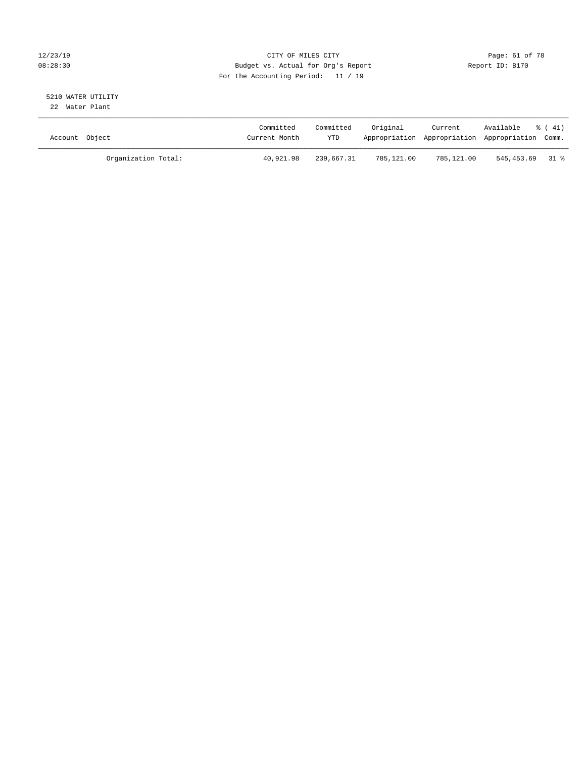### 12/23/19 Page: 61 of 78 CITY OF MILES CITY CHANGES OF THE PAGE: 61 of 78 08:28:30 Budget vs. Actual for Org's Report Changer Report ID: B170 For the Accounting Period: 11 / 19

#### 5210 WATER UTILITY 22 Water Plant

| Account Object |                     | Committed<br>Current Month | Committed<br>YTD | Original   | Current    | Available<br>Appropriation Appropriation Appropriation Comm. | 8 (41) |
|----------------|---------------------|----------------------------|------------------|------------|------------|--------------------------------------------------------------|--------|
|                | Organization Total: | 40,921.98                  | 239,667.31       | 785,121.00 | 785,121.00 | 545,453.69 31 %                                              |        |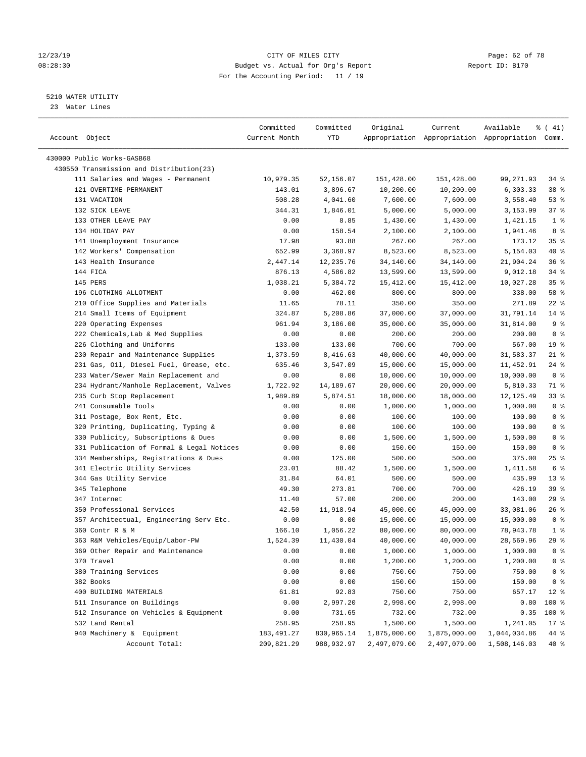#### 12/23/19 Page: 62 of 78 08:28:30 Budget vs. Actual for Org's Report Report ID: B170 For the Accounting Period: 11 / 19

————————————————————————————————————————————————————————————————————————————————————————————————————————————————————————————————————

#### 5210 WATER UTILITY

23 Water Lines

|                                           | Committed     | Committed  | Original     | Current      | Available                                       | $\frac{1}{6}$ ( 41) |
|-------------------------------------------|---------------|------------|--------------|--------------|-------------------------------------------------|---------------------|
| Account Object                            | Current Month | YTD        |              |              | Appropriation Appropriation Appropriation Comm. |                     |
|                                           |               |            |              |              |                                                 |                     |
| 430000 Public Works-GASB68                |               |            |              |              |                                                 |                     |
| 430550 Transmission and Distribution(23)  |               |            |              |              |                                                 |                     |
| 111 Salaries and Wages - Permanent        | 10,979.35     | 52,156.07  | 151,428.00   | 151,428.00   | 99,271.93                                       | 34 %                |
| 121 OVERTIME-PERMANENT                    | 143.01        | 3,896.67   | 10,200.00    | 10,200.00    | 6,303.33                                        | 38 %                |
| 131 VACATION                              | 508.28        | 4,041.60   | 7,600.00     | 7,600.00     | 3,558.40                                        | 53 %                |
| 132 SICK LEAVE                            | 344.31        | 1,846.01   | 5,000.00     | 5,000.00     | 3,153.99                                        | 37 %                |
| 133 OTHER LEAVE PAY                       | 0.00          | 8.85       | 1,430.00     | 1,430.00     | 1,421.15                                        | 1 <sup>8</sup>      |
| 134 HOLIDAY PAY                           | 0.00          | 158.54     | 2,100.00     | 2,100.00     | 1,941.46                                        | 8%                  |
| 141 Unemployment Insurance                | 17.98         | 93.88      | 267.00       | 267.00       | 173.12                                          | 35%                 |
| 142 Workers' Compensation                 | 652.99        | 3,368.97   | 8,523.00     | 8,523.00     | 5,154.03                                        | 40 %                |
| 143 Health Insurance                      | 2,447.14      | 12,235.76  | 34,140.00    | 34,140.00    | 21,904.24                                       | 36%                 |
| 144 FICA                                  | 876.13        | 4,586.82   | 13,599.00    | 13,599.00    | 9,012.18                                        | $34$ $%$            |
| 145 PERS                                  | 1,038.21      | 5,384.72   | 15,412.00    | 15,412.00    | 10,027.28                                       | 35%                 |
| 196 CLOTHING ALLOTMENT                    | 0.00          | 462.00     | 800.00       | 800.00       | 338.00                                          | 58 %                |
| 210 Office Supplies and Materials         | 11.65         | 78.11      | 350.00       | 350.00       | 271.89                                          | $22$ %              |
| 214 Small Items of Equipment              | 324.87        | 5,208.86   | 37,000.00    | 37,000.00    | 31,791.14                                       | $14*$               |
| 220 Operating Expenses                    | 961.94        | 3,186.00   | 35,000.00    | 35,000.00    | 31,814.00                                       | 9 <sup>°</sup>      |
| 222 Chemicals, Lab & Med Supplies         | 0.00          | 0.00       | 200.00       | 200.00       | 200.00                                          | 0 <sup>8</sup>      |
| 226 Clothing and Uniforms                 | 133.00        | 133.00     | 700.00       | 700.00       | 567.00                                          | 19 <sup>°</sup>     |
| 230 Repair and Maintenance Supplies       | 1,373.59      | 8,416.63   | 40,000.00    | 40,000.00    | 31,583.37                                       | $21$ %              |
| 231 Gas, Oil, Diesel Fuel, Grease, etc.   | 635.46        | 3,547.09   | 15,000.00    | 15,000.00    | 11,452.91                                       | $24$ %              |
| 233 Water/Sewer Main Replacement and      | 0.00          | 0.00       | 10,000.00    | 10,000.00    | 10,000.00                                       | 0 <sup>8</sup>      |
| 234 Hydrant/Manhole Replacement, Valves   | 1,722.92      | 14,189.67  | 20,000.00    | 20,000.00    | 5,810.33                                        | 71 %                |
| 235 Curb Stop Replacement                 | 1,989.89      | 5,874.51   | 18,000.00    | 18,000.00    | 12, 125.49                                      | 33%                 |
| 241 Consumable Tools                      | 0.00          | 0.00       | 1,000.00     | 1,000.00     | 1,000.00                                        | 0 <sup>8</sup>      |
| 311 Postage, Box Rent, Etc.               | 0.00          | 0.00       | 100.00       | 100.00       | 100.00                                          | 0 <sup>8</sup>      |
| 320 Printing, Duplicating, Typing &       | 0.00          | 0.00       | 100.00       | 100.00       | 100.00                                          | 0 <sup>8</sup>      |
| 330 Publicity, Subscriptions & Dues       | 0.00          | 0.00       | 1,500.00     | 1,500.00     | 1,500.00                                        | 0 <sup>8</sup>      |
| 331 Publication of Formal & Legal Notices | 0.00          | 0.00       | 150.00       | 150.00       | 150.00                                          | 0 <sup>8</sup>      |
| 334 Memberships, Registrations & Dues     | 0.00          | 125.00     | 500.00       | 500.00       | 375.00                                          | $25$ %              |
| 341 Electric Utility Services             | 23.01         | 88.42      | 1,500.00     | 1,500.00     | 1,411.58                                        | 6 %                 |
| 344 Gas Utility Service                   | 31.84         | 64.01      | 500.00       | 500.00       | 435.99                                          | $13*$               |
| 345 Telephone                             | 49.30         | 273.81     | 700.00       | 700.00       | 426.19                                          | 39 %                |
| 347 Internet                              | 11.40         | 57.00      | 200.00       | 200.00       | 143.00                                          | $29$ %              |
| 350 Professional Services                 | 42.50         | 11,918.94  | 45,000.00    | 45,000.00    | 33,081.06                                       | $26$ %              |
| 357 Architectual, Engineering Serv Etc.   | 0.00          | 0.00       | 15,000.00    | 15,000.00    | 15,000.00                                       | 0 <sup>8</sup>      |
| 360 Contr R & M                           | 166.10        | 1,056.22   | 80,000.00    | 80,000.00    | 78,943.78                                       | 1 <sup>8</sup>      |
| 363 R&M Vehicles/Equip/Labor-PW           | 1,524.39      | 11,430.04  | 40,000.00    | 40,000.00    | 28,569.96                                       | 29%                 |
| 369 Other Repair and Maintenance          | 0.00          | 0.00       | 1,000.00     | 1,000.00     | 1,000.00                                        | 0 <sup>8</sup>      |
| 370 Travel                                | 0.00          | 0.00       | 1,200.00     | 1,200.00     | 1,200.00                                        | $0$ %               |
| 380 Training Services                     | 0.00          | 0.00       | 750.00       | 750.00       | 750.00                                          | 0 <sup>8</sup>      |
| 382 Books                                 | 0.00          | 0.00       | 150.00       | 150.00       | 150.00                                          | 0 <sup>8</sup>      |
| 400 BUILDING MATERIALS                    | 61.81         | 92.83      | 750.00       | 750.00       | 657.17                                          | $12*$               |
| 511 Insurance on Buildings                | 0.00          | 2,997.20   | 2,998.00     | 2,998.00     | 0.80                                            | 100 %               |
| 512 Insurance on Vehicles & Equipment     | 0.00          | 731.65     | 732.00       | 732.00       | 0.35                                            | 100 %               |
| 532 Land Rental                           | 258.95        | 258.95     | 1,500.00     | 1,500.00     | 1,241.05                                        | $17*$               |
| 940 Machinery & Equipment                 | 183,491.27    | 830,965.14 | 1,875,000.00 | 1,875,000.00 | 1,044,034.86                                    | 44 %                |
| Account Total:                            | 209,821.29    | 988,932.97 | 2,497,079.00 | 2,497,079.00 | 1,508,146.03                                    | $40*$               |
|                                           |               |            |              |              |                                                 |                     |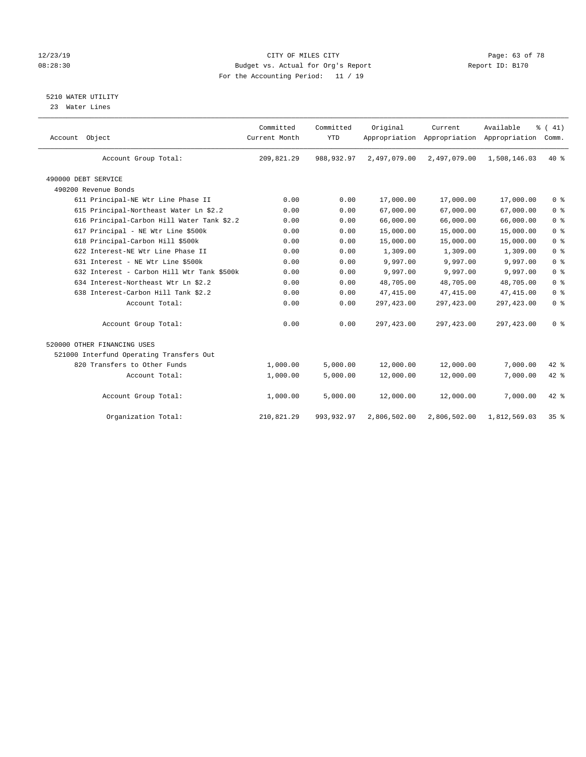#### 12/23/19 Page: 63 of 78 08:28:30 Budget vs. Actual for Org's Report Changer Report ID: B170 For the Accounting Period: 11 / 19

## 5210 WATER UTILITY

23 Water Lines

| Account Object                             | Committed<br>Current Month | Committed<br><b>YTD</b> | Original     | Current<br>Appropriation Appropriation Appropriation | Available    | % (41)<br>Comm. |
|--------------------------------------------|----------------------------|-------------------------|--------------|------------------------------------------------------|--------------|-----------------|
| Account Group Total:                       | 209,821.29                 | 988, 932.97             | 2,497,079.00 | 2,497,079.00                                         | 1,508,146.03 | $40*$           |
| 490000 DEBT SERVICE                        |                            |                         |              |                                                      |              |                 |
| 490200 Revenue Bonds                       |                            |                         |              |                                                      |              |                 |
| 611 Principal-NE Wtr Line Phase II         | 0.00                       | 0.00                    | 17,000.00    | 17,000.00                                            | 17,000.00    | 0 <sup>8</sup>  |
| 615 Principal-Northeast Water Ln \$2.2     | 0.00                       | 0.00                    | 67,000.00    | 67,000.00                                            | 67,000.00    | 0 <sup>8</sup>  |
| 616 Principal-Carbon Hill Water Tank \$2.2 | 0.00                       | 0.00                    | 66,000.00    | 66,000.00                                            | 66,000.00    | 0 <sup>8</sup>  |
| 617 Principal - NE Wtr Line \$500k         | 0.00                       | 0.00                    | 15,000.00    | 15,000.00                                            | 15,000.00    | 0 <sup>8</sup>  |
| 618 Principal-Carbon Hill \$500k           | 0.00                       | 0.00                    | 15,000.00    | 15,000.00                                            | 15,000.00    | 0 <sup>8</sup>  |
| 622 Interest-NE Wtr Line Phase II          | 0.00                       | 0.00                    | 1,309.00     | 1,309.00                                             | 1,309.00     | 0 <sup>8</sup>  |
| 631 Interest - NE Wtr Line \$500k          | 0.00                       | 0.00                    | 9,997.00     | 9,997.00                                             | 9,997.00     | 0 <sup>8</sup>  |
| 632 Interest - Carbon Hill Wtr Tank \$500k | 0.00                       | 0.00                    | 9,997.00     | 9,997.00                                             | 9,997.00     | 0 <sup>8</sup>  |
| 634 Interest-Northeast Wtr Ln \$2.2        | 0.00                       | 0.00                    | 48,705.00    | 48,705.00                                            | 48,705.00    | 0 <sup>8</sup>  |
| 638 Interest-Carbon Hill Tank \$2.2        | 0.00                       | 0.00                    | 47, 415.00   | 47, 415.00                                           | 47, 415.00   | 0 <sup>8</sup>  |
| Account Total:                             | 0.00                       | 0.00                    | 297,423.00   | 297, 423.00                                          | 297, 423.00  | 0 <sup>8</sup>  |
| Account Group Total:                       | 0.00                       | 0.00                    | 297,423.00   | 297, 423.00                                          | 297, 423.00  | 0 <sup>8</sup>  |
| 520000 OTHER FINANCING USES                |                            |                         |              |                                                      |              |                 |
| 521000 Interfund Operating Transfers Out   |                            |                         |              |                                                      |              |                 |
| 820 Transfers to Other Funds               | 1,000.00                   | 5,000.00                | 12,000.00    | 12,000.00                                            | 7,000.00     | $42$ $%$        |
| Account Total:                             | 1,000.00                   | 5,000.00                | 12,000.00    | 12,000.00                                            | 7,000.00     | 42 %            |
| Account Group Total:                       | 1,000.00                   | 5,000.00                | 12,000.00    | 12,000.00                                            | 7,000.00     | $42$ $%$        |
| Organization Total:                        | 210,821.29                 | 993,932.97              | 2,806,502.00 | 2,806,502.00                                         | 1,812,569.03 | 35%             |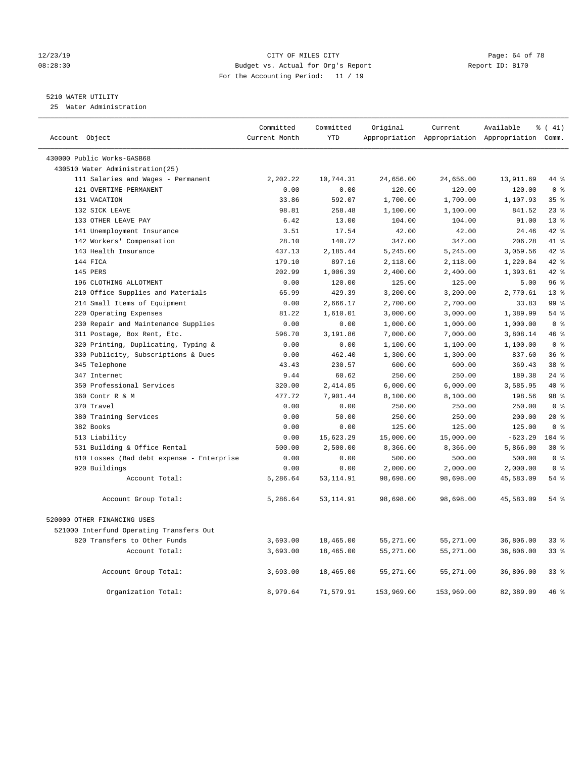#### 12/23/19 Page: 64 of 78 08:28:30 Budget vs. Actual for Org's Report Report ID: B170 For the Accounting Period: 11 / 19

### 5210 WATER UTILITY

25 Water Administration

| Account Object                            | Committed<br>Current Month | Committed<br><b>YTD</b> | Original   | Current    | Available<br>Appropriation Appropriation Appropriation Comm. | $\frac{1}{6}$ ( 41) |
|-------------------------------------------|----------------------------|-------------------------|------------|------------|--------------------------------------------------------------|---------------------|
| 430000 Public Works-GASB68                |                            |                         |            |            |                                                              |                     |
| 430510 Water Administration(25)           |                            |                         |            |            |                                                              |                     |
| 111 Salaries and Wages - Permanent        | 2,202.22                   | 10,744.31               | 24,656.00  | 24,656.00  | 13,911.69                                                    | 44 %                |
| 121 OVERTIME-PERMANENT                    | 0.00                       | 0.00                    | 120.00     | 120.00     | 120.00                                                       | 0 <sup>8</sup>      |
| 131 VACATION                              | 33.86                      | 592.07                  | 1,700.00   | 1,700.00   | 1,107.93                                                     | 35%                 |
| 132 SICK LEAVE                            | 98.81                      | 258.48                  | 1,100.00   | 1,100.00   | 841.52                                                       | $23$ %              |
| 133 OTHER LEAVE PAY                       | 6.42                       | 13.00                   | 104.00     | 104.00     | 91.00                                                        | 13 <sup>8</sup>     |
| 141 Unemployment Insurance                | 3.51                       | 17.54                   | 42.00      | 42.00      | 24.46                                                        | $42$ %              |
| 142 Workers' Compensation                 | 28.10                      | 140.72                  | 347.00     | 347.00     | 206.28                                                       | 41 %                |
| 143 Health Insurance                      | 437.13                     | 2,185.44                | 5,245.00   | 5,245.00   | 3,059.56                                                     | 42 %                |
| 144 FICA                                  | 179.10                     | 897.16                  | 2,118.00   | 2,118.00   | 1,220.84                                                     | 42 %                |
| 145 PERS                                  | 202.99                     | 1,006.39                | 2,400.00   | 2,400.00   | 1,393.61                                                     | $42*$               |
| 196 CLOTHING ALLOTMENT                    | 0.00                       | 120.00                  | 125.00     | 125.00     | 5.00                                                         | 96%                 |
| 210 Office Supplies and Materials         | 65.99                      | 429.39                  | 3,200.00   | 3,200.00   | 2,770.61                                                     | 13 <sup>8</sup>     |
| 214 Small Items of Equipment              | 0.00                       | 2,666.17                | 2,700.00   | 2,700.00   | 33.83                                                        | 99 %                |
| 220 Operating Expenses                    | 81.22                      | 1,610.01                | 3,000.00   | 3,000.00   | 1,389.99                                                     | 54%                 |
| 230 Repair and Maintenance Supplies       | 0.00                       | 0.00                    | 1,000.00   | 1,000.00   | 1,000.00                                                     | 0 <sup>8</sup>      |
| 311 Postage, Box Rent, Etc.               | 596.70                     | 3,191.86                | 7,000.00   | 7,000.00   | 3,808.14                                                     | 46%                 |
| 320 Printing, Duplicating, Typing &       | 0.00                       | 0.00                    | 1,100.00   | 1,100.00   | 1,100.00                                                     | 0 <sup>8</sup>      |
| 330 Publicity, Subscriptions & Dues       | 0.00                       | 462.40                  | 1,300.00   | 1,300.00   | 837.60                                                       | 36%                 |
| 345 Telephone                             | 43.43                      | 230.57                  | 600.00     | 600.00     | 369.43                                                       | 38 <sup>8</sup>     |
| 347 Internet                              | 9.44                       | 60.62                   | 250.00     | 250.00     | 189.38                                                       | $24$ %              |
| 350 Professional Services                 | 320.00                     | 2,414.05                | 6,000.00   | 6,000.00   | 3,585.95                                                     | $40*$               |
| 360 Contr R & M                           | 477.72                     | 7,901.44                | 8,100.00   | 8,100.00   | 198.56                                                       | 98 %                |
| 370 Travel                                | 0.00                       | 0.00                    | 250.00     | 250.00     | 250.00                                                       | 0 <sup>8</sup>      |
| 380 Training Services                     | 0.00                       | 50.00                   | 250.00     | 250.00     | 200.00                                                       | $20*$               |
| 382 Books                                 | 0.00                       | 0.00                    | 125.00     | 125.00     | 125.00                                                       | 0 <sup>8</sup>      |
| 513 Liability                             | 0.00                       | 15,623.29               | 15,000.00  | 15,000.00  | $-623.29$                                                    | $104$ %             |
| 531 Building & Office Rental              | 500.00                     | 2,500.00                | 8,366.00   | 8,366.00   | 5,866.00                                                     | $30*$               |
| 810 Losses (Bad debt expense - Enterprise | 0.00                       | 0.00                    | 500.00     | 500.00     | 500.00                                                       | 0 <sup>8</sup>      |
| 920 Buildings                             | 0.00                       | 0.00                    | 2,000.00   | 2,000.00   | 2,000.00                                                     | 0 <sup>8</sup>      |
| Account Total:                            | 5,286.64                   | 53, 114.91              | 98,698.00  | 98,698.00  | 45,583.09                                                    | 54%                 |
| Account Group Total:                      | 5,286.64                   | 53,114.91               | 98,698.00  | 98,698.00  | 45,583.09                                                    | $54$ %              |
| 520000 OTHER FINANCING USES               |                            |                         |            |            |                                                              |                     |
| 521000 Interfund Operating Transfers Out  |                            |                         |            |            |                                                              |                     |
| 820 Transfers to Other Funds              | 3,693.00                   | 18,465.00               | 55,271.00  | 55,271.00  | 36,806.00                                                    | $33$ $%$            |
| Account Total:                            | 3,693.00                   | 18,465.00               | 55,271.00  | 55,271.00  | 36,806.00                                                    | 33%                 |
| Account Group Total:                      | 3,693.00                   | 18,465.00               | 55,271.00  | 55,271.00  | 36,806.00                                                    | 33 <sup>8</sup>     |
| Organization Total:                       | 8,979.64                   | 71,579.91               | 153,969.00 | 153,969.00 | 82,389.09                                                    | 46 %                |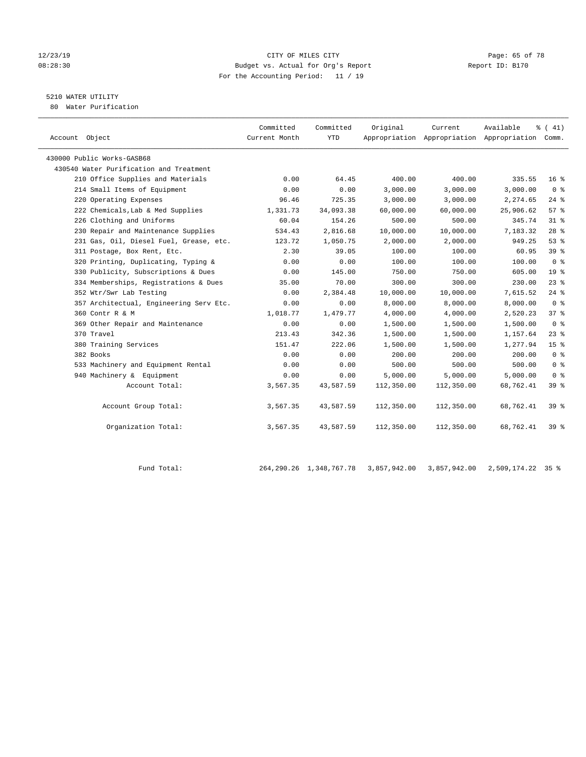#### 12/23/19 **CITY OF MILES CITY CITY CITY Page: 65 of 78** 08:28:30 Budget vs. Actual for Org's Report Report ID: B170 For the Accounting Period: 11 / 19

# 5210 WATER UTILITY

80 Water Purification

| Account Object                          | Committed<br>Current Month | Committed<br><b>YTD</b> | Original   | Current    | Available<br>Appropriation Appropriation Appropriation Comm. | % (41)          |
|-----------------------------------------|----------------------------|-------------------------|------------|------------|--------------------------------------------------------------|-----------------|
| 430000 Public Works-GASB68              |                            |                         |            |            |                                                              |                 |
| 430540 Water Purification and Treatment |                            |                         |            |            |                                                              |                 |
| 210 Office Supplies and Materials       | 0.00                       | 64.45                   | 400.00     | 400.00     | 335.55                                                       | $16*$           |
| 214 Small Items of Equipment            | 0.00                       | 0.00                    | 3,000.00   | 3,000.00   | 3,000.00                                                     | 0 <sup>8</sup>  |
| 220 Operating Expenses                  | 96.46                      | 725.35                  | 3,000.00   | 3,000.00   | 2,274.65                                                     | $24$ $%$        |
| 222 Chemicals, Lab & Med Supplies       | 1,331.73                   | 34,093.38               | 60,000.00  | 60,000.00  | 25,906.62                                                    | 57%             |
| 226 Clothing and Uniforms               | 60.04                      | 154.26                  | 500.00     | 500.00     | 345.74                                                       | 31.8            |
| 230 Repair and Maintenance Supplies     | 534.43                     | 2,816.68                | 10,000.00  | 10,000.00  | 7,183.32                                                     | $28$ %          |
| 231 Gas, Oil, Diesel Fuel, Grease, etc. | 123.72                     | 1,050.75                | 2,000.00   | 2,000.00   | 949.25                                                       | 53%             |
| 311 Postage, Box Rent, Etc.             | 2.30                       | 39.05                   | 100.00     | 100.00     | 60.95                                                        | 39 %            |
| 320 Printing, Duplicating, Typing &     | 0.00                       | 0.00                    | 100.00     | 100.00     | 100.00                                                       | 0 <sup>8</sup>  |
| 330 Publicity, Subscriptions & Dues     | 0.00                       | 145.00                  | 750.00     | 750.00     | 605.00                                                       | 19 <sup>°</sup> |
| 334 Memberships, Registrations & Dues   | 35.00                      | 70.00                   | 300.00     | 300.00     | 230.00                                                       | 23%             |
| 352 Wtr/Swr Lab Testing                 | 0.00                       | 2,384.48                | 10,000.00  | 10,000.00  | 7,615.52                                                     | $24$ %          |
| 357 Architectual, Engineering Serv Etc. | 0.00                       | 0.00                    | 8,000.00   | 8,000.00   | 8,000.00                                                     | 0 <sup>8</sup>  |
| 360 Contr R & M                         | 1,018.77                   | 1,479.77                | 4,000.00   | 4,000.00   | 2,520.23                                                     | 37 <sup>8</sup> |
| 369 Other Repair and Maintenance        | 0.00                       | 0.00                    | 1,500.00   | 1,500.00   | 1,500.00                                                     | 0 <sup>8</sup>  |
| 370 Travel                              | 213.43                     | 342.36                  | 1,500.00   | 1,500.00   | 1,157.64                                                     | $23$ %          |
| 380 Training Services                   | 151.47                     | 222.06                  | 1,500.00   | 1,500.00   | 1,277.94                                                     | 15 <sup>8</sup> |
| 382 Books                               | 0.00                       | 0.00                    | 200.00     | 200.00     | 200.00                                                       | 0 <sup>8</sup>  |
| 533 Machinery and Equipment Rental      | 0.00                       | 0.00                    | 500.00     | 500.00     | 500.00                                                       | 0 <sup>8</sup>  |
| 940 Machinery & Equipment               | 0.00                       | 0.00                    | 5,000.00   | 5,000.00   | 5,000.00                                                     | 0 <sup>8</sup>  |
| Account Total:                          | 3,567.35                   | 43,587.59               | 112,350.00 | 112,350.00 | 68,762.41                                                    | 39 %            |
| Account Group Total:                    | 3,567.35                   | 43,587.59               | 112,350.00 | 112,350.00 | 68,762.41                                                    | 39%             |
| Organization Total:                     | 3,567.35                   | 43,587.59               | 112,350.00 | 112,350.00 | 68,762.41                                                    | 39 <sup>8</sup> |

Fund Total: 264,290.26 1,348,767.78 3,857,942.00 3,857,942.00 2,509,174.22 35 %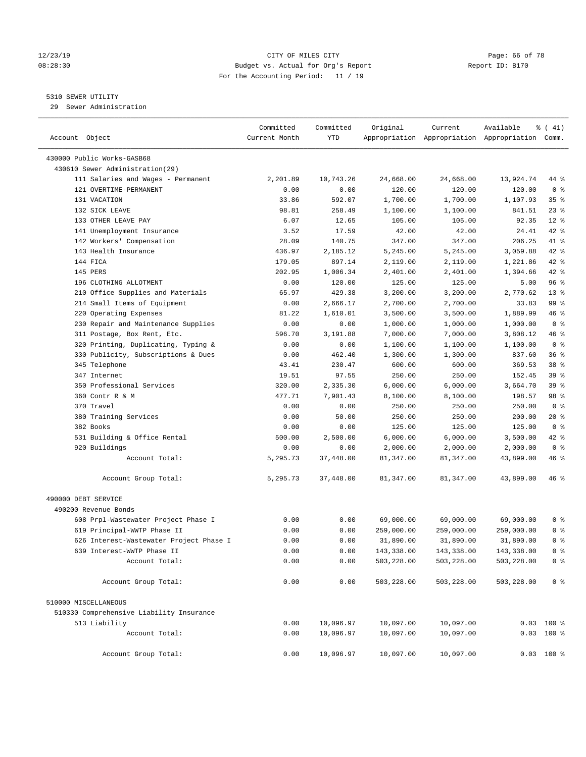#### 12/23/19 Page: 66 of 78 08:28:30 Budget vs. Actual for Org's Report Changer Report ID: B170 For the Accounting Period: 11 / 19

————————————————————————————————————————————————————————————————————————————————————————————————————————————————————————————————————

#### 5310 SEWER UTILITY

29 Sewer Administration

|                                               | Committed     | Committed | Original   | Current                                         | Available  | $\frac{1}{6}$ ( 41) |
|-----------------------------------------------|---------------|-----------|------------|-------------------------------------------------|------------|---------------------|
| Account Object                                | Current Month | YTD       |            | Appropriation Appropriation Appropriation Comm. |            |                     |
| 430000 Public Works-GASB68                    |               |           |            |                                                 |            |                     |
| 430610 Sewer Administration(29)               |               |           |            |                                                 |            |                     |
| 111 Salaries and Wages - Permanent            | 2,201.89      | 10,743.26 | 24,668.00  | 24,668.00                                       | 13,924.74  | 44 %                |
| 121 OVERTIME-PERMANENT                        | 0.00          | 0.00      | 120.00     | 120.00                                          | 120.00     | 0 <sup>8</sup>      |
| 131 VACATION                                  | 33.86         | 592.07    | 1,700.00   | 1,700.00                                        | 1,107.93   | 35%                 |
| 132 SICK LEAVE                                | 98.81         | 258.49    | 1,100.00   | 1,100.00                                        | 841.51     | $23$ $%$            |
| 133 OTHER LEAVE PAY                           | 6.07          | 12.65     | 105.00     | 105.00                                          | 92.35      | $12*$               |
| 141 Unemployment Insurance                    | 3.52          | 17.59     | 42.00      | 42.00                                           | 24.41      | 42 %                |
| 142 Workers' Compensation                     | 28.09         | 140.75    | 347.00     | 347.00                                          | 206.25     | 41 %                |
| 143 Health Insurance                          | 436.97        | 2,185.12  | 5,245.00   | 5,245.00                                        | 3,059.88   | 42 %                |
| 144 FICA                                      | 179.05        | 897.14    | 2,119.00   | 2,119.00                                        | 1,221.86   | $42$ %              |
| 145 PERS                                      | 202.95        | 1,006.34  | 2,401.00   | 2,401.00                                        | 1,394.66   | $42$ %              |
| 196 CLOTHING ALLOTMENT                        | 0.00          | 120.00    | 125.00     | 125.00                                          | 5.00       | 96%                 |
| 210 Office Supplies and Materials             | 65.97         | 429.38    | 3,200.00   | 3,200.00                                        | 2,770.62   | $13*$               |
| 214 Small Items of Equipment                  | 0.00          | 2,666.17  | 2,700.00   | 2,700.00                                        | 33.83      | 99 %                |
| 220 Operating Expenses                        | 81.22         | 1,610.01  | 3,500.00   | 3,500.00                                        | 1,889.99   | 46 %                |
| 230 Repair and Maintenance Supplies           | 0.00          | 0.00      | 1,000.00   | 1,000.00                                        | 1,000.00   | 0 <sup>8</sup>      |
| 311 Postage, Box Rent, Etc.                   | 596.70        | 3,191.88  | 7,000.00   | 7,000.00                                        | 3,808.12   | 46 %                |
| 320 Printing, Duplicating, Typing &           | 0.00          | 0.00      | 1,100.00   | 1,100.00                                        | 1,100.00   | 0 <sup>8</sup>      |
| 330 Publicity, Subscriptions & Dues           | 0.00          | 462.40    | 1,300.00   | 1,300.00                                        | 837.60     | 36%                 |
| 345 Telephone                                 | 43.41         | 230.47    | 600.00     | 600.00                                          | 369.53     | 38 <sup>8</sup>     |
| 347 Internet                                  | 19.51         | 97.55     | 250.00     | 250.00                                          | 152.45     | 39%                 |
| 350 Professional Services                     | 320.00        | 2,335.30  | 6,000.00   | 6,000.00                                        | 3,664.70   | 39 %                |
| 360 Contr R & M                               | 477.71        | 7,901.43  | 8,100.00   | 8,100.00                                        | 198.57     | 98 %                |
| 370 Travel                                    | 0.00          | 0.00      | 250.00     | 250.00                                          | 250.00     | 0 <sup>8</sup>      |
| 380 Training Services                         | 0.00          | 50.00     | 250.00     | 250.00                                          | 200.00     | $20*$               |
| 382 Books                                     |               |           | 125.00     | 125.00                                          | 125.00     | 0 <sup>8</sup>      |
|                                               | 0.00          | 0.00      |            |                                                 |            | 42 %                |
| 531 Building & Office Rental<br>920 Buildings | 500.00        | 2,500.00  | 6,000.00   | 6,000.00                                        | 3,500.00   | 0 <sup>8</sup>      |
|                                               | 0.00          | 0.00      | 2,000.00   | 2,000.00                                        | 2,000.00   |                     |
| Account Total:                                | 5,295.73      | 37,448.00 | 81,347.00  | 81,347.00                                       | 43,899.00  | 46 %                |
| Account Group Total:                          | 5,295.73      | 37,448.00 | 81,347.00  | 81,347.00                                       | 43,899.00  | 46 %                |
| 490000 DEBT SERVICE                           |               |           |            |                                                 |            |                     |
| 490200 Revenue Bonds                          |               |           |            |                                                 |            |                     |
| 608 Prpl-Wastewater Project Phase I           | 0.00          | 0.00      | 69,000.00  | 69,000.00                                       | 69,000.00  | 0 <sup>8</sup>      |
| 619 Principal-WWTP Phase II                   | 0.00          | 0.00      | 259,000.00 | 259,000.00                                      | 259,000.00 | 0 <sup>8</sup>      |
| 626 Interest-Wastewater Project Phase I       | 0.00          | 0.00      | 31,890.00  | 31,890.00                                       | 31,890.00  | 0 <sup>8</sup>      |
| 639 Interest-WWTP Phase II                    | 0.00          | 0.00      | 143,338.00 | 143,338.00                                      | 143,338.00 | 0 %                 |
| Account Total:                                | 0.00          | 0.00      | 503,228.00 | 503,228.00                                      | 503,228.00 | 0 <sup>8</sup>      |
| Account Group Total:                          | 0.00          | 0.00      | 503,228.00 | 503,228.00                                      | 503,228.00 | 0 <sup>8</sup>      |
| 510000 MISCELLANEOUS                          |               |           |            |                                                 |            |                     |
| 510330 Comprehensive Liability Insurance      |               |           |            |                                                 |            |                     |
| 513 Liability                                 | 0.00          | 10,096.97 | 10,097.00  | 10,097.00                                       |            | $0.03$ 100 %        |
| Account Total:                                | 0.00          | 10,096.97 | 10,097.00  | 10,097.00                                       |            | $0.03$ 100 %        |
| Account Group Total:                          | 0.00          | 10,096.97 | 10,097.00  | 10,097.00                                       |            | $0.03$ 100 %        |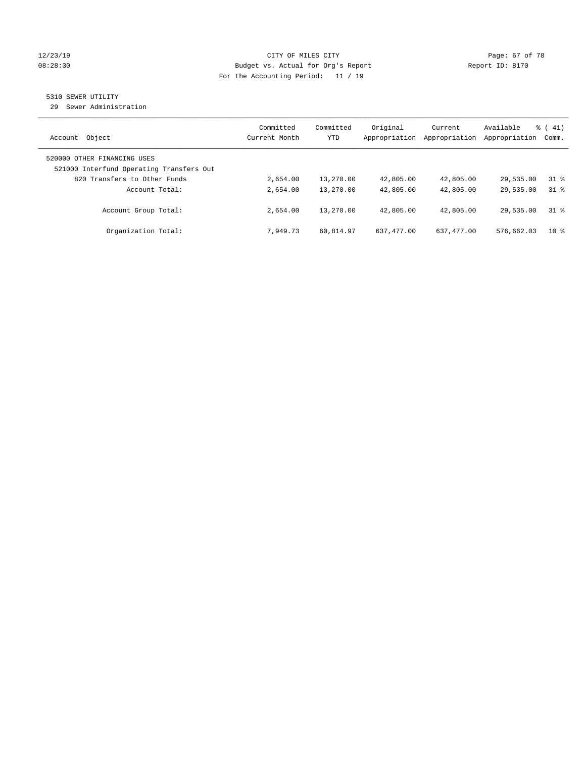#### 12/23/19 Page: 67 of 78 08:28:30 Budget vs. Actual for Org's Report Changer Report ID: B170 For the Accounting Period: 11 / 19

## 5310 SEWER UTILITY

29 Sewer Administration

| Object<br>Account                                                       | Committed<br>Current Month | Committed<br><b>YTD</b> | Original<br>Appropriation | Current<br>Appropriation | Available<br>Appropriation | $\frac{1}{6}$ ( 41)<br>Comm. |
|-------------------------------------------------------------------------|----------------------------|-------------------------|---------------------------|--------------------------|----------------------------|------------------------------|
| 520000 OTHER FINANCING USES<br>521000 Interfund Operating Transfers Out |                            |                         |                           |                          |                            |                              |
| 820 Transfers to Other Funds                                            | 2,654.00                   | 13,270.00               | 42,805.00                 | 42,805.00                | 29,535.00                  | 318                          |
| Account Total:                                                          | 2,654.00                   | 13,270.00               | 42,805.00                 | 42,805.00                | 29,535.00                  | 318                          |
| Account Group Total:                                                    | 2,654.00                   | 13,270.00               | 42,805.00                 | 42,805.00                | 29,535.00                  | 318                          |
| Organization Total:                                                     | 7.949.73                   | 60.814.97               | 637, 477, 00              | 637, 477, 00             | 576,662.03                 | $10*$                        |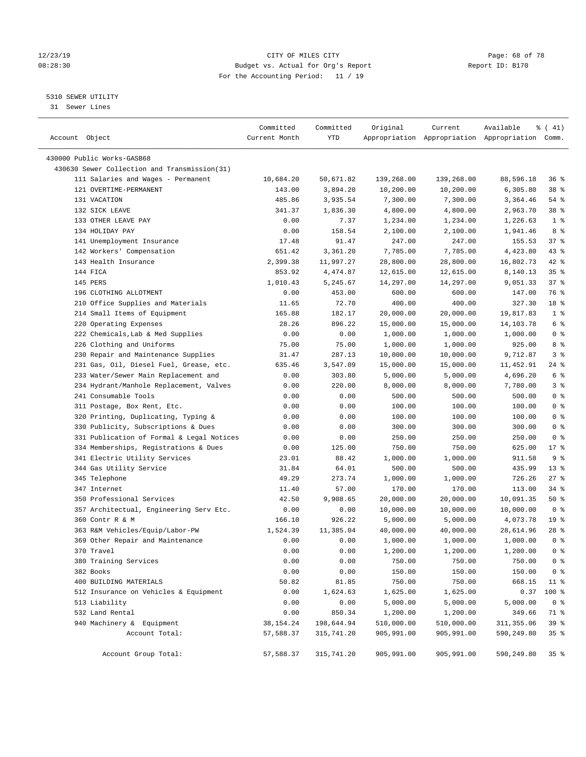#### 12/23/19 **Page: 68 of 78** CITY OF MILES CITY **Page: 68 of 78** 08:28:30 Budget vs. Actual for Org's Report Changer Report ID: B170 For the Accounting Period: 11 / 19

————————————————————————————————————————————————————————————————————————————————————————————————————————————————————————————————————

### 5310 SEWER UTILITY

31 Sewer Lines

| Account Object                               | Committed<br>Current Month | Committed<br>YTD | Original   | Current    | Available<br>Appropriation Appropriation Appropriation Comm. | ៖ ( 41)         |
|----------------------------------------------|----------------------------|------------------|------------|------------|--------------------------------------------------------------|-----------------|
| 430000 Public Works-GASB68                   |                            |                  |            |            |                                                              |                 |
| 430630 Sewer Collection and Transmission(31) |                            |                  |            |            |                                                              |                 |
| 111 Salaries and Wages - Permanent           | 10,684.20                  | 50,671.82        | 139,268.00 | 139,268.00 | 88,596.18                                                    | 36%             |
| 121 OVERTIME-PERMANENT                       | 143.00                     | 3,894.20         | 10,200.00  | 10,200.00  | 6,305.80                                                     | 38 %            |
| 131 VACATION                                 | 485.86                     | 3,935.54         | 7,300.00   | 7,300.00   | 3,364.46                                                     | $54$ %          |
| 132 SICK LEAVE                               | 341.37                     | 1,836.30         | 4,800.00   | 4,800.00   | 2,963.70                                                     | 38 <sup>8</sup> |
| 133 OTHER LEAVE PAY                          | 0.00                       | 7.37             | 1,234.00   | 1,234.00   | 1,226.63                                                     | 1 <sup>°</sup>  |
| 134 HOLIDAY PAY                              | 0.00                       | 158.54           | 2,100.00   | 2,100.00   | 1,941.46                                                     | 8 %             |
| 141 Unemployment Insurance                   | 17.48                      | 91.47            | 247.00     | 247.00     | 155.53                                                       | 37%             |
| 142 Workers' Compensation                    | 651.42                     | 3,361.20         | 7,785.00   | 7,785.00   | 4,423.80                                                     | $43$ %          |
| 143 Health Insurance                         | 2,399.38                   | 11,997.27        | 28,800.00  | 28,800.00  | 16,802.73                                                    | $42$ %          |
| 144 FICA                                     | 853.92                     | 4,474.87         | 12,615.00  | 12,615.00  | 8,140.13                                                     | 35%             |
| 145 PERS                                     | 1,010.43                   | 5,245.67         | 14,297.00  | 14,297.00  | 9,051.33                                                     | 37%             |
| 196 CLOTHING ALLOTMENT                       | 0.00                       | 453.00           | 600.00     | 600.00     | 147.00                                                       | 76 %            |
| 210 Office Supplies and Materials            | 11.65                      | 72.70            | 400.00     | 400.00     | 327.30                                                       | 18 %            |
| 214 Small Items of Equipment                 | 165.88                     | 182.17           | 20,000.00  | 20,000.00  | 19,817.83                                                    | 1 <sup>°</sup>  |
| 220 Operating Expenses                       | 28.26                      | 896.22           | 15,000.00  | 15,000.00  | 14,103.78                                                    | 6 <sup>°</sup>  |
| 222 Chemicals, Lab & Med Supplies            | 0.00                       | 0.00             | 1,000.00   | 1,000.00   | 1,000.00                                                     | 0 <sup>8</sup>  |
| 226 Clothing and Uniforms                    | 75.00                      | 75.00            | 1,000.00   | 1,000.00   | 925.00                                                       | 8%              |
| 230 Repair and Maintenance Supplies          | 31.47                      | 287.13           | 10,000.00  | 10,000.00  | 9,712.87                                                     | 3%              |
| 231 Gas, Oil, Diesel Fuel, Grease, etc.      | 635.46                     | 3,547.09         | 15,000.00  | 15,000.00  | 11,452.91                                                    | 24 %            |
| 233 Water/Sewer Main Replacement and         | 0.00                       | 303.80           | 5,000.00   | 5,000.00   | 4,696.20                                                     | $6\degree$      |
| 234 Hydrant/Manhole Replacement, Valves      | 0.00                       | 220.00           | 8,000.00   | 8,000.00   | 7,780.00                                                     | 3%              |
| 241 Consumable Tools                         | 0.00                       | 0.00             | 500.00     | 500.00     | 500.00                                                       | 0 <sup>8</sup>  |
| 311 Postage, Box Rent, Etc.                  | 0.00                       | 0.00             | 100.00     | 100.00     | 100.00                                                       | 0 <sup>8</sup>  |
| 320 Printing, Duplicating, Typing &          | 0.00                       | 0.00             | 100.00     | 100.00     | 100.00                                                       | 0 <sup>8</sup>  |
| 330 Publicity, Subscriptions & Dues          | 0.00                       | 0.00             | 300.00     | 300.00     | 300.00                                                       | 0 <sup>8</sup>  |
| 331 Publication of Formal & Legal Notices    | 0.00                       | 0.00             | 250.00     | 250.00     | 250.00                                                       | 0 <sup>8</sup>  |
| 334 Memberships, Registrations & Dues        | 0.00                       | 125.00           | 750.00     | 750.00     | 625.00                                                       | $17$ %          |
| 341 Electric Utility Services                | 23.01                      | 88.42            | 1,000.00   | 1,000.00   | 911.58                                                       | 9 <sup>°</sup>  |
| 344 Gas Utility Service                      | 31.84                      | 64.01            | 500.00     | 500.00     | 435.99                                                       | $13*$           |
| 345 Telephone                                | 49.29                      | 273.74           | 1,000.00   | 1,000.00   | 726.26                                                       | $27$ %          |
| 347 Internet                                 | 11.40                      | 57.00            | 170.00     | 170.00     | 113.00                                                       | 34%             |
| 350 Professional Services                    | 42.50                      | 9,908.65         | 20,000.00  | 20,000.00  | 10,091.35                                                    | 50%             |
| 357 Architectual, Engineering Serv Etc.      | 0.00                       | 0.00             | 10,000.00  | 10,000.00  | 10,000.00                                                    | 0 <sup>8</sup>  |
| 360 Contr R & M                              | 166.10                     | 926.22           | 5,000.00   | 5,000.00   | 4,073.78                                                     | 19 <sup>°</sup> |
| 363 R&M Vehicles/Equip/Labor-PW              | 1,524.39                   | 11,385.04        | 40,000.00  | 40,000.00  | 28,614.96                                                    | $28$ %          |
| 369 Other Repair and Maintenance             | 0.00                       | 0.00             | 1,000.00   | 1,000.00   | 1,000.00                                                     | 0 <sup>8</sup>  |
| 370 Travel                                   | 0.00                       | 0.00             | 1,200.00   | 1,200.00   | 1,200.00                                                     | 0 <sup>8</sup>  |
| 380 Training Services                        | 0.00                       | 0.00             | 750.00     | 750.00     | 750.00                                                       | 0 <sup>8</sup>  |
| 382 Books                                    | 0.00                       | 0.00             | 150.00     | 150.00     | 150.00                                                       | 0 <sup>8</sup>  |
| 400 BUILDING MATERIALS                       | 50.82                      | 81.85            | 750.00     | 750.00     | 668.15                                                       | $11$ %          |
| 512 Insurance on Vehicles & Equipment        | 0.00                       | 1,624.63         | 1,625.00   | 1,625.00   | 0.37                                                         | 100 %           |
| 513 Liability                                | 0.00                       | 0.00             | 5,000.00   | 5,000.00   | 5,000.00                                                     | 0 <sup>8</sup>  |
| 532 Land Rental                              | 0.00                       | 850.34           | 1,200.00   | 1,200.00   | 349.66                                                       | 71 %            |
| 940 Machinery & Equipment                    | 38,154.24                  | 198,644.94       | 510,000.00 | 510,000.00 | 311, 355.06                                                  | 39 %            |
| Account Total:                               | 57,588.37                  | 315,741.20       | 905,991.00 | 905,991.00 | 590,249.80                                                   | 35%             |
| Account Group Total:                         | 57,588.37                  | 315,741.20       | 905,991.00 | 905,991.00 | 590,249.80                                                   | 35%             |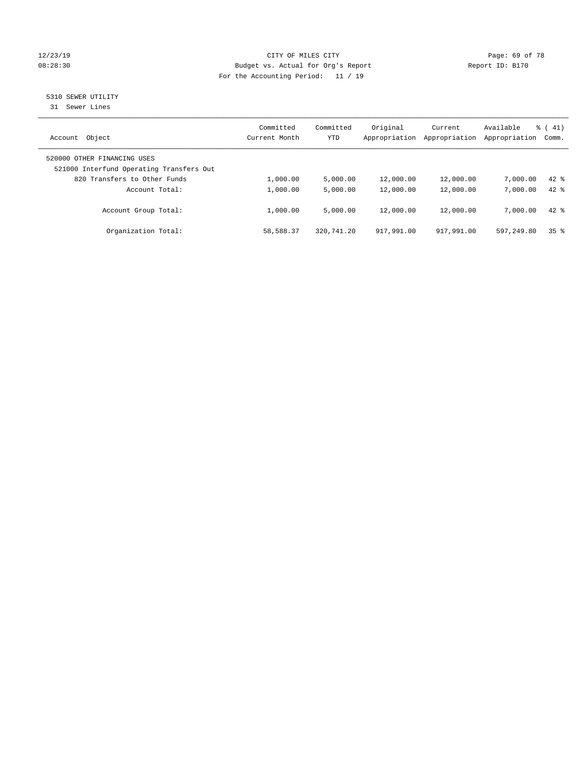#### 12/23/19 Page: 69 of 78 08:28:30 Budget vs. Actual for Org's Report Changer Report ID: B170 For the Accounting Period: 11 / 19

# 5310 SEWER UTILITY

31 Sewer Lines

| Object<br>Account                                                       | Committed<br>Current Month | Committed<br><b>YTD</b> | Original<br>Appropriation | Current<br>Appropriation | Available<br>Appropriation | $\frac{1}{6}$ ( 41)<br>Comm. |
|-------------------------------------------------------------------------|----------------------------|-------------------------|---------------------------|--------------------------|----------------------------|------------------------------|
| 520000 OTHER FINANCING USES<br>521000 Interfund Operating Transfers Out |                            |                         |                           |                          |                            |                              |
| 820 Transfers to Other Funds                                            | 1,000.00                   | 5.000.00                | 12,000.00                 | 12,000.00                | 7,000.00                   | $42$ $%$                     |
| Account Total:                                                          | 1,000.00                   | 5,000.00                | 12,000.00                 | 12,000.00                | 7,000.00                   | $42*$                        |
| Account Group Total:                                                    | 1,000.00                   | 5,000.00                | 12,000.00                 | 12,000.00                | 7,000.00                   | $42*$                        |
| Organization Total:                                                     | 58,588.37                  | 320,741.20              | 917,991.00                | 917,991.00               | 597.249.80                 | 35 <sup>8</sup>              |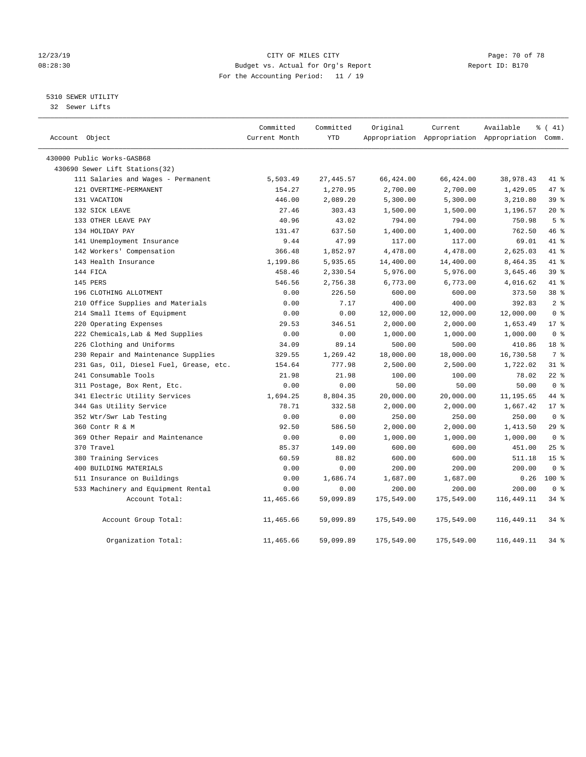#### 12/23/19 Page: 70 of 78 08:28:30 Budget vs. Actual for Org's Report Changer Report ID: B170 For the Accounting Period: 11 / 19

### 5310 SEWER UTILITY

32 Sewer Lifts

| Account Object                          | Committed<br>Current Month | Committed<br>YTD | Original   | Current    | Available<br>Appropriation Appropriation Appropriation Comm. | $\frac{1}{6}$ ( 41) |
|-----------------------------------------|----------------------------|------------------|------------|------------|--------------------------------------------------------------|---------------------|
| 430000 Public Works-GASB68              |                            |                  |            |            |                                                              |                     |
| 430690 Sewer Lift Stations(32)          |                            |                  |            |            |                                                              |                     |
| 111 Salaries and Wages - Permanent      | 5,503.49                   | 27, 445.57       | 66,424.00  | 66,424.00  | 38,978.43                                                    | 41 %                |
| 121 OVERTIME-PERMANENT                  | 154.27                     | 1,270.95         | 2,700.00   | 2,700.00   | 1,429.05                                                     | 47 %                |
| 131 VACATION                            | 446.00                     | 2,089.20         | 5,300.00   | 5,300.00   | 3,210.80                                                     | 39%                 |
| 132 SICK LEAVE                          | 27.46                      | 303.43           | 1,500.00   | 1,500.00   | 1,196.57                                                     | $20*$               |
| 133 OTHER LEAVE PAY                     | 40.96                      | 43.02            | 794.00     | 794.00     | 750.98                                                       | 5 <sup>8</sup>      |
| 134 HOLIDAY PAY                         | 131.47                     | 637.50           | 1,400.00   | 1,400.00   | 762.50                                                       | 46 %                |
| 141 Unemployment Insurance              | 9.44                       | 47.99            | 117.00     | 117.00     | 69.01                                                        | 41 %                |
| 142 Workers' Compensation               | 366.48                     | 1,852.97         | 4,478.00   | 4,478.00   | 2,625.03                                                     | 41 %                |
| 143 Health Insurance                    | 1,199.86                   | 5,935.65         | 14,400.00  | 14,400.00  | 8,464.35                                                     | 41 %                |
| 144 FICA                                | 458.46                     | 2,330.54         | 5,976.00   | 5,976.00   | 3,645.46                                                     | 39 %                |
| 145 PERS                                | 546.56                     | 2,756.38         | 6,773.00   | 6,773.00   | 4,016.62                                                     | 41 %                |
| 196 CLOTHING ALLOTMENT                  | 0.00                       | 226.50           | 600.00     | 600.00     | 373.50                                                       | 38 %                |
| 210 Office Supplies and Materials       | 0.00                       | 7.17             | 400.00     | 400.00     | 392.83                                                       | 2 <sup>8</sup>      |
| 214 Small Items of Equipment            | 0.00                       | 0.00             | 12,000.00  | 12,000.00  | 12,000.00                                                    | 0 <sup>8</sup>      |
| 220 Operating Expenses                  | 29.53                      | 346.51           | 2,000.00   | 2,000.00   | 1,653.49                                                     | $17*$               |
| 222 Chemicals, Lab & Med Supplies       | 0.00                       | 0.00             | 1,000.00   | 1,000.00   | 1,000.00                                                     | 0 <sup>8</sup>      |
| 226 Clothing and Uniforms               | 34.09                      | 89.14            | 500.00     | 500.00     | 410.86                                                       | 18 <sup>8</sup>     |
| 230 Repair and Maintenance Supplies     | 329.55                     | 1,269.42         | 18,000.00  | 18,000.00  | 16,730.58                                                    | 7 %                 |
| 231 Gas, Oil, Diesel Fuel, Grease, etc. | 154.64                     | 777.98           | 2,500.00   | 2,500.00   | 1,722.02                                                     | $31$ %              |
| 241 Consumable Tools                    | 21.98                      | 21.98            | 100.00     | 100.00     | 78.02                                                        | $22$ %              |
| 311 Postage, Box Rent, Etc.             | 0.00                       | 0.00             | 50.00      | 50.00      | 50.00                                                        | 0 <sup>8</sup>      |
| 341 Electric Utility Services           | 1,694.25                   | 8,804.35         | 20,000.00  | 20,000.00  | 11,195.65                                                    | 44 %                |
| 344 Gas Utility Service                 | 78.71                      | 332.58           | 2,000.00   | 2,000.00   | 1,667.42                                                     | $17*$               |
| 352 Wtr/Swr Lab Testing                 | 0.00                       | 0.00             | 250.00     | 250.00     | 250.00                                                       | 0 <sup>8</sup>      |
| 360 Contr R & M                         | 92.50                      | 586.50           | 2,000.00   | 2,000.00   | 1,413.50                                                     | 29%                 |
| 369 Other Repair and Maintenance        | 0.00                       | 0.00             | 1,000.00   | 1,000.00   | 1,000.00                                                     | 0 <sup>8</sup>      |
| 370 Travel                              | 85.37                      | 149.00           | 600.00     | 600.00     | 451.00                                                       | 25%                 |
| 380 Training Services                   | 60.59                      | 88.82            | 600.00     | 600.00     | 511.18                                                       | 15 <sup>°</sup>     |
| 400 BUILDING MATERIALS                  | 0.00                       | 0.00             | 200.00     | 200.00     | 200.00                                                       | 0 <sup>8</sup>      |
| 511 Insurance on Buildings              | 0.00                       | 1,686.74         | 1,687.00   | 1,687.00   | 0.26                                                         | $100*$              |
| 533 Machinery and Equipment Rental      | 0.00                       | 0.00             | 200.00     | 200.00     | 200.00                                                       | 0 <sup>8</sup>      |
| Account Total:                          | 11,465.66                  | 59,099.89        | 175,549.00 | 175,549.00 | 116,449.11                                                   | $34$ $%$            |
| Account Group Total:                    | 11,465.66                  | 59,099.89        | 175,549.00 | 175,549.00 | 116,449.11                                                   | 34 %                |
| Organization Total:                     | 11,465.66                  | 59,099.89        | 175,549.00 | 175,549.00 | 116,449.11                                                   | $34$ $%$            |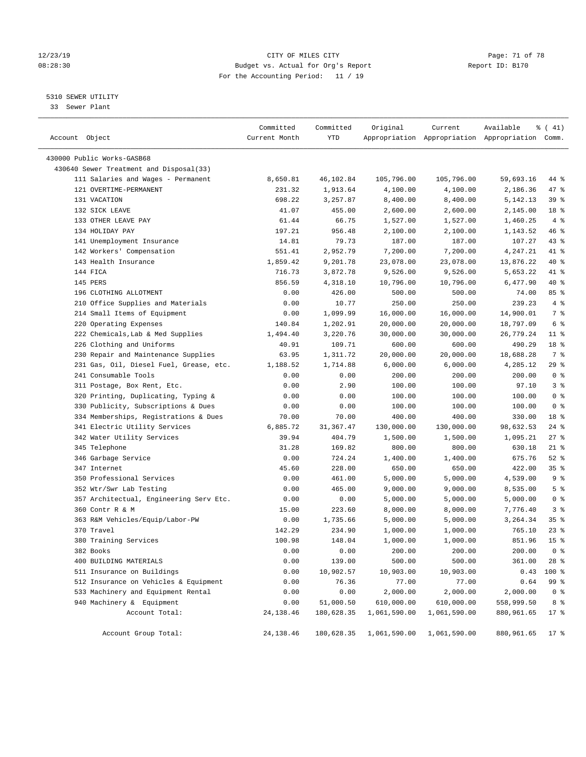#### 12/23/19 **Page: 71 of 78** CITY OF MILES CITY **Page: 71 of 78** 08:28:30 Budget vs. Actual for Org's Report Changer Report ID: B170 For the Accounting Period: 11 / 19

————————————————————————————————————————————————————————————————————————————————————————————————————————————————————————————————————

#### 5310 SEWER UTILITY

33 Sewer Plant

|                                         | Committed     | Committed  | Original                             | Current      | Available                                       | $\frac{1}{6}$ ( 41) |
|-----------------------------------------|---------------|------------|--------------------------------------|--------------|-------------------------------------------------|---------------------|
| Account Object                          | Current Month | YTD        |                                      |              | Appropriation Appropriation Appropriation Comm. |                     |
| 430000 Public Works-GASB68              |               |            |                                      |              |                                                 |                     |
| 430640 Sewer Treatment and Disposal(33) |               |            |                                      |              |                                                 |                     |
| 111 Salaries and Wages - Permanent      | 8,650.81      | 46,102.84  | 105,796.00                           | 105,796.00   | 59,693.16                                       | 44 %                |
| 121 OVERTIME-PERMANENT                  | 231.32        | 1,913.64   | 4,100.00                             | 4,100.00     | 2,186.36                                        | 47 %                |
| 131 VACATION                            | 698.22        | 3,257.87   | 8,400.00                             | 8,400.00     | 5,142.13                                        | 39 %                |
| 132 SICK LEAVE                          | 41.07         | 455.00     | 2,600.00                             | 2,600.00     | 2,145.00                                        | 18 %                |
| 133 OTHER LEAVE PAY                     | 61.44         | 66.75      | 1,527.00                             | 1,527.00     | 1,460.25                                        | 4%                  |
| 134 HOLIDAY PAY                         | 197.21        | 956.48     | 2,100.00                             | 2,100.00     | 1,143.52                                        | 46 %                |
| 141 Unemployment Insurance              | 14.81         | 79.73      | 187.00                               | 187.00       | 107.27                                          | 43 %                |
| 142 Workers' Compensation               | 551.41        | 2,952.79   | 7,200.00                             | 7,200.00     | 4,247.21                                        | 41 %                |
| 143 Health Insurance                    | 1,859.42      | 9,201.78   | 23,078.00                            | 23,078.00    | 13,876.22                                       | 40 %                |
| 144 FICA                                | 716.73        | 3,872.78   | 9,526.00                             | 9,526.00     | 5,653.22                                        | 41 %                |
| 145 PERS                                | 856.59        | 4,318.10   | 10,796.00                            | 10,796.00    | 6,477.90                                        | 40 %                |
| 196 CLOTHING ALLOTMENT                  | 0.00          | 426.00     | 500.00                               | 500.00       | 74.00                                           | 85 %                |
| 210 Office Supplies and Materials       | 0.00          | 10.77      | 250.00                               | 250.00       | 239.23                                          | 4%                  |
| 214 Small Items of Equipment            | 0.00          | 1,099.99   | 16,000.00                            | 16,000.00    | 14,900.01                                       | 7 %                 |
| 220 Operating Expenses                  | 140.84        | 1,202.91   | 20,000.00                            | 20,000.00    | 18,797.09                                       | 6 %                 |
| 222 Chemicals, Lab & Med Supplies       | 1,494.40      | 3,220.76   | 30,000.00                            | 30,000.00    | 26,779.24                                       | $11$ %              |
| 226 Clothing and Uniforms               | 40.91         | 109.71     | 600.00                               | 600.00       | 490.29                                          | 18 %                |
| 230 Repair and Maintenance Supplies     | 63.95         | 1,311.72   | 20,000.00                            | 20,000.00    | 18,688.28                                       | 7 %                 |
| 231 Gas, Oil, Diesel Fuel, Grease, etc. | 1,188.52      | 1,714.88   | 6,000.00                             | 6,000.00     | 4,285.12                                        | 29 %                |
| 241 Consumable Tools                    | 0.00          | 0.00       | 200.00                               | 200.00       | 200.00                                          | 0 <sup>8</sup>      |
| 311 Postage, Box Rent, Etc.             | 0.00          | 2.90       | 100.00                               | 100.00       | 97.10                                           | 3%                  |
| 320 Printing, Duplicating, Typing &     | 0.00          | 0.00       | 100.00                               | 100.00       | 100.00                                          | 0 <sup>8</sup>      |
| 330 Publicity, Subscriptions & Dues     | 0.00          | 0.00       | 100.00                               | 100.00       | 100.00                                          | 0 <sup>8</sup>      |
| 334 Memberships, Registrations & Dues   | 70.00         | 70.00      | 400.00                               | 400.00       | 330.00                                          | 18 %                |
| 341 Electric Utility Services           | 6,885.72      | 31,367.47  | 130,000.00                           | 130,000.00   | 98,632.53                                       | $24$ %              |
| 342 Water Utility Services              | 39.94         | 404.79     | 1,500.00                             | 1,500.00     | 1,095.21                                        | $27$ %              |
| 345 Telephone                           | 31.28         | 169.82     | 800.00                               | 800.00       | 630.18                                          | $21$ %              |
| 346 Garbage Service                     | 0.00          | 724.24     | 1,400.00                             | 1,400.00     | 675.76                                          | $52$ $%$            |
| 347 Internet                            | 45.60         | 228.00     | 650.00                               | 650.00       | 422.00                                          | 35%                 |
| 350 Professional Services               | 0.00          | 461.00     | 5,000.00                             | 5,000.00     | 4,539.00                                        | 9 <sup>°</sup>      |
| 352 Wtr/Swr Lab Testing                 | 0.00          | 465.00     | 9,000.00                             | 9,000.00     | 8,535.00                                        | 5 <sup>°</sup>      |
| 357 Architectual, Engineering Serv Etc. | 0.00          | 0.00       | 5,000.00                             | 5,000.00     | 5,000.00                                        | 0 <sup>8</sup>      |
| 360 Contr R & M                         | 15.00         | 223.60     | 8,000.00                             | 8,000.00     | 7,776.40                                        | 3%                  |
| 363 R&M Vehicles/Equip/Labor-PW         | 0.00          | 1,735.66   | 5,000.00                             | 5,000.00     | 3,264.34                                        | 35%                 |
| 370 Travel                              | 142.29        | 234.90     | 1,000.00                             | 1,000.00     | 765.10                                          | $23$ $%$            |
| 380 Training Services                   | 100.98        | 148.04     | 1,000.00                             | 1,000.00     | 851.96                                          | 15 <sup>8</sup>     |
| 382 Books                               | 0.00          | 0.00       | 200.00                               | 200.00       | 200.00                                          | 0 <sup>8</sup>      |
| 400 BUILDING MATERIALS                  | 0.00          | 139.00     | 500.00                               | 500.00       | 361.00                                          | 28 %                |
| 511 Insurance on Buildings              | 0.00          | 10,902.57  | 10,903.00                            | 10,903.00    | 0.43                                            | 100 %               |
| 512 Insurance on Vehicles & Equipment   | 0.00          | 76.36      | 77.00                                | 77.00        | 0.64                                            | 99 %                |
| 533 Machinery and Equipment Rental      | 0.00          | 0.00       | 2,000.00                             | 2,000.00     | 2,000.00                                        | 0 <sup>8</sup>      |
| 940 Machinery & Equipment               | 0.00          | 51,000.50  | 610,000.00                           | 610,000.00   | 558,999.50                                      | 8 %                 |
| Account Total:                          | 24, 138. 46   | 180,628.35 | 1,061,590.00                         | 1,061,590.00 | 880,961.65                                      | $17*$               |
|                                         |               |            |                                      |              |                                                 |                     |
| Account Group Total:                    | 24, 138.46    |            | 180,628.35 1,061,590.00 1,061,590.00 |              | 880,961.65                                      | 17 %                |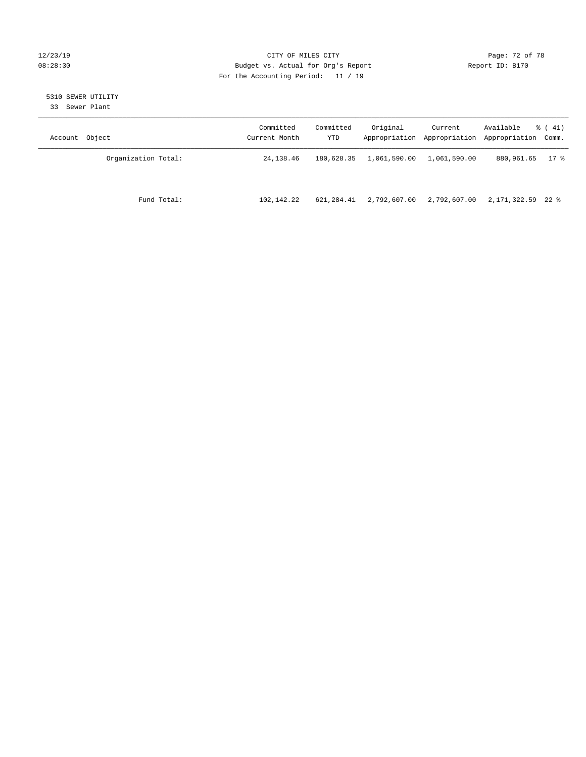#### 12/23/19 **Page: 72 of 78** CITY OF MILES CITY **Page: 72 of 78** 08:28:30 Budget vs. Actual for Org's Report Changer Report ID: B170 For the Accounting Period: 11 / 19

# 5310 SEWER UTILITY

33 Sewer Plant

| Account Object      | Committed<br>Current Month | Committed<br>YTD | Original     | Current      | Available<br>Appropriation Appropriation Appropriation Comm. | $\frac{1}{6}$ ( 41) |
|---------------------|----------------------------|------------------|--------------|--------------|--------------------------------------------------------------|---------------------|
| Organization Total: | 24, 138.46                 | 180,628.35       | 1,061,590.00 | 1,061,590.00 | 880,961.65                                                   | 17 %                |
| Fund Total:         | 102,142.22                 | 621,284.41       | 2,792,607.00 | 2,792,607.00 | 2,171,322.59 22 %                                            |                     |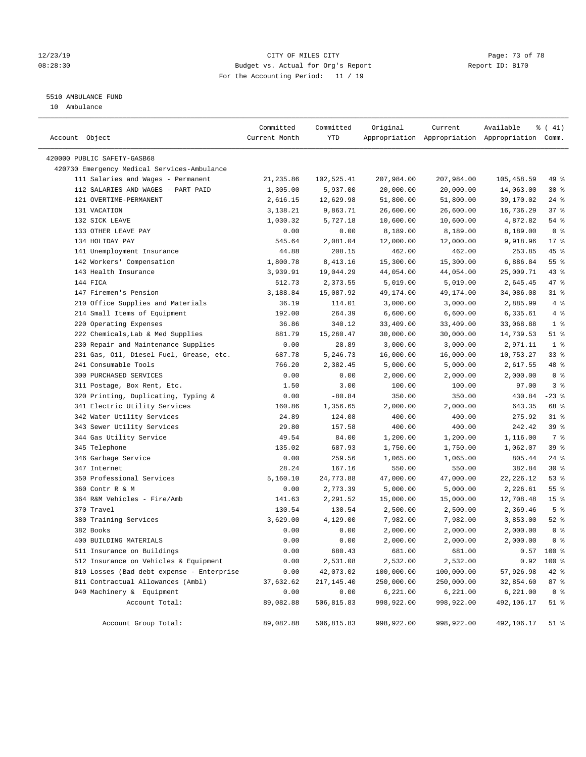### 12/23/19 **Page: 73 of 78** CITY OF MILES CITY **Page: 73 of 78** 08:28:30 Budget vs. Actual for Org's Report Changer Report ID: B170 For the Accounting Period: 11 / 19

# 5510 AMBULANCE FUND

10 Ambulance

| Account Object                              | Committed<br>Current Month | Committed<br>YTD | Original   | Current    | Available<br>Appropriation Appropriation Appropriation Comm. | % (41)             |
|---------------------------------------------|----------------------------|------------------|------------|------------|--------------------------------------------------------------|--------------------|
| 420000 PUBLIC SAFETY-GASB68                 |                            |                  |            |            |                                                              |                    |
| 420730 Emergency Medical Services-Ambulance |                            |                  |            |            |                                                              |                    |
| 111 Salaries and Wages - Permanent          | 21, 235.86                 | 102,525.41       | 207,984.00 | 207,984.00 | 105,458.59                                                   | 49 %               |
| 112 SALARIES AND WAGES - PART PAID          | 1,305.00                   | 5,937.00         | 20,000.00  | 20,000.00  | 14,063.00                                                    | $30*$              |
| 121 OVERTIME-PERMANENT                      | 2,616.15                   | 12,629.98        | 51,800.00  | 51,800.00  | 39,170.02                                                    | $24$ %             |
| 131 VACATION                                | 3,138.21                   | 9,863.71         | 26,600.00  | 26,600.00  | 16,736.29                                                    | 37%                |
| 132 SICK LEAVE                              | 1,030.32                   | 5,727.18         | 10,600.00  | 10,600.00  | 4,872.82                                                     | 54 %               |
| 133 OTHER LEAVE PAY                         | 0.00                       | 0.00             | 8,189.00   | 8,189.00   | 8,189.00                                                     | 0 <sup>8</sup>     |
| 134 HOLIDAY PAY                             | 545.64                     | 2,081.04         | 12,000.00  | 12,000.00  | 9,918.96                                                     | $17*$              |
| 141 Unemployment Insurance                  | 44.88                      | 208.15           | 462.00     | 462.00     | 253.85                                                       | 45 %               |
| 142 Workers' Compensation                   | 1,800.78                   | 8,413.16         | 15,300.00  | 15,300.00  | 6,886.84                                                     | $55$ $\frac{6}{3}$ |
| 143 Health Insurance                        | 3,939.91                   | 19,044.29        | 44,054.00  | 44,054.00  | 25,009.71                                                    | 43 %               |
| 144 FICA                                    | 512.73                     | 2,373.55         | 5,019.00   | 5,019.00   | 2,645.45                                                     | 47 %               |
| 147 Firemen's Pension                       | 3,188.84                   | 15,087.92        | 49,174.00  | 49,174.00  | 34,086.08                                                    | $31$ %             |
| 210 Office Supplies and Materials           | 36.19                      | 114.01           | 3,000.00   | 3,000.00   | 2,885.99                                                     | 4%                 |
| 214 Small Items of Equipment                | 192.00                     | 264.39           | 6,600.00   | 6,600.00   | 6,335.61                                                     | 4%                 |
| 220 Operating Expenses                      | 36.86                      | 340.12           | 33,409.00  | 33,409.00  | 33,068.88                                                    | 1 <sup>°</sup>     |
| 222 Chemicals, Lab & Med Supplies           | 881.79                     | 15,260.47        | 30,000.00  | 30,000.00  | 14,739.53                                                    | $51$ %             |
| 230 Repair and Maintenance Supplies         | 0.00                       | 28.89            | 3,000.00   | 3,000.00   | 2,971.11                                                     | 1 <sup>°</sup>     |
| 231 Gas, Oil, Diesel Fuel, Grease, etc.     | 687.78                     | 5,246.73         | 16,000.00  | 16,000.00  | 10,753.27                                                    | $33$ $%$           |
| 241 Consumable Tools                        | 766.20                     | 2,382.45         | 5,000.00   | 5,000.00   | 2,617.55                                                     | 48 %               |
| 300 PURCHASED SERVICES                      | 0.00                       | 0.00             | 2,000.00   | 2,000.00   | 2,000.00                                                     | 0 <sup>8</sup>     |
| 311 Postage, Box Rent, Etc.                 | 1.50                       | 3.00             | 100.00     | 100.00     | 97.00                                                        | 3 <sup>°</sup>     |
| 320 Printing, Duplicating, Typing &         | 0.00                       | $-80.84$         | 350.00     | 350.00     | 430.84                                                       | $-23$ %            |
| 341 Electric Utility Services               | 160.86                     | 1,356.65         | 2,000.00   | 2,000.00   | 643.35                                                       | 68 %               |
| 342 Water Utility Services                  | 24.89                      | 124.08           | 400.00     | 400.00     | 275.92                                                       | $31$ %             |
| 343 Sewer Utility Services                  | 29.80                      | 157.58           | 400.00     | 400.00     | 242.42                                                       | 39 %               |
| 344 Gas Utility Service                     | 49.54                      | 84.00            | 1,200.00   | 1,200.00   | 1,116.00                                                     | 7 %                |
| 345 Telephone                               | 135.02                     | 687.93           | 1,750.00   | 1,750.00   | 1,062.07                                                     | 39 %               |
| 346 Garbage Service                         | 0.00                       | 259.56           | 1,065.00   | 1,065.00   | 805.44                                                       | $24$ %             |
| 347 Internet                                | 28.24                      | 167.16           | 550.00     | 550.00     | 382.84                                                       | $30*$              |
| 350 Professional Services                   | 5,160.10                   | 24,773.88        | 47,000.00  | 47,000.00  | 22, 226.12                                                   | 53%                |
| 360 Contr R & M                             | 0.00                       | 2,773.39         | 5,000.00   | 5,000.00   | 2,226.61                                                     | $55$ $\frac{6}{3}$ |
| 364 R&M Vehicles - Fire/Amb                 | 141.63                     | 2,291.52         | 15,000.00  | 15,000.00  | 12,708.48                                                    | 15 <sup>°</sup>    |
| 370 Travel                                  | 130.54                     | 130.54           | 2,500.00   | 2,500.00   | 2,369.46                                                     | 5 <sup>°</sup>     |
| 380 Training Services                       | 3,629.00                   | 4,129.00         | 7,982.00   | 7,982.00   | 3,853.00                                                     | $52$ $%$           |
| 382 Books                                   | 0.00                       | 0.00             | 2,000.00   | 2,000.00   | 2,000.00                                                     | 0 <sup>8</sup>     |
| 400 BUILDING MATERIALS                      | 0.00                       | 0.00             | 2,000.00   | 2,000.00   | 2,000.00                                                     | 0 <sup>8</sup>     |
| 511 Insurance on Buildings                  | 0.00                       | 680.43           | 681.00     | 681.00     | 0.57                                                         | 100 %              |
| 512 Insurance on Vehicles & Equipment       | 0.00                       | 2,531.08         | 2,532.00   | 2,532.00   | 0.92                                                         | 100 %              |
| 810 Losses (Bad debt expense - Enterprise   | 0.00                       | 42,073.02        | 100,000.00 | 100,000.00 | 57,926.98                                                    | 42 %               |
| 811 Contractual Allowances (Ambl)           | 37,632.62                  | 217, 145.40      | 250,000.00 | 250,000.00 | 32,854.60                                                    | 87%                |
| 940 Machinery & Equipment                   | 0.00                       | 0.00             | 6,221.00   | 6,221.00   | 6,221.00                                                     | 0 <sup>8</sup>     |
| Account Total:                              | 89,082.88                  | 506,815.83       | 998,922.00 | 998,922.00 | 492,106.17                                                   | $51$ %             |
| Account Group Total:                        | 89,082.88                  | 506,815.83       | 998,922.00 | 998,922.00 | 492,106.17                                                   | $51$ %             |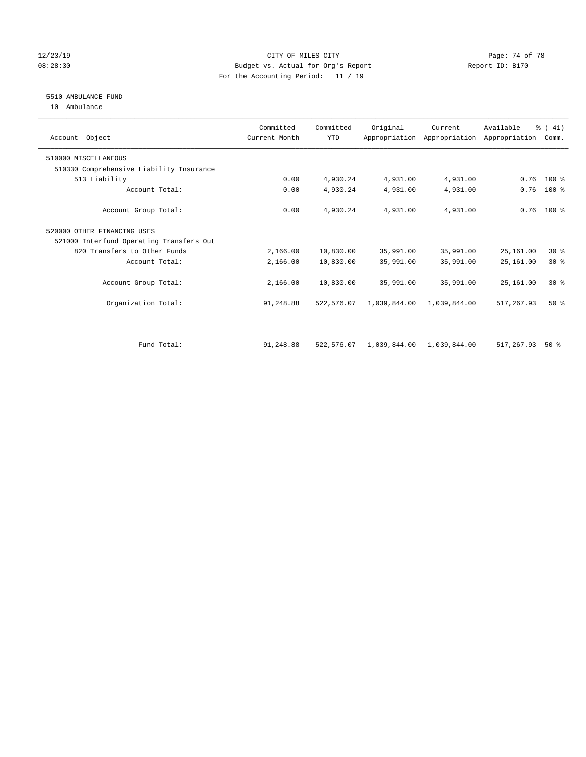### 12/23/19 **Page: 74 of 78** CITY OF MILES CITY **Page: 74 of 78** 08:28:30 Budget vs. Actual for Org's Report Changer Report ID: B170 For the Accounting Period: 11 / 19

# 5510 AMBULANCE FUND

10 Ambulance

| Account Object                           | Committed<br>Current Month | Committed<br><b>YTD</b> | Original                  | Current      | Available<br>Appropriation Appropriation Appropriation | % (41)<br>Comm. |
|------------------------------------------|----------------------------|-------------------------|---------------------------|--------------|--------------------------------------------------------|-----------------|
| 510000 MISCELLANEOUS                     |                            |                         |                           |              |                                                        |                 |
| 510330 Comprehensive Liability Insurance |                            |                         |                           |              |                                                        |                 |
| 513 Liability                            | 0.00                       | 4,930.24                | 4,931.00                  | 4,931.00     | 0.76                                                   | $100*$          |
| Account Total:                           | 0.00                       | 4,930.24                | 4,931.00                  | 4,931.00     | 0.76                                                   | $100$ %         |
| Account Group Total:                     | 0.00                       | 4,930.24                | 4,931.00                  | 4,931.00     |                                                        | $0.76$ 100 %    |
| 520000 OTHER FINANCING USES              |                            |                         |                           |              |                                                        |                 |
| 521000 Interfund Operating Transfers Out |                            |                         |                           |              |                                                        |                 |
| 820 Transfers to Other Funds             | 2,166.00                   | 10,830.00               | 35,991.00                 | 35,991.00    | 25,161.00                                              | $30*$           |
| Account Total:                           | 2,166.00                   | 10,830.00               | 35,991.00                 | 35,991.00    | 25,161.00                                              | $30*$           |
| Account Group Total:                     | 2,166.00                   | 10,830.00               | 35,991.00                 | 35,991.00    | 25,161.00                                              | $30*$           |
| Organization Total:                      | 91,248.88                  | 522,576.07              | 1,039,844.00              | 1,039,844.00 | 517,267.93                                             | $50*$           |
| Fund Total:                              | 91,248.88                  | 522,576.07              | 1,039,844.00 1,039,844.00 |              | 517,267.93                                             | $50*$           |
|                                          |                            |                         |                           |              |                                                        |                 |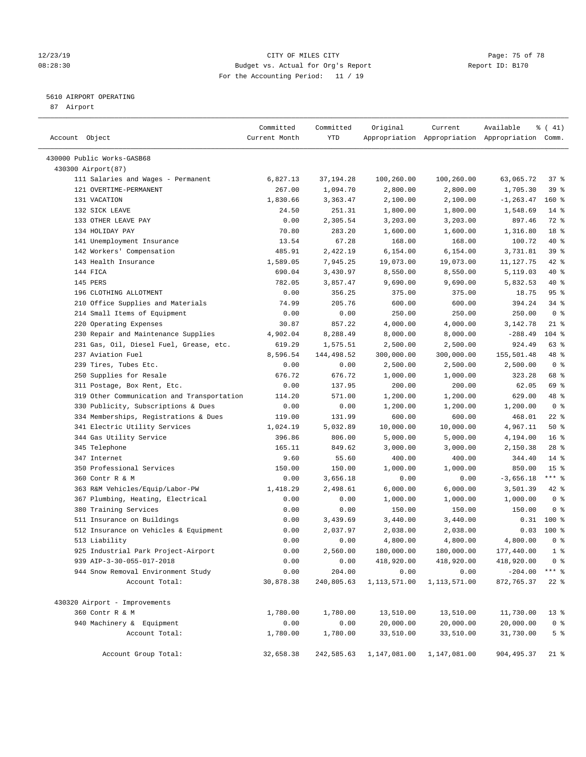### 12/23/19 Page: 75 of 78 08:28:30 Budget vs. Actual for Org's Report Changer Report ID: B170 For the Accounting Period: 11 / 19

————————————————————————————————————————————————————————————————————————————————————————————————————————————————————————————————————

## 5610 AIRPORT OPERATING

87 Airport

|                                            | Committed     | Committed   | Original     | Current      | Available                                       | $\frac{1}{6}$ ( 41) |
|--------------------------------------------|---------------|-------------|--------------|--------------|-------------------------------------------------|---------------------|
| Account Object                             | Current Month | YTD         |              |              | Appropriation Appropriation Appropriation Comm. |                     |
| 430000 Public Works-GASB68                 |               |             |              |              |                                                 |                     |
| 430300 Airport(87)                         |               |             |              |              |                                                 |                     |
| 111 Salaries and Wages - Permanent         | 6,827.13      | 37, 194. 28 | 100,260.00   | 100,260.00   | 63,065.72                                       | 37%                 |
| 121 OVERTIME-PERMANENT                     | 267.00        | 1,094.70    | 2,800.00     | 2,800.00     | 1,705.30                                        | 39 %                |
| 131 VACATION                               | 1,830.66      | 3,363.47    | 2,100.00     | 2,100.00     | $-1, 263.47$                                    | 160 %               |
| 132 SICK LEAVE                             | 24.50         | 251.31      | 1,800.00     | 1,800.00     | 1,548.69                                        | $14*$               |
| 133 OTHER LEAVE PAY                        | 0.00          | 2,305.54    | 3,203.00     | 3,203.00     | 897.46                                          | 72 %                |
| 134 HOLIDAY PAY                            | 70.80         | 283.20      | 1,600.00     | 1,600.00     | 1,316.80                                        | 18 %                |
| 141 Unemployment Insurance                 | 13.54         | 67.28       | 168.00       | 168.00       | 100.72                                          | 40 %                |
| 142 Workers' Compensation                  | 485.91        | 2,422.19    | 6,154.00     | 6,154.00     | 3,731.81                                        | 39 %                |
| 143 Health Insurance                       | 1,589.05      | 7,945.25    | 19,073.00    | 19,073.00    | 11,127.75                                       | 42 %                |
| 144 FICA                                   | 690.04        | 3,430.97    | 8,550.00     | 8,550.00     | 5,119.03                                        | 40 %                |
| 145 PERS                                   | 782.05        | 3,857.47    | 9,690.00     | 9,690.00     | 5,832.53                                        | 40 %                |
| 196 CLOTHING ALLOTMENT                     | 0.00          | 356.25      | 375.00       | 375.00       | 18.75                                           | 95%                 |
| 210 Office Supplies and Materials          | 74.99         | 205.76      | 600.00       | 600.00       | 394.24                                          | $34$ $%$            |
| 214 Small Items of Equipment               | 0.00          | 0.00        | 250.00       | 250.00       | 250.00                                          | 0 <sup>8</sup>      |
| 220 Operating Expenses                     | 30.87         | 857.22      | 4,000.00     | 4,000.00     | 3,142.78                                        | $21$ %              |
| 230 Repair and Maintenance Supplies        | 4,902.04      | 8,288.49    | 8,000.00     | 8,000.00     | $-288.49$                                       | $104$ %             |
| 231 Gas, Oil, Diesel Fuel, Grease, etc.    | 619.29        | 1,575.51    | 2,500.00     | 2,500.00     | 924.49                                          | 63 %                |
| 237 Aviation Fuel                          | 8,596.54      | 144,498.52  | 300,000.00   | 300,000.00   | 155,501.48                                      | 48 %                |
| 239 Tires, Tubes Etc.                      | 0.00          | 0.00        | 2,500.00     | 2,500.00     | 2,500.00                                        | 0 <sup>8</sup>      |
| 250 Supplies for Resale                    | 676.72        | 676.72      | 1,000.00     | 1,000.00     | 323.28                                          | 68 %                |
| 311 Postage, Box Rent, Etc.                | 0.00          | 137.95      | 200.00       | 200.00       | 62.05                                           | 69 %                |
| 319 Other Communication and Transportation | 114.20        | 571.00      | 1,200.00     | 1,200.00     | 629.00                                          | 48 %                |
| 330 Publicity, Subscriptions & Dues        | 0.00          | 0.00        | 1,200.00     | 1,200.00     | 1,200.00                                        | 0 <sup>8</sup>      |
| 334 Memberships, Registrations & Dues      | 119.00        | 131.99      | 600.00       | 600.00       | 468.01                                          | $22$ %              |
| 341 Electric Utility Services              | 1,024.19      | 5,032.89    | 10,000.00    | 10,000.00    | 4,967.11                                        | 50%                 |
| 344 Gas Utility Service                    | 396.86        | 806.00      | 5,000.00     | 5,000.00     | 4,194.00                                        | 16 <sup>°</sup>     |
| 345 Telephone                              | 165.11        | 849.62      | 3,000.00     | 3,000.00     | 2,150.38                                        | $28$ %              |
| 347 Internet                               | 9.60          | 55.60       | 400.00       | 400.00       | 344.40                                          | $14*$               |
| 350 Professional Services                  | 150.00        | 150.00      | 1,000.00     | 1,000.00     | 850.00                                          | 15 <sup>°</sup>     |
| 360 Contr R & M                            | 0.00          | 3,656.18    | 0.00         | 0.00         | $-3,656.18$                                     | $***$ $_{8}$        |
| 363 R&M Vehicles/Equip/Labor-PW            | 1,418.29      | 2,498.61    | 6,000.00     | 6,000.00     | 3,501.39                                        | $42$ %              |
| 367 Plumbing, Heating, Electrical          | 0.00          | 0.00        | 1,000.00     | 1,000.00     | 1,000.00                                        | 0 <sup>8</sup>      |
| 380 Training Services                      | 0.00          | 0.00        | 150.00       | 150.00       | 150.00                                          | 0 <sup>8</sup>      |
| 511 Insurance on Buildings                 | 0.00          | 3,439.69    | 3,440.00     | 3,440.00     | 0.31                                            | $100*$              |
| 512 Insurance on Vehicles & Equipment      | 0.00          | 2,037.97    | 2,038.00     | 2,038.00     | 0.03                                            | $100*$              |
| 513 Liability                              | 0.00          | 0.00        | 4,800.00     | 4,800.00     | 4,800.00                                        | 0 <sup>8</sup>      |
| 925 Industrial Park Project-Airport        | 0.00          | 2,560.00    | 180,000.00   | 180,000.00   | 177,440.00                                      | 1 <sup>°</sup>      |
| 939 AIP-3-30-055-017-2018                  | 0.00          | 0.00        | 418,920.00   | 418,920.00   | 418,920.00                                      | 0 <sup>8</sup>      |
| 944 Snow Removal Environment Study         | 0.00          | 204.00      | 0.00         | 0.00         | $-204.00$                                       | $***$ $_{8}$        |
| Account Total:                             | 30,878.38     | 240,805.63  | 1,113,571.00 | 1,113,571.00 | 872,765.37                                      | $22$ %              |
| 430320 Airport - Improvements              |               |             |              |              |                                                 |                     |
| 360 Contr R & M                            | 1,780.00      | 1,780.00    | 13,510.00    | 13,510.00    | 11,730.00                                       | $13*$               |
| 940 Machinery & Equipment                  | 0.00          | 0.00        | 20,000.00    | 20,000.00    | 20,000.00                                       | 0 <sup>8</sup>      |
| Account Total:                             | 1,780.00      | 1,780.00    | 33,510.00    | 33,510.00    | 31,730.00                                       | 5 <sup>°</sup>      |
| Account Group Total:                       | 32,658.38     | 242,585.63  | 1,147,081.00 | 1,147,081.00 | 904, 495.37                                     | $21$ %              |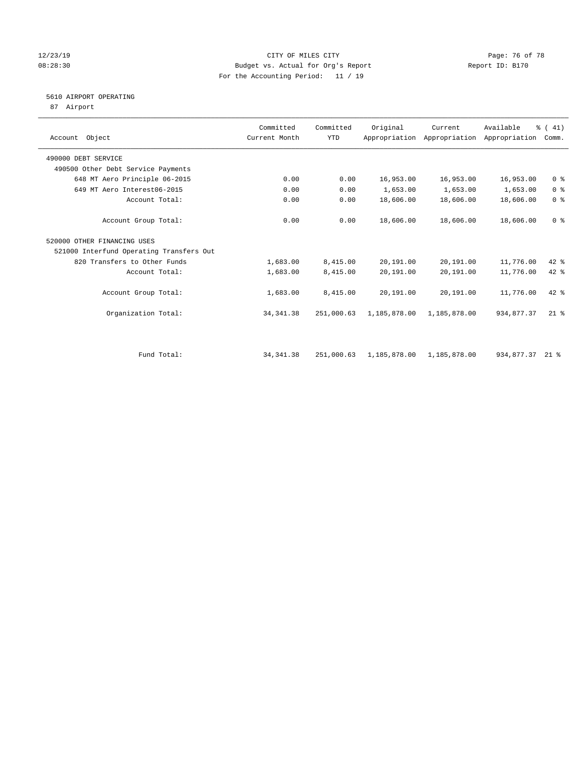### 12/23/19 **Page: 76 of 78** CITY OF MILES CITY **Page: 76 of 78** 08:28:30 Budget vs. Actual for Org's Report Changer Report ID: B170 For the Accounting Period: 11 / 19

# 5610 AIRPORT OPERATING

87 Airport

| Account Object      |                                          | Committed<br>Current Month | Committed<br><b>YTD</b> | Original     | Current<br>Appropriation Appropriation | Available<br>Appropriation | % (41)<br>Comm. |  |
|---------------------|------------------------------------------|----------------------------|-------------------------|--------------|----------------------------------------|----------------------------|-----------------|--|
| 490000 DEBT SERVICE |                                          |                            |                         |              |                                        |                            |                 |  |
|                     | 490500 Other Debt Service Payments       |                            |                         |              |                                        |                            |                 |  |
|                     | 648 MT Aero Principle 06-2015            | 0.00                       | 0.00                    | 16,953.00    | 16,953.00                              | 16,953.00                  | 0 <sup>8</sup>  |  |
|                     | 649 MT Aero Interest06-2015              | 0.00                       | 0.00                    | 1,653.00     | 1,653.00                               | 1,653.00                   | 0 <sup>8</sup>  |  |
|                     | Account Total:                           | 0.00                       | 0.00                    | 18,606.00    | 18,606.00                              | 18,606.00                  | 0 <sup>8</sup>  |  |
|                     | Account Group Total:                     | 0.00                       | 0.00                    | 18,606.00    | 18,606.00                              | 18,606.00                  | 0 <sup>8</sup>  |  |
|                     | 520000 OTHER FINANCING USES              |                            |                         |              |                                        |                            |                 |  |
|                     | 521000 Interfund Operating Transfers Out |                            |                         |              |                                        |                            |                 |  |
|                     | 820 Transfers to Other Funds             | 1,683.00                   | 8,415.00                | 20,191.00    | 20,191.00                              | 11,776.00                  | 42 %            |  |
|                     | Account Total:                           | 1,683.00                   | 8,415.00                | 20,191.00    | 20,191.00                              | 11,776.00                  | $42*$           |  |
|                     | Account Group Total:                     | 1,683.00                   | 8,415.00                | 20,191.00    | 20,191.00                              | 11,776.00                  | 42 %            |  |
|                     | Organization Total:                      | 34, 341.38                 | 251,000.63              | 1,185,878.00 | 1,185,878.00                           | 934,877.37                 | $21$ $%$        |  |
|                     | Fund Total:                              |                            |                         |              |                                        | 934,877.37                 | $21*$           |  |
|                     |                                          | 34, 341.38                 | 251,000.63              | 1,185,878.00 | 1,185,878.00                           |                            |                 |  |